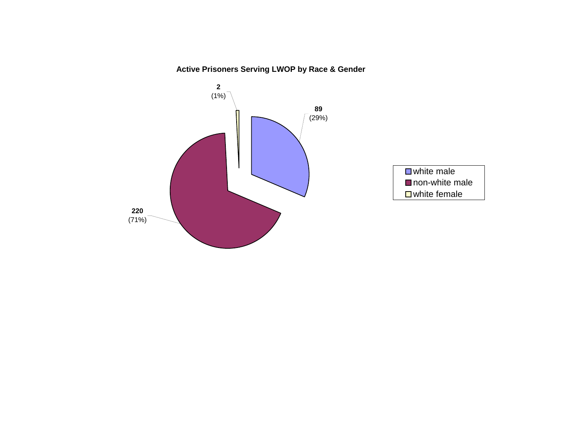### **Active Prisoners Serving LWOP by Race & Gender**

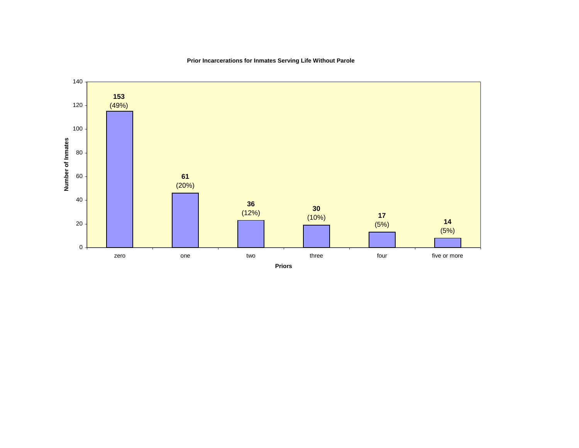

### **Prior Incarcerations for Inmates Serving Life Without Parole**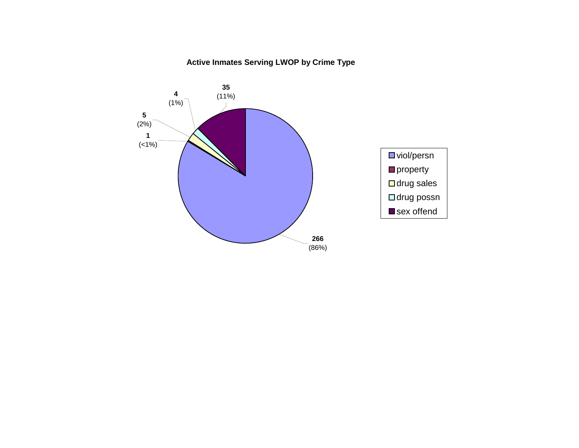### **Active Inmates Serving LWOP by Crime Type**

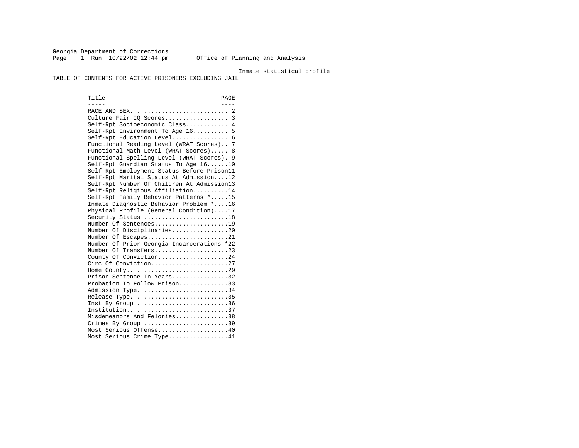Georgia Department of Corrections Page 1 Run  $10/22/02$  12:44 pm Office of Planning and Analysis

#### Inmate statistical profile

TABLE OF CONTENTS FOR ACTIVE PRISONERS EXCLUDING JAIL

Title PAGE ----- ---- RACE AND SEX............................ 2 Culture Fair IQ Scores.................. 3 Self-Rpt Socioeconomic Class............ 4 Self-Rpt Environment To Age 16.......... 5 Self-Rpt Education Level................ 6 Functional Reading Level (WRAT Scores).. 7 Functional Math Level (WRAT Scores)..... 8 Functional Spelling Level (WRAT Scores). 9 Self-Rpt Guardian Status To Age 16......10 Self-Rpt Employment Status Before Prison11 Self-Rpt Marital Status At Admission....12 Self-Rpt Number Of Children At Admission13 Self-Rpt Religious Affiliation..........14 Self-Rpt Family Behavior Patterns \*.....15 Inmate Diagnostic Behavior Problem \*....16 Physical Profile (General Condition)....17 Security Status...........................18 Number Of Sentences.....................19 Number Of Disciplinaries................20 Number Of Escapes........................21 Number Of Prior Georgia Incarcerations \*22 Number Of Transfers.....................23 County Of Conviction....................24 Circ Of Conviction......................27 Home County.............................29 Prison Sentence In Years................32 Probation To Follow Prison..............33Admission Type............................34 Release Type..............................35 Inst By Group..............................36 Institution.............................37 Misdemeanors And Felonies...............38 Crimes By Group.............................39 Most Serious Offense....................40 Most Serious Crime Type.................41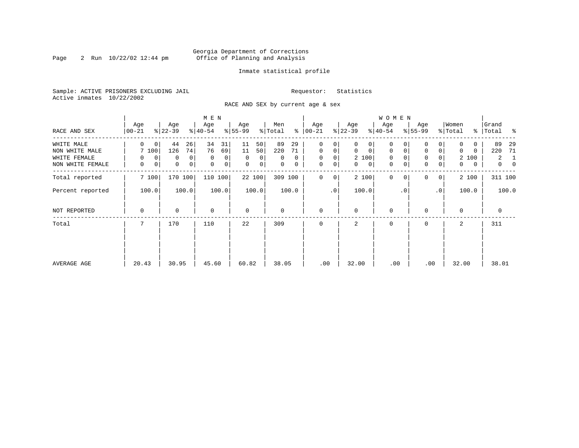### Georgia Department of Corrections Page 2 Run  $10/22/02$  12:44 pm Office of Planning and Analysis

#### Inmate statistical profile

Sample: ACTIVE PRISONERS EXCLUDING JAIL **Requestor:** Statistics Active inmates 10/22/2002

RACE AND SEX by current age & sex

|                  |                    |                             | M E N                       |                   |                |                      |                   | <b>WOMEN</b>               |                               |                   |                                  |
|------------------|--------------------|-----------------------------|-----------------------------|-------------------|----------------|----------------------|-------------------|----------------------------|-------------------------------|-------------------|----------------------------------|
| RACE AND SEX     | Age<br>$ 00 - 21 $ | Age<br>$ 22-39 $            | Age<br>$ 40-54 $            | Age<br>$8 55-99$  | Men<br>% Total | Age<br>$8   00 - 21$ | Age<br>$ 22-39 $  | Age<br>$ 40-54 $           | Age<br>$8 55-99$              | Women<br>% Total  | Grand<br>%   Total<br>ႜ          |
| WHITE MALE       | $\Omega$<br>0      | 44<br>26                    | 34<br>31                    | 50<br>11          | 89<br>29       | 0<br>0               | 0<br>0            | 0                          |                               | 0                 | 89<br>-29                        |
| NON WHITE MALE   | 7 100              | 126<br>74                   | 76<br>69                    | 11<br>50          | 220<br>71      | $\mathbf 0$<br>0     | 0<br>$\mathbf{0}$ | 0<br>0                     | $\mathbf 0$<br>0              | 0<br>0            | 220<br>71                        |
| WHITE FEMALE     | $\mathbf 0$<br>0   | 0<br>0                      | $\mathbf 0$<br>0            | $\Omega$<br>0     | $\Omega$<br>0  | $\mathbf 0$<br>0     | 2 100             | 0                          | $\mathbf 0$<br>$\Omega$       | 2 100             | 2<br>1                           |
| NON WHITE FEMALE | 0<br>0             | $\mathbf 0$<br>$\mathsf{O}$ | $\mathbf 0$<br>$\mathsf{O}$ | $\mathbf 0$<br> 0 | 0<br>0         | $\mathbf 0$<br>0     | $\mathbf{0}$<br>0 | $\mathbf 0$<br>$\mathbf 0$ | $\mathbf 0$<br>$\overline{0}$ | $\mathbf{0}$<br>0 | $\overline{0}$<br>$\overline{0}$ |
| Total reported   | 7 100              | 170 100                     | 110 100                     | 22 100            | 309 100        | $\mathbf 0$<br>0     | 2 100             | $\mathbf{0}$<br>$\Omega$   | $\Omega$<br>0 <sup>1</sup>    | 2 100             | 311 100                          |
| Percent reported | 100.0              | 100.0                       | 100.0                       | 100.0             | 100.0          | $\cdot$ 0            | 100.0             | .0'                        | .0 <sup>1</sup>               | 100.0             | 100.0                            |
| NOT REPORTED     | 0                  | $\Omega$                    | $\mathbf 0$                 | $\mathbf 0$       | 0              | $\mathbf 0$          | $\Omega$          | 0                          |                               | $\Omega$          | $\mathbf 0$                      |
| Total            |                    | 170                         | 110                         | 22                | 309            | $\Omega$             | 2                 | 0                          | $\Omega$                      | 2                 | 311                              |
|                  |                    |                             |                             |                   |                |                      |                   |                            |                               |                   |                                  |
|                  |                    |                             |                             |                   |                |                      |                   |                            |                               |                   |                                  |
| AVERAGE AGE      | 20.43              | 30.95                       | 45.60                       | 60.82             | 38.05          | .00                  | 32.00             | .00                        | .00                           | 32.00             | 38.01                            |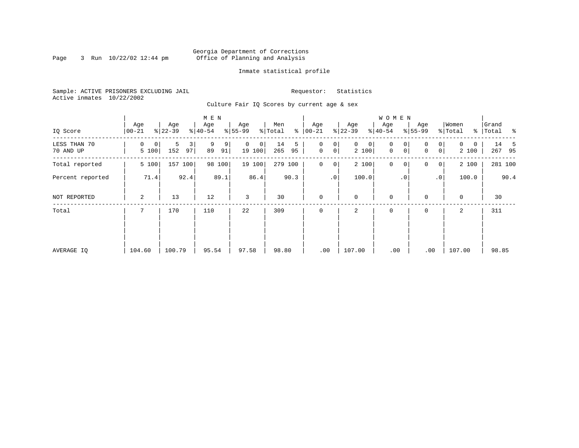### Georgia Department of Corrections Page 3 Run  $10/22/02$  12:44 pm Office of Planning and Analysis

#### Inmate statistical profile

Sample: ACTIVE PRISONERS EXCLUDING JAIL **Requestor:** Statistics Active inmates 10/22/2002

Culture Fair IQ Scores by current age & sex

|                           |                  |                     | M E N              |                         |                      |                                                 |                            | <b>WOMEN</b>     |                                                   |                        |                    |
|---------------------------|------------------|---------------------|--------------------|-------------------------|----------------------|-------------------------------------------------|----------------------------|------------------|---------------------------------------------------|------------------------|--------------------|
| IQ Score                  | Age<br>$00 - 21$ | Age<br>$ 22-39 $    | Age<br>$ 40-54 $   | Age<br>$ 55-99$         | Men<br>% Total<br>နွ | Age<br>$ 00 - 21 $                              | Age<br>$ 22-39$            | Age<br>$8 40-54$ | Age<br>$8 55-99$                                  | Women<br>% Total       | Grand<br>% Total % |
| LESS THAN 70<br>70 AND UP | 0<br>0<br>5 100  | 5<br>3<br>152<br>97 | 9<br>9<br>89<br>91 | $\Omega$<br>0<br>19 100 | 14<br>5<br>265<br>95 | 0<br>0<br>$\mathsf{O}\xspace$<br>0 <sup>1</sup> | $\mathbf{0}$<br>0<br>2 100 | 0<br>0<br>0<br>0 | $\overline{0}$<br>$\Omega$<br>$\overline{0}$<br>0 | $\Omega$<br>0<br>2 100 | 14<br>-5<br>267 95 |
| Total reported            | 5 100            | 157<br>100          | 98 100             | 19 100                  | 279 100              | $\mathbf 0$<br>$\overline{0}$                   | 2 100                      | $\mathbf 0$<br>0 | 0<br> 0                                           | 2 100                  | 281 100            |
| Percent reported          | 71.4             | 92.4                | 89.1               | 86.4                    | 90.3                 | .0 <sup>1</sup>                                 | 100.0                      | $\cdot$ 0        | $\cdot$ 0                                         | 100.0                  | 90.4               |
| NOT REPORTED              | 2                | 13                  | 12                 | 3                       | 30                   | $\mathbf 0$                                     | $\mathbf 0$                | $\mathbf 0$      | $\Omega$                                          | $\mathbf 0$            | 30                 |
| Total                     |                  | 170                 | 110                | 22                      | 309                  | $\mathbf 0$                                     | 2                          | $\mathbf 0$      | 0                                                 | 2                      | 311                |
|                           |                  |                     |                    |                         |                      |                                                 |                            |                  |                                                   |                        |                    |
|                           |                  |                     |                    |                         |                      |                                                 |                            |                  |                                                   |                        |                    |
| AVERAGE IQ                | 104.60           | 100.79              | 95.54              | 97.58                   | 98.80                | .00                                             | 107.00                     | .00              | .00                                               | 107.00                 | 98.85              |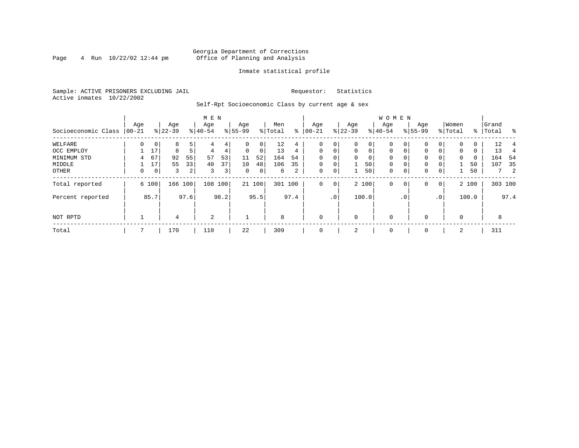#### Georgia Department of Corrections<br>4 Run 10/22/02 12:44 pm office of Planning and Analysis Page 4 Run  $10/22/02$  12:44 pm Office of Planning and Analysis

#### Inmate statistical profile

Sample: ACTIVE PRISONERS EXCLUDING JAIL **Requestor:** Statistics Active inmates 10/22/2002

Self-Rpt Socioeconomic Class by current age & sex

|                     |          |                |           |      | M E N    |                |             |        |         |      |              |                 |             |             | <b>WOMEN</b> |              |           |                 |          |       |           |            |
|---------------------|----------|----------------|-----------|------|----------|----------------|-------------|--------|---------|------|--------------|-----------------|-------------|-------------|--------------|--------------|-----------|-----------------|----------|-------|-----------|------------|
|                     | Age      |                | Age       |      | Age      |                | Age         |        | Men     |      | Age          |                 | Age         |             | Aqe          |              | Age       |                 | Women    |       | Grand     |            |
| Socioeconomic Class | $ 00-21$ |                | $ 22-39 $ |      | $ 40-54$ |                | $8 55-99$   |        | % Total | ႜ    | $00 - 21$    |                 | $ 22-39 $   |             | $ 40-54 $    |              | $8 55-99$ |                 | % Total  |       | %   Total | $\sim$     |
| WELFARE             |          |                | 8         |      | 4        | 4              | 0           | 0      | 12      | 4    | 0            | 0               | $\mathbf 0$ | 0           | 0            | $\mathbf{0}$ | $\Omega$  | $\Omega$        | $\Omega$ | 0     | 12        |            |
| OCC EMPLOY          |          | 17             | 8         |      | 4        | 4              | $\Omega$    | 0      | 13      | 4    | $\Omega$     | 0               | $\Omega$    | $\mathbf 0$ | $\Omega$     | $\Omega$     | $\Omega$  | $\Omega$        | $\Omega$ | 0     | 13        | 4          |
| MINIMUM STD         | 4        | 67             | 92        | 55   | 57       | 53             | 11          | 52     | 164     | 54   | $\Omega$     | $\Omega$        | $\Omega$    | 0           | $\Omega$     | $\Omega$     | $\Omega$  |                 | $\Omega$ | 0     | 164       | -54        |
| MIDDLE              |          | 17             | 55        | 33   | 40       | 37             | 10          | 48     | 106     | 35   | $\Omega$     | $\mathbf 0$     |             | 50          | $\mathbf 0$  | $\Omega$     | 0         |                 |          | 50    | 107       | 35         |
| OTHER               | 0        | 0 <sup>1</sup> | 3         | 2    | 3        | 3 <sup>1</sup> | $\mathbf 0$ | 0      | 6       | 2    | 0            | 0               | 1           | 50          | $\mathbf 0$  | $\mathbf 0$  | 0         | 0               |          | 50    |           | $7\quad 2$ |
| Total reported      |          | 6 100          | 166       | 100  | 108      | 100            |             | 21 100 | 301 100 |      | $\mathbf 0$  | $\mathbf 0$     |             | 2 100       | $\mathbf 0$  | 0            | 0         | $\overline{0}$  |          | 2 100 |           | 303 100    |
| Percent reported    |          | 85.7           |           | 97.6 |          | 98.2           |             | 95.5   |         | 97.4 |              | .0 <sup>1</sup> |             | 100.0       |              | $\cdot$ 0    |           | .0 <sup>1</sup> |          | 100.0 |           | 97.4       |
| NOT RPTD            |          |                | 4         |      | 2        |                |             |        | 8       |      | $\mathbf{0}$ |                 | $\mathbf 0$ |             | $\mathbf 0$  |              | $\Omega$  |                 | $\Omega$ |       | 8         |            |
| Total               |          |                | 170       |      | 110      |                | 22          |        | 309     |      | $\mathbf{0}$ |                 | 2           |             | 0            |              | 0         |                 | 2        |       | 311       |            |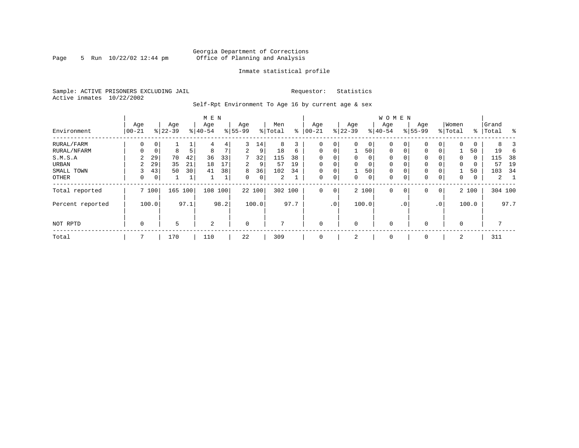#### Georgia Department of Corrections Page 5 Run  $10/22/02$  12:44 pm Office of Planning and Analysis

#### Inmate statistical profile

Sample: ACTIVE PRISONERS EXCLUDING JAIL **Requestor:** Statistics Active inmates 10/22/2002

Self-Rpt Environment To Age 16 by current age & sex

|                  |                   |             |                  |      | M E N            |      |                  |             |                |      |                 |             |                  |                | <b>WOMEN</b>     |           |                    |                 |                  |       |                |      |
|------------------|-------------------|-------------|------------------|------|------------------|------|------------------|-------------|----------------|------|-----------------|-------------|------------------|----------------|------------------|-----------|--------------------|-----------------|------------------|-------|----------------|------|
| Environment      | Age<br>$ 00 - 21$ |             | Age<br>$8 22-39$ |      | Age<br>$8 40-54$ |      | Age<br>$8 55-99$ |             | Men<br>% Total | နွ   | Age<br>$ 00-21$ |             | Age<br>$8 22-39$ |                | Age<br>$8 40-54$ |           | Age<br>$8155 - 99$ |                 | Women<br>% Total | ႜ     | Grand<br>Total | န္   |
| RURAL/FARM       | 0                 | 0           |                  |      | 4                | 4    | 3                | 14          | 8              | 3    | 0               | 0           | $\Omega$         | $\circ$        | 0                | 0         | $\mathbf{0}$       | 0               | $\Omega$         | 0     | 8              |      |
| RURAL/NFARM      | 0                 | $\mathbf 0$ | 8                | 5    | 8                | 7    | 2                | 9           | 18             | 6    | $\mathbf 0$     | $\mathbf 0$ |                  | 501            | $\mathbf 0$      | 0         | $\mathbf{0}$       | 0               |                  | 50    | 19             |      |
| S.M.S.A          | 2                 | 29          | 70               | 42   | 36               | 33   | 7                | 32          | 115            | 38   | 0               | $\mathbf 0$ | 0                | 0 <sup>1</sup> | $\mathbf 0$      |           | $\mathbf{0}$       |                 | 0                | 0     | 115            | 38   |
| URBAN            | 2                 | 29          | 35               | 21   | 18               | 17   | 2                | 9           | 57             | 19   | $\mathbf 0$     | 0           | $\Omega$         | 0              | $\mathbf 0$      |           | 0                  |                 | 0                | 0     | 57             | 19   |
| SMALL TOWN       | 3                 | 43          | 50               | 30   | 41               | 38   | 8                | 36          | 102            | 34   | 0               | 0           |                  | 501            | 0                | 0         | 0                  | $\Omega$        |                  | 50    | 103            | 34   |
| OTHER            | 0                 | 0           |                  | 1    |                  | T    | $\Omega$         | $\mathbf 0$ | 2              |      | $\mathbf 0$     | 0           | $\Omega$         | $\circ$        | 0                | 0         | $\mathbf{0}$       | 0               | $\Omega$         | 0     | 2              |      |
| Total reported   |                   | 7 100       | 165              | 100  | 108 100          |      |                  | 22 100      | 302 100        |      | $\Omega$        | $\mathbf 0$ |                  | 2 100          | $\Omega$         | 0         | $\mathbf{0}$       | $\mathbf 0$     |                  | 2 100 | 304 100        |      |
| Percent reported |                   | 100.0       |                  | 97.1 |                  | 98.2 |                  | 100.0       |                | 97.7 |                 | .0          |                  | 100.0          |                  | $\cdot$ 0 |                    | .0 <sup>′</sup> |                  | 100.0 |                | 97.7 |
| NOT RPTD         | $\mathbf 0$       |             | 5                |      | 2                |      | $\Omega$         |             | $\mathbf{r}$   |      | $\mathbf 0$     |             | $\Omega$         |                | $\mathbf 0$      |           | $\mathbf 0$        |                 | $\Omega$         |       | 7              |      |
| Total            |                   |             | 170              |      | 110              |      | 22               |             | 309            |      | $\mathbf 0$     |             | 2                |                | 0                |           | 0                  |                 | 2                |       | 311            |      |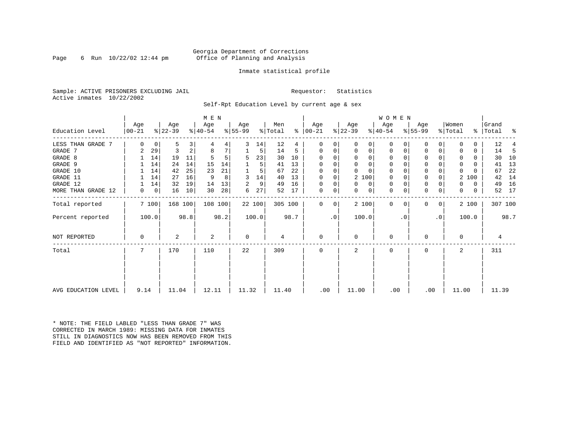#### Georgia Department of Corrections Page 6 Run 10/22/02 12:44 pm office of Planning and Analysis

#### Inmate statistical profile

Sample: ACTIVE PRISONERS EXCLUDING JAIL **Requestor:** Statistics Active inmates 10/22/2002

Self-Rpt Education Level by current age & sex

|                              | M E N            |         |                  |        |                  |        |                  |         |                |         |                      |    |                  |          | W O M E N        |          |                  |           |                  |        |                    |          |          |
|------------------------------|------------------|---------|------------------|--------|------------------|--------|------------------|---------|----------------|---------|----------------------|----|------------------|----------|------------------|----------|------------------|-----------|------------------|--------|--------------------|----------|----------|
| Education Level              | Age<br>$00 - 21$ |         | Age<br>$ 22-39 $ |        | Age<br>$ 40-54 $ |        | Age<br>$ 55-99 $ |         | Men<br>% Total | ⊱       | Age<br>$ 00-21$      |    | Age<br>$ 22-39 $ |          | Age<br>$ 40-54 $ |          | Age<br>$ 55-99 $ |           | Women<br>% Total |        | Grand<br>%   Total |          | ႜ        |
|                              |                  |         |                  |        |                  |        |                  |         |                |         |                      |    |                  |          |                  |          |                  |           |                  |        |                    |          |          |
| LESS THAN GRADE 7<br>GRADE 7 | 0                | 0<br>29 | 5<br>3           | 3<br>2 | 8                | 4<br>7 | 3                | 14      | 12<br>14       | 4       | $\Omega$<br>$\Omega$ | 0  | 0<br>0           | 0<br>0   | 0<br>0           | O        | 0<br>$\Omega$    | 0         |                  |        |                    | 12<br>14 |          |
| GRADE 8                      | 2                | 14      | 19               | 11     |                  |        | 5                | 5<br>23 | 30             | 5<br>10 | $\Omega$             | 0  | $\Omega$         | 0        | $\Omega$         | 0        | $\Omega$         |           | 0                | 0<br>0 |                    | 30       | -5<br>10 |
| GRADE 9                      |                  | 14      | 24               | 14     | 15               | 14     |                  | 5       | 41             | 13      | 0                    | 0  | $\Omega$         | 0        | 0                | n        | 0                |           | 0                | 0      |                    | 41       | 13       |
| GRADE 10                     |                  | 14      | 42               | 25     | 23               | 21     |                  | 5       | 67             | 22      | $\Omega$             | 0  | $\Omega$         | $\Omega$ | 0                | $\Omega$ | 0                |           | $\Omega$         |        |                    | 67       | 22       |
| GRADE 11                     |                  | 14      | 27               | 16     | 9                | 8      | 3                | 14      | 40             | 13      | $\Omega$             |    |                  | 2 100    | 0                |          | 0                |           |                  | 2 100  |                    | 42       | 14       |
| GRADE 12                     |                  | 14      | 32               | 19     | 14               | 13     | 2                | 9       | 49             | 16      | $\Omega$             | 0  | $\Omega$         | 0        | 0                | $\Omega$ | 0                |           | 0                | 0      |                    | 49       | 16       |
| MORE THAN GRADE 12           | 0                | 0       | 16               | 10     | 30               | 28     | 6                | 27      | 52             | 17      | 0                    | 0  | $\Omega$         | 0        | 0                | 0        | 0                | 0         | $\Omega$         | 0      |                    | 52       | 17       |
| Total reported               |                  | 7 100   | 168 100          |        | 108 100          |        |                  | 22 100  | 305 100        |         | $\Omega$             | 0  |                  | 2 100    | $\mathbf{0}$     | $\Omega$ | 0                | 0         |                  | 2 100  |                    | 307 100  |          |
| Percent reported             |                  | 100.0   |                  | 98.8   |                  | 98.2   |                  | 100.0   |                | 98.7    |                      | .0 | 100.0            |          |                  | . 0      |                  | $\cdot$ 0 |                  | 100.0  |                    |          | 98.7     |
| NOT REPORTED                 | $\Omega$         |         | 2                |        | 2                |        | $\mathbf 0$      |         | 4              |         | 0                    |    | 0                |          | 0                |          | $\Omega$         |           | $\Omega$         |        |                    | 4        |          |
| Total                        | 7                |         | 170              |        | 110              |        | 22               |         | 309            |         | $\Omega$             |    | $\overline{a}$   |          | $\Omega$         |          | $\Omega$         |           | $\mathbf{2}$     |        |                    | 311      |          |
|                              |                  |         |                  |        |                  |        |                  |         |                |         |                      |    |                  |          |                  |          |                  |           |                  |        |                    |          |          |
| AVG EDUCATION LEVEL          | 9.14             |         | 11.04            |        | 12.11            |        | 11.32            |         | 11.40          |         | .00                  |    | 11.00            |          | .00              |          | .00              |           | 11.00            |        |                    | 11.39    |          |

\* NOTE: THE FIELD LABLED "LESS THAN GRADE 7" WAS CORRECTED IN MARCH 1989: MISSING DATA FOR INMATES STILL IN DIAGNOSTICS NOW HAS BEEN REMOVED FROM THIS FIELD AND IDENTIFIED AS "NOT REPORTED" INFORMATION.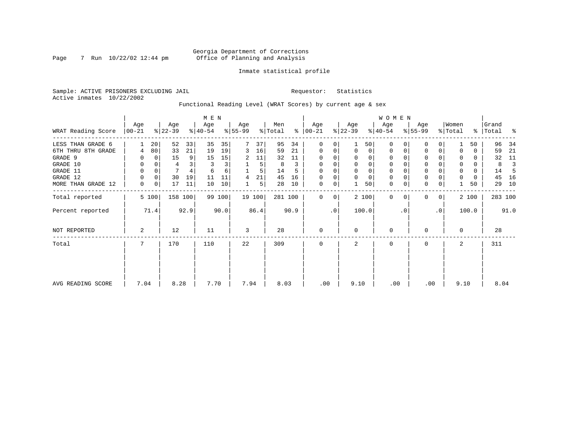#### Georgia Department of Corrections Page 7 Run 10/22/02 12:44 pm Office of Planning and Analysis

#### Inmate statistical profile

Sample: ACTIVE PRISONERS EXCLUDING JAIL **Requestor:** Statistics Active inmates 10/22/2002

Functional Reading Level (WRAT Scores) by current age & sex

|                    |                 | M E N           |                  |         |                  |        |                  |        |                |      |                 | W O M E N |                  |          |                  |           |                  |             |                  |          |                |      |
|--------------------|-----------------|-----------------|------------------|---------|------------------|--------|------------------|--------|----------------|------|-----------------|-----------|------------------|----------|------------------|-----------|------------------|-------------|------------------|----------|----------------|------|
| WRAT Reading Score | Age<br>$ 00-21$ |                 | Age<br>$ 22-39 $ |         | Age<br>$ 40-54 $ |        | Age<br>$ 55-99 $ |        | Men<br>% Total | ွေ   | Age<br>$ 00-21$ |           | Age<br>$ 22-39 $ |          | Age<br>$8 40-54$ |           | Age<br>$ 55-99 $ |             | Women<br>% Total | ွေ       | Grand<br>Total | ႜ    |
| LESS THAN GRADE 6  |                 | 20 <sup>1</sup> | 52               | 33      | 35               | 35     |                  | 37     | 95             | 34   | 0               | 0         |                  | 50       | $\Omega$         | 0         | 0                | 0           |                  | 50       | 96             | 34   |
| 6TH THRU 8TH GRADE | 4               | 80              | 33               | 21      | 19               | 19     | 3                | 16     | 59             | 21   | 0               | 0         | $\mathbf 0$      | 0        | 0                |           | 0                | 0           |                  | 0        | 59             | 21   |
| GRADE 9            |                 |                 | 15               | 9       | 15               | 15     | 2                | 11     | 32             | 11   | $\Omega$        | 0         |                  | $\Omega$ |                  |           | $\Omega$         |             |                  | 0        | 32             | 11   |
| GRADE 10           | 0               |                 | 4                |         | 3                | 3      |                  | 5      | 8              | 3    | $\mathbf 0$     | 0         | $\mathbf 0$      | 0        | 0                |           | 0                |             | 0                | 0        | 8              |      |
| GRADE 11           | 0               |                 | 7                |         | 6                | 6      |                  | 5      | 14             |      | $\Omega$        |           |                  |          |                  |           | $\mathbf 0$      |             | $\Omega$         | $\Omega$ | 14             |      |
| GRADE 12           | 0               | 0               | 30               | 19      | 11               | 11     | 4                | 21     | 45             | 16   | 0               | 0         | $\Omega$         | $\Omega$ | 0                |           | 0                |             | 0                | 0        | 45             | 16   |
| MORE THAN GRADE 12 | 0               | $\overline{0}$  | 17               | 11      | 10               | 10     |                  | 5      | 28             | 10   | 0               | 0         |                  | 50       | 0                |           | $\mathbf 0$      | 0           |                  | 50       | 29             | 10   |
| Total reported     |                 | 5 100           |                  | 158 100 |                  | 99 100 |                  | 19 100 | 281 100        |      | $\mathbf 0$     | 0         |                  | 2 100    | 0                | $\Omega$  | $\mathbf{0}$     | $\mathbf 0$ |                  | 2 100    | 283 100        |      |
| Percent reported   |                 | 71.4            |                  | 92.9    |                  | 90.0   |                  | 86.4   |                | 90.9 |                 | $\cdot$ 0 |                  | 100.0    |                  | $\cdot$ 0 |                  | $\cdot$ 0   |                  | 100.0    |                | 91.0 |
| NOT REPORTED       | 2               |                 | 12               |         | 11               |        | 3                |        | 28             |      | $\mathbf 0$     |           | $\Omega$         |          | 0                |           | 0                |             | $\Omega$         |          | 28             |      |
| Total              | 7               |                 | 170              |         | 110              |        | 22               |        | 309            |      | $\mathbf 0$     |           | 2                |          | $\mathbf 0$      |           | 0                |             | 2                |          | 311            |      |
|                    |                 |                 |                  |         |                  |        |                  |        |                |      |                 |           |                  |          |                  |           |                  |             |                  |          |                |      |
| AVG READING SCORE  | 7.04            |                 | 8.28             |         | 7.70             |        | 7.94             |        | 8.03           |      | .00             |           | 9.10             |          | .00              |           | .00              |             | 9.10             |          | 8.04           |      |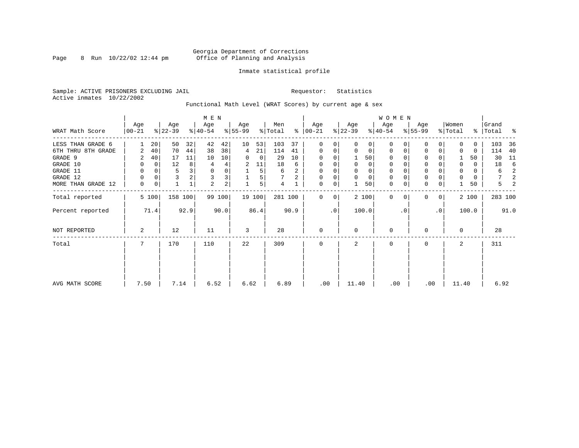#### Georgia Department of Corrections Page 8 Run 10/22/02 12:44 pm Office of Planning and Analysis

#### Inmate statistical profile

Sample: ACTIVE PRISONERS EXCLUDING JAIL **Requestor:** Statistics Active inmates 10/22/2002

Functional Math Level (WRAT Scores) by current age & sex

|                    |                  |          |                  |                | M E N            |                |                  |        |                |      |                              |    |                  |             | WOMEN            |             |                  |              |                  |       |                    |      |
|--------------------|------------------|----------|------------------|----------------|------------------|----------------|------------------|--------|----------------|------|------------------------------|----|------------------|-------------|------------------|-------------|------------------|--------------|------------------|-------|--------------------|------|
| WRAT Math Score    | Age<br>$00 - 21$ |          | Age<br>$ 22-39 $ |                | Age<br>$ 40-54 $ |                | Age<br>$ 55-99 $ |        | Men<br>% Total |      | Age<br>$\frac{1}{6}$   00-21 |    | Age<br>$ 22-39 $ |             | Age<br>$ 40-54 $ |             | Age<br>$8 55-99$ |              | Women<br>% Total |       | Grand<br>% Total % |      |
| LESS THAN GRADE 6  |                  | 20       | 50               | 32             | 42               | 42             | 10               | 53     | 103            | 37   | 0                            | 0  | $\Omega$         | 0           | $\mathbf 0$      | $\Omega$    | 0                | $\Omega$     | <sup>0</sup>     | 0     | 103                | 36   |
| 6TH THRU 8TH GRADE | 2                | 40       | 70               | 44             | 38               | 38             | 4                | 21     | 114            | 41   | $\mathbf 0$                  | 0  | 0                | 0           | 0                | 0           | 0                | 0            |                  | 0     | 114                | 40   |
| GRADE 9            | 2                | 40       | 17               | 11             | 10               | 10             | 0                | 0      | 29             | 10   | $\Omega$                     |    |                  | 50          | $\mathbf 0$      |             | 0                |              |                  | 50    | 30                 | 11   |
| GRADE 10           | 0                | 0        | 12               | 8 <sup>1</sup> | 4                | 4              | 2                | 11     | 18             | 6    | $\Omega$                     |    | 0                | 0           | 0                |             | 0                |              | 0                | 0     | 18                 | -6   |
| GRADE 11           | 0                | $\Omega$ | 5                | 3              | $\mathbf 0$      |                |                  | 5      | 6              | 2    | $\Omega$                     |    |                  | 0           | 0                |             | $\Omega$         |              |                  | 0     | 6                  | 2    |
| GRADE 12           | 0                | 0        | 3                | 2              | 3                | 3              |                  | 5      |                | 2    | $\Omega$                     | 0  | 0                | $\mathbf 0$ | 0                | O           | 0                |              | $\Omega$         | 0     | 7                  | 2    |
| MORE THAN GRADE 12 | 0                | 0        |                  |                | 2                | $\overline{2}$ |                  | 5      | 4              |      | 0                            | 0  |                  | 50          | $\mathbf 0$      | $\mathbf 0$ | $\mathbf 0$      | 0            |                  | 50    | 5                  | 2    |
| Total reported     |                  | 5 100    | 158 100          |                |                  | 99 100         |                  | 19 100 | 281 100        |      | $\Omega$                     | 0  |                  | 2 100       | $\mathbf{0}$     | $\Omega$    | $\Omega$         | $\mathbf{0}$ |                  | 2 100 | 283 100            |      |
| Percent reported   |                  | 71.4     |                  | 92.9           |                  | 90.0           |                  | 86.4   |                | 90.9 |                              | .0 |                  | 100.0       |                  | $\cdot$ 0   |                  | $\cdot$ 0    |                  | 100.0 |                    | 91.0 |
| NOT REPORTED       | 2                |          | 12               |                | 11               |                | 3                |        | 28             |      | $\mathbf 0$                  |    | 0                |             | $\mathbf 0$      |             | $\Omega$         |              | $\Omega$         |       | 28                 |      |
| Total              | 7                |          | 170              |                | 110              |                | 22               |        | 309            |      | $\mathbf 0$                  |    | 2                |             | $\mathbf 0$      |             | 0                |              | 2                |       | 311                |      |
|                    |                  |          |                  |                |                  |                |                  |        |                |      |                              |    |                  |             |                  |             |                  |              |                  |       |                    |      |
| AVG MATH SCORE     | 7.50             |          | 7.14             |                | 6.52             |                | 6.62             |        | 6.89           |      | .00                          |    | 11.40            |             | .00              |             | .00              |              | 11.40            |       | 6.92               |      |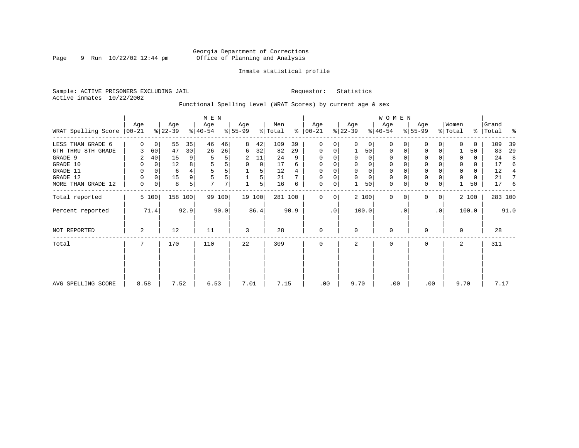#### Georgia Department of Corrections Page 9 Run  $10/22/02$  12:44 pm Office of Planning and Analysis

#### Inmate statistical profile

Sample: ACTIVE PRISONERS EXCLUDING JAIL **Requestor:** Statistics Active inmates 10/22/2002

Functional Spelling Level (WRAT Scores) by current age & sex

|                               |          |             |                  |         | $M$ E $N$        |        |                  |        |                |      |                   |           |                  |          | W O M E N        |           |                  |                |                  |          |                |      |
|-------------------------------|----------|-------------|------------------|---------|------------------|--------|------------------|--------|----------------|------|-------------------|-----------|------------------|----------|------------------|-----------|------------------|----------------|------------------|----------|----------------|------|
| WRAT Spelling Score $ 00-21 $ | Age      |             | Age<br>$ 22-39 $ |         | Age<br>$ 40-54 $ |        | Age<br>$ 55-99 $ |        | Men<br>% Total | ⊱    | Age<br>$ 00 - 21$ |           | Age<br>$ 22-39 $ |          | Age<br>$ 40-54 $ |           | Age<br>$ 55-99 $ |                | Women<br>% Total | ိ        | Grand<br>Total | ႜ    |
| LESS THAN GRADE 6             | $\Omega$ | 0           | 55               | 35      | 46               | 46     | 8                | 42     | 109            | 39   | $\mathbf 0$       | 0         | $\Omega$         | $\Omega$ | $\Omega$         | 0         | $\Omega$         | $\Omega$       | $\Omega$         | $\Omega$ | 109            | 39   |
| 6TH THRU 8TH GRADE            |          | 60          | 47               | 30      | 26               | 26     | 6                | 32     | 82             | 29   | $\mathbf 0$       | 0         |                  | 50       | 0                | 0         | $\Omega$         | 0              |                  | 50       | 83             | 29   |
| GRADE 9                       | 2        | 40          | 15               | 9       | 5                | 5      | 2                | 11     | 24             | 9    | $\Omega$          | 0         |                  | $\Omega$ | 0                |           |                  |                | 0                | 0        | 24             | 8    |
| GRADE 10                      | 0        | 0           | 12               | 8       | 5                | 5      | 0                | 0      | 17             | 6    | $\mathbf 0$       | 0         | 0                | 0        | 0                |           | $\Omega$         |                | 0                | 0        | 17             | 6    |
| GRADE 11                      | 0        |             | 6                |         | 5                | 5      |                  | 5      | 12             |      | $\Omega$          |           |                  | $\Omega$ | $\Omega$         |           | $\Omega$         |                | 0                | 0        | 12             | 4    |
| GRADE 12                      | 0        | $\Omega$    | 15               | 9       | 5                | 5      |                  | 5      | 21             |      | 0                 | 0         | $\Omega$         | 0        | 0                |           | $\mathbf{0}$     |                | 0                | 0        | 21             |      |
| MORE THAN GRADE 12            | 0        | $\mathbf 0$ | 8                | 5       | $\overline{7}$   | 7      |                  | 5      | 16             | 6    | 0                 | 0         |                  | 50       | 0                | 0         | $\mathbf 0$      | 0              |                  | 50       | 17             | 6    |
| Total reported                |          | 5 100       |                  | 158 100 |                  | 99 100 |                  | 19 100 | 281 100        |      | $\mathbf{0}$      | 0         |                  | 2 100    | $\mathbf{0}$     | $\Omega$  | $\Omega$         | 0 <sup>1</sup> |                  | 2 100    | 283 100        |      |
| Percent reported              |          | 71.4        |                  | 92.9    |                  | 90.0   |                  | 86.4   |                | 90.9 |                   | $\cdot$ 0 |                  | 100.0    |                  | $\cdot$ 0 |                  | .0             |                  | 100.0    |                | 91.0 |
| NOT REPORTED                  | 2        |             | 12               |         | 11               |        | 3                |        | 28             |      | $\mathbf{0}$      |           | $\Omega$         |          | 0                |           | $\mathbf 0$      |                | $\Omega$         |          | 28             |      |
| Total                         | 7        |             | 170              |         | 110              |        | 22               |        | 309            |      | $\mathbf 0$       |           | 2                |          | 0                |           | 0                |                | 2                |          | 311            |      |
|                               |          |             |                  |         |                  |        |                  |        |                |      |                   |           |                  |          |                  |           |                  |                |                  |          |                |      |
|                               |          |             |                  |         |                  |        |                  |        |                |      |                   |           |                  |          |                  |           |                  |                |                  |          |                |      |
| AVG SPELLING SCORE            | 8.58     |             | 7.52             |         | 6.53             |        | 7.01             |        | 7.15           |      | .00               |           | 9.70             |          | .00              |           | .00              |                | 9.70             |          | 7.17           |      |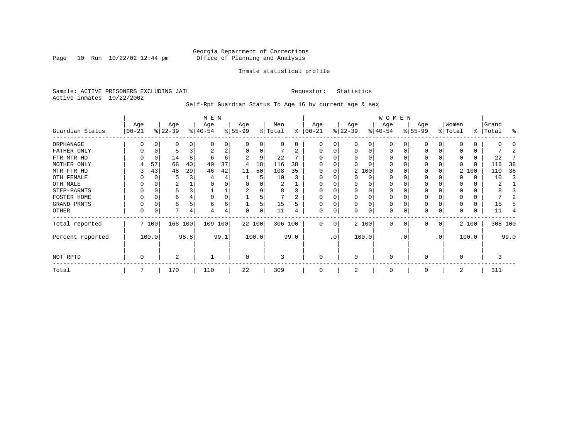Page  $10$  Run  $10/22/02$   $12:44$  pm

#### Inmate statistical profile

Sample: ACTIVE PRISONERS EXCLUDING JAIL **Requestor:** Statistics Active inmates 10/22/2002

Self-Rpt Guardian Status To Age 16 by current age & sex

|                  | M E N             |               |                  |    |                  |      |                  |          |                |      |                      |           |                  |              | WOMEN            |           |                  |             |                  |          |                |         |
|------------------|-------------------|---------------|------------------|----|------------------|------|------------------|----------|----------------|------|----------------------|-----------|------------------|--------------|------------------|-----------|------------------|-------------|------------------|----------|----------------|---------|
| Guardian Status  | Age<br>$ 00 - 21$ |               | Age<br>$ 22-39 $ |    | Age<br>$ 40-54 $ |      | Age<br>$8 55-99$ |          | Men<br>% Total |      | Age<br>$8   00 - 21$ |           | Age<br>$ 22-39 $ |              | Age<br>$ 40-54 $ |           | Age<br>$ 55-99 $ |             | Women<br>% Total | ွေ       | Grand<br>Total | န္      |
| ORPHANAGE        |                   |               | 0                |    | O                | 0    |                  |          |                | U    | 0                    | 0         |                  |              |                  |           | $\Omega$         |             |                  | 0        |                |         |
| FATHER ONLY      |                   |               |                  |    | 2                | 2    |                  | $\Omega$ |                |      | $\Omega$             | 0         |                  | <sup>0</sup> | $\Omega$         |           | 0                |             |                  | 0        |                |         |
| FTR MTR HD       |                   | 0             | 14               | 8  | 6                | 6    |                  | 9        | 22             |      | O                    |           |                  |              |                  |           | 0                |             |                  | 0        | 22             |         |
| MOTHER ONLY      | 4                 | 57            | 68               | 40 | 40               | 37   |                  | 18       | 116            | 38   |                      |           |                  |              |                  |           | 0                |             | 0                | 0        | 116            | 38      |
| MTR FTR HD       |                   | 43            | 48               | 29 | 46               | 42   | 11               | 50       | 108            | 35   | 0                    | 0         |                  | 2 100        | 0                |           | 0                |             |                  | 2 100    | 110            | 36      |
| OTH FEMALE       |                   | 0             |                  |    |                  | 4    |                  |          | 10             |      | 0                    | 0         |                  | 0            | 0                |           | 0                |             |                  | 0        | 10             |         |
| OTH MALE         |                   |               | 2                |    |                  |      |                  |          | 2              |      | $\Omega$             |           |                  |              |                  |           | 0                |             |                  | 0        | 2              |         |
| STEP-PARNTS      | $\Omega$          | $\Omega$      | 5                |    |                  |      | 2                |          | 8              |      | $\Omega$             | 0         |                  |              | 0                |           | 0                |             |                  | 0        |                |         |
| FOSTER HOME      |                   | 0             | 6                |    | $\Omega$         | 0    |                  |          |                |      | $\Omega$             |           |                  |              |                  |           | 0                |             |                  | $\Omega$ |                |         |
| GRAND PRNTS      | 0                 | $\Omega$      | 8                |    | 6                | б.   |                  | 5        | 15             | 5    | $\Omega$             | $\Omega$  |                  |              | 0                |           | $\mathbf 0$      |             |                  | $\Omega$ | 15             |         |
| OTHER            | 0                 |               | 7                | 4  |                  | 4    | $\Omega$         |          | 11             |      | $\Omega$             | 0         |                  |              | 0                |           | 0                | 0           |                  | 0        | 11             |         |
| Total reported   |                   | 7 100         | 168 100          |    | 109 100          |      |                  | 22 100   | 306 100        |      | $\Omega$             | 0         |                  | 2 100        | $\Omega$         | $\Omega$  | $\Omega$         | $\mathbf 0$ |                  | 2 100    |                | 308 100 |
| Percent reported |                   | 100.0<br>98.8 |                  |    |                  | 99.1 |                  | 100.0    |                | 99.0 |                      | $\cdot$ 0 |                  | 100.0        |                  | $\cdot$ 0 |                  | $\cdot$ 0   |                  | 100.0    |                | 99.0    |
| NOT RPTD         | 0<br>2            |               |                  |    | $\Omega$         |      | 3                |          | $\Omega$       |      | $\Omega$             |           | 0                |              | 0                |           | $\Omega$         |             |                  |          |                |         |
| Total            |                   |               | 170              |    | 110              |      | 22               |          | 309            |      | 0                    |           |                  |              | $\Omega$         |           | 0                |             | 2                |          | 311            |         |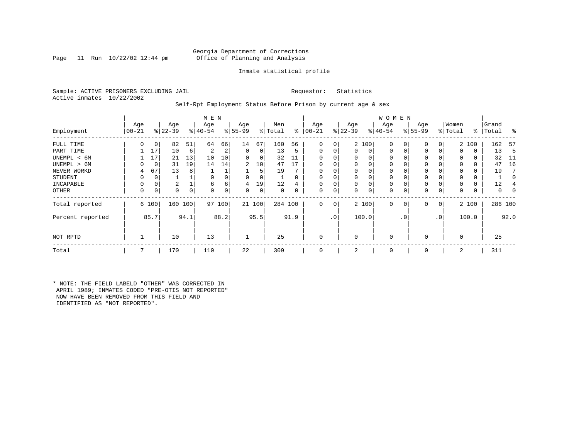Page 11 Run  $10/22/02$  12:44 pm

### Inmate statistical profile

Sample: ACTIVE PRISONERS EXCLUDING JAIL **Requestor:** Statistics Active inmates 10/22/2002

#### Self-Rpt Employment Status Before Prison by current age & sex

|                  | M E N     |              |           |    |           |          |             |        |         |          |          |                 |             |       | <b>WOMEN</b> |             |          |           |          |       |           |      |
|------------------|-----------|--------------|-----------|----|-----------|----------|-------------|--------|---------|----------|----------|-----------------|-------------|-------|--------------|-------------|----------|-----------|----------|-------|-----------|------|
|                  | Age       |              | Age       |    | Age       |          | Age         |        | Men     |          | Age      |                 | Age         |       | Age          |             | Age      |           | Women    |       | Grand     |      |
| Employment       | $00 - 21$ |              | $ 22-39 $ |    | $8 40-54$ |          | $ 55-99$    |        | % Total | ွေ       | $ 00-21$ |                 | $ 22-39 $   |       | $ 40-54 $    |             | $ 55-99$ |           | % Total  |       | %   Total | ႜ    |
| FULL TIME        | 0         | 0            | 82        | 51 | 64        | 66       | 14          | 67     | 160     | 56       | $\Omega$ | $\overline{0}$  |             | 2 100 | $\mathbf 0$  | 0           | 0        | 0         |          | 2 100 | 162       | - 57 |
| PART TIME        |           | 17           | 10        | 6  | 2         | 2        | $\mathbf 0$ | 0      | 13      | 5        | $\Omega$ | 0               | $\Omega$    | 0     | $\mathbf 0$  | $\mathbf 0$ | $\Omega$ |           | $\Omega$ | 0     | 13        | -5   |
| UNEMPL < 6M      |           | 17           | 21        | 13 | 10        | 10       | $\Omega$    | 0      | 32      | 11       | $\Omega$ |                 | 0           | 0     | 0            |             | 0        |           | 0        | 0     | 32        | -11  |
| UNEMPL > 6M      | $\Omega$  | 0            | 31        | 19 | 14        | 14       | 2           | 10     | 47      | 17       | $\Omega$ |                 | $\Omega$    | 0     | 0            |             | $\Omega$ |           | $\Omega$ | 0     | 47        | 16   |
| NEVER WORKD      | 4         | 67           | 13        | 8  |           |          |             | 5      | 19      |          | $\Omega$ |                 | $\mathbf 0$ | 0     | $\mathbf 0$  |             | $\Omega$ |           | $\Omega$ | 0     | 19        |      |
| <b>STUDENT</b>   | 0         | 0            |           |    | $\Omega$  |          | 0           | 0      |         | $\Omega$ | $\Omega$ |                 | $\mathbf 0$ | 0     | 0            |             | 0        |           | $\Omega$ | 0     |           |      |
| INCAPABLE        | 0         | 0            | 2         |    | 6         | 6        | 4           | 19     | 12      | 4        | $\Omega$ |                 | 0           | 0     | 0            |             | $\Omega$ |           |          | 0     | 12        |      |
| OTHER            | 0         | 0            | 0         | 0  | $\Omega$  | $\Omega$ | 0           | 0      | 0       |          | $\Omega$ | 0               | 0           | 0     | 0            | 0           | 0        | 0         | $\Omega$ | 0     | 0         | 0    |
| Total reported   |           | 6 100        | 160 100   |    | 97        | 100      |             | 21 100 | 284 100 |          | $\Omega$ | 0 <sup>1</sup>  |             | 2 100 | $\mathbf{0}$ | 0           | 0        | 0         |          | 2 100 | 286 100   |      |
| Percent reported |           | 85.7<br>94.1 |           |    |           | 88.2     |             | 95.5   |         | 91.9     |          | .0 <sup>1</sup> |             | 100.0 |              | . 0         |          | $\cdot$ 0 |          | 100.0 |           | 92.0 |
| NOT RPTD         |           |              | 10        |    | 13        |          |             |        | 25      |          |          |                 | $\Omega$    |       | $\mathbf 0$  |             | $\Omega$ |           | $\Omega$ |       | 25        |      |
| Total            | 7         |              | 170       |    | 110       |          | 22          |        | 309     |          |          |                 | 2           |       | 0            |             | $\Omega$ |           | 2        |       | 311       |      |

\* NOTE: THE FIELD LABELD "OTHER" WAS CORRECTED IN APRIL 1989; INMATES CODED "PRE-OTIS NOT REPORTED" NOW HAVE BEEN REMOVED FROM THIS FIELD AND IDENTIFIED AS "NOT REPORTED".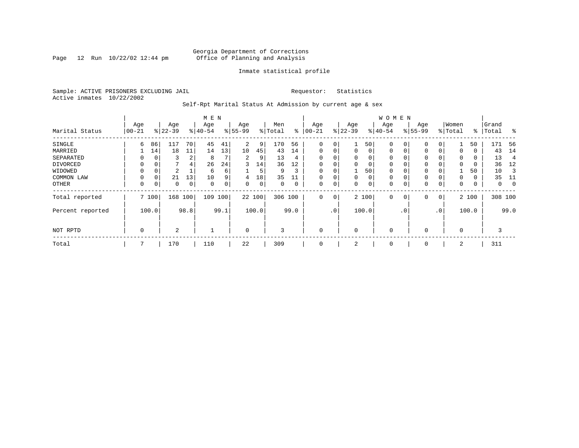Page 12 Run  $10/22/02$  12:44 pm

#### Inmate statistical profile

Sample: ACTIVE PRISONERS EXCLUDING JAIL **Requestor:** Statistics Active inmates 10/22/2002

Self-Rpt Marital Status At Admission by current age & sex

|                  |          |               |           |                | M E N    |             |             |       |         |      |             |     |             |          | <b>WOMEN</b> |                |             |          |             |       |         |             |
|------------------|----------|---------------|-----------|----------------|----------|-------------|-------------|-------|---------|------|-------------|-----|-------------|----------|--------------|----------------|-------------|----------|-------------|-------|---------|-------------|
|                  | Age      |               | Age       |                | Age      |             | Age         |       | Men     |      | Age         |     | Age         |          | Age          |                | Age         |          | Women       |       | Grand   |             |
| Marital Status   | $ 00-21$ |               | $ 22-39 $ |                | $ 40-54$ |             | $8 55-99$   |       | % Total | ွေ   | $100 - 21$  |     | $ 22-39$    |          | $ 40-54 $    |                | $8 55-99$   |          | % Total     | ႜ     | Total   | ွေ          |
| SINGLE           | 6        | 86            | 117       | 70             | 45       | 41          | 2           | 9     | 170     | 56   | 0           | 0   |             | 50       | 0            | 0              | $\mathbf 0$ | 0        |             | 50    | 171     | - 56        |
| MARRIED          |          | 14            | 18        | 11             | 14       | 13          | 10          | 45    | 43      | 14   | $\mathbf 0$ | 0   | $\mathbf 0$ | $\Omega$ | 0            | 0              | 0           | $\Omega$ | 0           | 0     | 43      | 14          |
| SEPARATED        | 0        | $\Omega$      | 3         | 2              | 8        |             | 2           | 9     | 13      | 4    | $\Omega$    | 0   | $\Omega$    | $\Omega$ | 0            |                | 0           |          | $\Omega$    | 0     | 13      | 4           |
| DIVORCED         | 0        | 0             |           | $\overline{4}$ | 26       | 24          | 3           | 14    | 36      | 12   | 0           | 0   | $\Omega$    | 0        | 0            |                | 0           |          | $\Omega$    | 0     | 36      | 12          |
| WIDOWED          |          | 0             | 2         |                | 6        | б.          |             | 5     | 9       | 3    | 0           | 0   |             | 50       | 0            |                | 0           |          |             | 50    | 10      |             |
| COMMON LAW       | 0        | $\Omega$      | 21        | 13             | 10       | 9           | 4           | 18    | 35      |      |             | 0   | $\Omega$    | 0        | $\mathbf 0$  |                | 0           |          | $\Omega$    | 0     | 35      |             |
| OTHER            | 0        | 0             | 0         | 0              | 0        | $\mathbf 0$ | 0           | 0     | 0       | 0    | $\mathbf 0$ | 0   | 0           | 0        | 0            |                | $\mathbf 0$ | 0        | $\mathbf 0$ | 0     | 0       | $\mathbf 0$ |
| Total reported   |          | 7 100         | 168       | 100            | 109      | 100         | 22 100      |       | 306 100 |      | $\mathbf 0$ | 0   |             | 2 100    | 0            | $\overline{0}$ | $\mathbf 0$ | 0        |             | 2 100 | 308 100 |             |
| Percent reported |          | 98.8<br>100.0 |           |                |          | 99.1        |             | 100.0 |         | 99.0 |             | .0' |             | 100.0    |              | $\cdot$ 0      |             | .0'      |             | 100.0 |         | 99.0        |
| NOT RPTD         | 0        |               | 2         |                |          |             | $\mathbf 0$ |       | 3       |      | $\mathbf 0$ |     | $\Omega$    |          | $\mathbf 0$  |                | $\mathbf 0$ |          | $\Omega$    |       | 3       |             |
| Total            |          |               | 170       |                | 110      |             | 22          |       | 309     |      | 0           |     | 2           |          | 0            |                | 0           |          | 2           |       | 311     |             |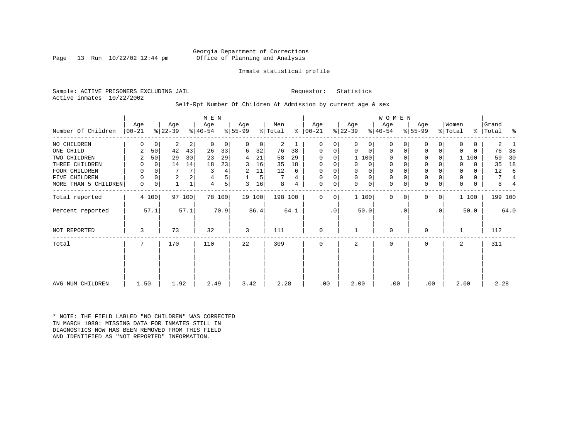Page 13 Run  $10/22/02$  12:44 pm

#### Inmate statistical profile

Sample: ACTIVE PRISONERS EXCLUDING JAIL **Requestor:** Statistics Active inmates 10/22/2002

Self-Rpt Number Of Children At Admission by current age & sex

|                      | Age      |             | Age            |        | M E N<br>Age |        | Age       |        | Men     |      | Age           |           | Age            |             | <b>WOMEN</b><br>Age |           | Age         |           | Women   |              | Grand   |      |
|----------------------|----------|-------------|----------------|--------|--------------|--------|-----------|--------|---------|------|---------------|-----------|----------------|-------------|---------------------|-----------|-------------|-----------|---------|--------------|---------|------|
| Number Of Children   | $ 00-21$ |             | $ 22-39 $      |        | $ 40-54 $    |        | $ 55-99 $ |        | % Total |      | $8   00 - 21$ |           | $ 22-39 $      |             | $8 40-54$           |           | $ 55-99 $   |           | % Total | ៖            | Total   | ႜ    |
| NO CHILDREN          | 0        | $\mathbf 0$ | 2              | 2      | 0            | 0      | 0         | 0      | 2       |      | 0             | 0         | 0              | 0           | $\Omega$            |           | 0           | 0         | 0       | $\mathbf{0}$ | 2       |      |
| ONE CHILD            | 2        | 50          | 42             | 43     | 26           | 33     | 6         | 32     | 76      | 38   | 0             | 0         | 0              | 0           | $\mathbf 0$         |           | $\mathbf 0$ | 0         | 0       | 0            | 76      | 38   |
| TWO CHILDREN         | 2        | 50          | 29             | 30     | 23           | 29     | 4         | 21     | 58      | 29   | 0             | 0         |                | 1 100       | $\Omega$            |           | 0           |           |         | 1 100        | 59      | 30   |
| THREE CHILDREN       | 0        | 0           | 14             | 14     | 18           | 23     | 3         | 16     | 35      | 18   | 0             | 0         | 0              | 0           | $\mathbf 0$         |           | $\mathbf 0$ |           | 0       | 0            | 35      | 18   |
| FOUR CHILDREN        | 0        | $\Omega$    |                | 7      |              | 4      | 2         | 11     | 12      | 6    | 0             |           | 0              | 0           | 0                   |           | $\mathbf 0$ |           | 0       | 0            | 12      | 6    |
| FIVE CHILDREN        | 0        | $\Omega$    | $\overline{a}$ |        | 4            | 5      |           | 5      |         | 4    | 0             | 0         | $\mathbf 0$    | $\mathbf 0$ | $\mathbf 0$         |           | $\mathbf 0$ |           | 0       | 0            | 7       |      |
| MORE THAN 5 CHILDREN | 0        | 0           |                |        | 4            | 5      | 3         | 16     | 8       | 4    | 0             | 0         | $\Omega$       | $\mathbf 0$ | $\mathbf 0$         |           | $\mathbf 0$ | 0         | 0       | 0            | 8       |      |
| Total reported       |          | 4 100       |                | 97 100 |              | 78 100 |           | 19 100 | 198 100 |      | $\Omega$      | 0         |                | 1 100       | $\Omega$            | $\Omega$  | $\Omega$    | 0         |         | 1 100        | 199 100 |      |
| Percent reported     |          | 57.1        |                | 57.1   |              | 70.9   |           | 86.4   |         | 64.1 |               | $\cdot$ 0 |                | 50.0        |                     | $\cdot$ 0 |             | $\cdot$ 0 |         | 50.0         |         | 64.0 |
| NOT REPORTED         | 3        |             | 73             |        | 32           |        | 3         |        | 111     |      | 0             |           |                |             | 0                   |           | $\Omega$    |           |         |              | 112     |      |
| Total                | 7        |             | 170            |        | 110          |        | 22        |        | 309     |      | 0             |           | $\overline{a}$ |             | $\mathbf 0$         |           | 0           |           | 2       |              | 311     |      |
|                      |          |             |                |        |              |        |           |        |         |      |               |           |                |             |                     |           |             |           |         |              |         |      |
|                      |          |             |                |        |              |        |           |        |         |      |               |           |                |             |                     |           |             |           |         |              |         |      |
| AVG NUM CHILDREN     | 1.50     |             | 1.92           |        | 2.49         |        | 3.42      |        | 2.28    |      | .00           |           | 2.00           |             | .00                 |           | .00         |           | 2.00    |              | 2.28    |      |

\* NOTE: THE FIELD LABLED "NO CHILDREN" WAS CORRECTED IN MARCH 1989: MISSING DATA FOR INMATES STILL IN DIAGNOSTICS NOW HAS BEEN REMOVED FROM THIS FIELD AND IDENTIFIED AS "NOT REPORTED" INFORMATION.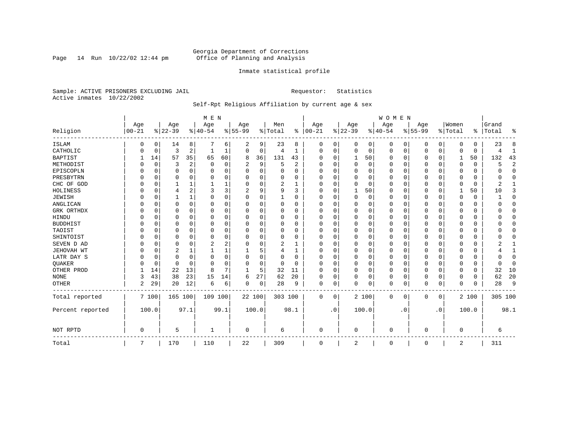Page 14 Run  $10/22/02$  12:44 pm

#### Inmate statistical profile

Sample: ACTIVE PRISONERS EXCLUDING JAIL **Requestor:** Statistics Active inmates 10/22/2002

### Self-Rpt Religious Affiliation by current age & sex

|                  |            |          |           |          | M E N    |          |           |          |          |                |          |           |             |          | <b>WOMEN</b> |           |           |                |                |             |           |                |
|------------------|------------|----------|-----------|----------|----------|----------|-----------|----------|----------|----------------|----------|-----------|-------------|----------|--------------|-----------|-----------|----------------|----------------|-------------|-----------|----------------|
|                  | Age        |          | Age       |          | Age      |          | Age       |          | Men      |                | Age      |           | Age         |          | Age          |           | Age       |                | Women          |             | Grand     |                |
| Religion         | $ 00 - 21$ |          | $8 22-39$ |          | $ 40-54$ |          | $8 55-99$ |          | % Total  | ွေ             | $ 00-21$ |           | $ 22-39$    |          | $ 40-54$     |           | $8 55-99$ |                | % Total        |             | %   Total | ႜ              |
| <b>ISLAM</b>     | 0          | 0        | 14        | 8        |          | 6        | 2         | 9        | 23       | 8              | 0        | 0         | 0           | 0        | 0            | 0         | 0         | 0              | $\Omega$       | 0           | 23        | 8              |
| CATHOLIC         |            | 0        | 3         | 2        |          |          | $\Omega$  | 0        | 4        | 1              | $\Omega$ | 0         | $\mathbf 0$ | 0        | 0            | 0         | 0         | 0              | $\Omega$       | $\mathbf 0$ |           | 1              |
| <b>BAPTIST</b>   |            | 14       | 57        | 35       | 65       | 60       | 8         | 36       | 131      | 43             | O        | $\Omega$  | 1           | 50       | <sup>0</sup> | 0         | 0         | $\Omega$       | 1              | 50          | 132       | 43             |
| METHODIST        |            | 0        | 3         | 2        | $\Omega$ | $\Omega$ | 2         | 9        | 5        | $\overline{2}$ | $\Omega$ | $\Omega$  | $\Omega$    | $\Omega$ | <sup>0</sup> | $\Omega$  | 0         | $\Omega$       | $\Omega$       | $\Omega$    | 5         | $\overline{2}$ |
| EPISCOPLN        |            | $\Omega$ | 0         | 0        | 0        | 0        |           | $\Omega$ |          | O              |          | $\Omega$  | $\Omega$    | 0        |              | $\Omega$  | 0         | 0              |                | 0           |           | $\Omega$       |
| PRESBYTRN        |            | $\Omega$ | 0         | 0        | 0        | 0        | U         | O        | 0        | 0              | $\Omega$ | $\Omega$  | $\Omega$    | $\Omega$ | 0            | $\Omega$  | 0         | U              | $\Omega$       | 0           |           | $\Omega$       |
| CHC OF GOD       |            | 0        |           | 1        |          |          |           | O        | 2        | -1             | O        | $\Omega$  | $\Omega$    | $\Omega$ | <sup>0</sup> | $\Omega$  | U         | 0              | $\Omega$       | $\Omega$    |           |                |
| HOLINESS         |            | $\Omega$ | 4         | 2        | 3        | 3        |           | 9        | 9        | 3              | $\Omega$ | $\Omega$  |             | 50       | <sup>0</sup> | $\Omega$  | 0         | 0              | -1             | 50          | 10        | 3              |
| <b>JEWISH</b>    |            | $\Omega$ |           | 1        | O        | $\Omega$ | U         | 0        |          | O              | O        |           | $\Omega$    | $\Omega$ |              | $\Omega$  | 0         | $\Omega$       | O              |             |           | $\Omega$       |
| ANGLICAN         |            | 0        | 0         | $\Omega$ | O        | U        | U         | O        | $\Omega$ | O              | $\Omega$ |           | C           | $\Omega$ | O            | $\Omega$  | 0         | $\Omega$       | $\Omega$       | 0           |           | $\mathbf 0$    |
| GRK ORTHDX       |            | $\Omega$ | 0         | 0        | O        | 0        | U         | U        | $\Omega$ | O              | $\Omega$ | $\Omega$  | O           | 0        | <sup>0</sup> | $\Omega$  | 0         | 0              | $\Omega$       | $\Omega$    |           | $\Omega$       |
| HINDU            |            | $\Omega$ | U         | 0        | O        | O        |           | 0        | 0        | 0              |          | $\Omega$  | O           | 0        | 0            | $\Omega$  | 0         | U              | O              | 0           |           | $\Omega$       |
| <b>BUDDHIST</b>  |            | $\Omega$ | U         | 0        | O        | $\Omega$ |           | O        | 0        | O              |          | $\Omega$  | O           | $\Omega$ |              | $\Omega$  | 0         | U              | O              | O           |           | $\Omega$       |
| TAOIST           |            | $\Omega$ | O         | $\Omega$ | O        | O        |           | O        | 0        | O              |          |           | $\Omega$    | $\Omega$ | O            | $\Omega$  | 0         | U              |                | U           |           | $\Omega$       |
| SHINTOIST        |            | $\Omega$ | U         | 0        | $\Omega$ | 0        | U         | U        | $\Omega$ | O              | O        | $\Omega$  | $\Omega$    | 0        | 0            | $\Omega$  | 0         | 0              | ∩              | O           |           | $\Omega$       |
| SEVEN D AD       |            | $\Omega$ | U         | O        |          | 2        | U         | 0        | 2        |                | O        |           | $\cap$      | $\Omega$ | <sup>0</sup> | $\Omega$  | U         | O              | $\Omega$       | O           |           |                |
| JEHOVAH WT       |            | $\Omega$ | 2         | 1        |          |          |           | 5        | 4        |                | $\Omega$ |           | O           | 0        | 0            | $\Omega$  | 0         | 0              | $\Omega$       | U           |           | 1              |
| LATR DAY S       |            | 0        | 0         | 0        | 0        | $\Omega$ | U         | 0        | 0        | 0              | $\Omega$ |           | O           | $\Omega$ | 0            | 0         | 0         | U              | $\Omega$       | 0           |           | $\mathbf{0}$   |
| QUAKER           |            | 0        | 0         | $\Omega$ | $\Omega$ | $\Omega$ | U         | 0        | 0        | $\Omega$       | $\Omega$ | $\Omega$  | $\mathbf 0$ | $\Omega$ | <sup>0</sup> | 0         | 0         | $\Omega$       | $\Omega$       | 0           | ∩         | $\Omega$       |
| OTHER PROD       |            | 14       | 22        | 13       | 8        | 7        |           | 5        | 32       | 11             | $\Omega$ | $\Omega$  | $\mathbf 0$ | 0        | $\Omega$     | $\Omega$  | 0         | $\Omega$       | $\Omega$       | 0           | 32        | 10             |
| <b>NONE</b>      | 3          | 43       | 38        | 23       | 15       | 14       | 6         | 27       | 62       | 20             | $\Omega$ | 0         | $\Omega$    | 0        | 0            | $\Omega$  | 0         | 0              | $\Omega$       | 0           | 62        | 20             |
| <b>OTHER</b>     | 2          | 29       | 20        | 12       | 6        | 6        | 0         | 0        | 28       | 9              | 0        | 0         | $\Omega$    | 0        | 0            | 0         | 0         | 0              | $\Omega$       | $\Omega$    | 28        | 9              |
| Total reported   |            | 7 100    | 165 100   |          | 109 100  |          | 22 100    |          | 303 100  |                | 0        | 0         |             | 2 100    | 0            | 0         | 0         | $\overline{0}$ |                | 2 100       | 305 100   |                |
| Percent reported |            | 100.0    |           | 97.1     |          | 99.1     | 100.0     |          |          | 98.1           |          | $\cdot$ 0 |             | 100.0    |              | $\cdot$ 0 |           | $\cdot$ 0      |                | 100.0       |           | 98.1           |
| NOT RPTD         | $\Omega$   |          | 5         |          | -1       |          | 0         |          | 6        |                | $\Omega$ |           | $\Omega$    |          | $\Omega$     |           | U         |                | $\Omega$       |             | 6         |                |
| Total            | 7          |          | 170       |          | 110      |          | 22        |          | 309      |                | 0        |           | 2           |          | 0            |           | 0         |                | $\overline{2}$ |             | 311       |                |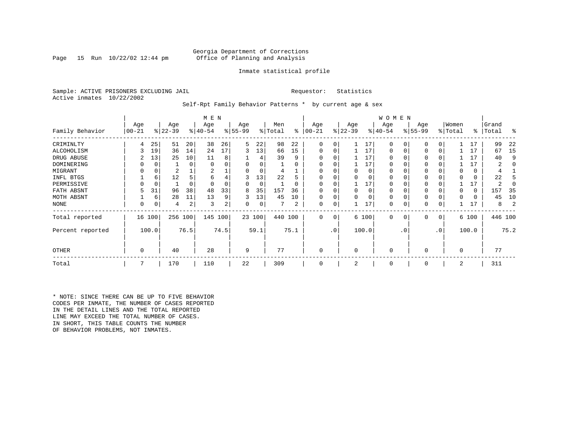Page 15 Run  $10/22/02$  12:44 pm

#### Inmate statistical profile

Sample: ACTIVE PRISONERS EXCLUDING JAIL **Requestor:** Statistics Active inmates 10/22/2002

Self-Rpt Family Behavior Patterns \* by current age & sex

|                  |                 |             |                  |      | M E N            |      |                 |        |                |          |                  |           |                  |          | W O M E N       |           |                 |           |                  |       |                |         |
|------------------|-----------------|-------------|------------------|------|------------------|------|-----------------|--------|----------------|----------|------------------|-----------|------------------|----------|-----------------|-----------|-----------------|-----------|------------------|-------|----------------|---------|
| Family Behavior  | Age<br>$ 00-21$ |             | Age<br>$ 22-39 $ |      | Age<br>$ 40-54 $ |      | Age<br>$ 55-99$ |        | Men<br>% Total | ႜ        | Age<br>$00 - 21$ |           | Age<br>$ 22-39 $ |          | Age<br>$ 40-54$ |           | Age<br>$ 55-99$ |           | Women<br>% Total | ∻     | Grand<br>Total | ႜ       |
| CRIMINLTY        | 4               | 25          | 51               | 20   | 38               | 26   | 5               | 22     | 98             | 22       | $\Omega$         | 0         |                  | 17       | $\Omega$        | 0         | $\Omega$        |           |                  | 17    | 99             | 22      |
| ALCOHOLISM       |                 | 19          | 36               | 14   | 24               | 17   | 3               | 13     | 66             | 15       | 0                | 0         |                  | 17       | 0               |           | $\Omega$        | 0         |                  | 17    | 67             | 15      |
| DRUG ABUSE       |                 | 13          | 25               | 10   | 11               | 8    |                 |        | 39             | 9        |                  |           |                  | 17       | U               |           |                 |           |                  | 17    | 40             | q       |
| DOMINERING       |                 | $\Omega$    |                  | 0    | $\Omega$         |      |                 |        |                | O        |                  |           |                  | 17       | <sup>0</sup>    |           |                 |           |                  | 17    |                |         |
| MIGRANT          |                 | 0           | 2                |      | 2                |      |                 | 0      |                |          |                  |           |                  | 0        | 0               |           | $\Omega$        |           |                  | 0     |                |         |
| INFL BTGS        |                 | 6           | 12               |      | 6                | 4    | 3               | 13     | 22             | h        |                  |           |                  | $\Omega$ | 0               |           | $\Omega$        |           |                  | 0     | 22             |         |
| PERMISSIVE       |                 | $\mathbf 0$ |                  | 0    | $\Omega$         |      | 0               | 0      |                | $\Omega$ | $\Omega$         | U         |                  | 17       | 0               |           | $\Omega$        |           |                  | 17    |                |         |
| FATH ABSNT       |                 | 31          | 96               | 38   | 48               | 33   | 8               | 35     | 157            | 36       |                  |           |                  | $\Omega$ | 0               |           |                 |           |                  | 0     | 157            | -35     |
| MOTH ABSNT       |                 | 6           | 28               | 11   | 13               | 9    | 3               | 13     | 45             | 10       | 0                | 0         |                  | $\Omega$ | 0               |           | $\Omega$        |           |                  | 0     | 45             | 10      |
| NONE             | 0               | 0           | 4                | 2    | 3                | 2    | 0               | 0      |                | 2        | 0                | 0         |                  | 17       | 0               |           | 0               |           |                  | 17    | 8              |         |
| Total reported   |                 | 16 100      | 256 100          |      | 145 100          |      |                 | 23 100 | 440 100        |          | 0                | 0         |                  | 6 100    | $\mathbf 0$     | 0         | 0               | 0         |                  | 6 100 |                | 446 100 |
| Percent reported |                 | 100.0       |                  | 76.5 |                  | 74.5 |                 | 59.1   |                | 75.1     |                  | $\cdot$ 0 |                  | 100.0    |                 | $\cdot$ 0 |                 | $\cdot$ 0 |                  | 100.0 |                | 75.2    |
| <b>OTHER</b>     | 0               |             | 40               |      | 28               |      | 9               |        | 77             |          | 0                |           | $\Omega$         |          | $\Omega$        |           | $\Omega$        |           | $\Omega$         |       | 77             |         |
| Total            | 7               |             | 170              |      | 110              |      | 22              |        | 309            |          | 0                |           | 2                |          | $\mathbf 0$     |           | 0               |           | 2                |       | 311            |         |

\* NOTE: SINCE THERE CAN BE UP TO FIVE BEHAVIOR CODES PER INMATE, THE NUMBER OF CASES REPORTED IN THE DETAIL LINES AND THE TOTAL REPORTED LINE MAY EXCEED THE TOTAL NUMBER OF CASES. IN SHORT, THIS TABLE COUNTS THE NUMBER OF BEHAVIOR PROBLEMS, NOT INMATES.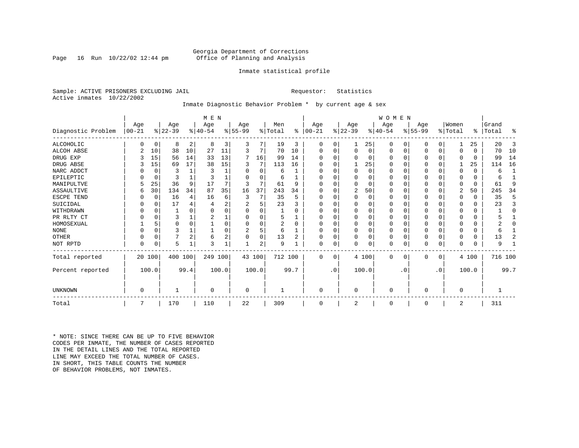Page 16 Run  $10/22/02$  12:44 pm

#### Inmate statistical profile

Sample: ACTIVE PRISONERS EXCLUDING JAIL **Requestor:** Statistics Active inmates 10/22/2002

### Inmate Diagnostic Behavior Problem \* by current age & sex

|                    | M E N      |             |           |              |          |       |           |        |         |          |           |           |                |          | WOMEN       |           |           |           |                |          |         |              |
|--------------------|------------|-------------|-----------|--------------|----------|-------|-----------|--------|---------|----------|-----------|-----------|----------------|----------|-------------|-----------|-----------|-----------|----------------|----------|---------|--------------|
|                    | Age        |             | Age       |              | Age      |       | Age       |        | Men     |          | Age       |           | Age            |          | Age         |           | Age       |           | Women          |          | Grand   |              |
| Diagnostic Problem | $ 00 - 21$ |             | $ 22-39 $ |              | $ 40-54$ |       | $8 55-99$ |        | % Total | ႜ        | $ 00-21 $ |           | $ 22-39 $      |          | $ 40-54$    |           | $ 55-99 $ |           | % Total        | ႜ        | Total   | ፠            |
| <b>ALCOHOLIC</b>   | O          | 0           | 8         | 2            | 8        | 3     | 3         | 7      | 19      | 3        | 0         | 0         | 1              | 25       | 0           | 0         | 0         | 0         |                | 25       | 20      | 3            |
| ALCOH ABSE         |            | 10          | 38        | 10           | 27       | 11    | 3         | 7      | 70      | 10       | 0         | $\Omega$  | $\mathbf 0$    | $\Omega$ | 0           | 0         | 0         | 0         | $\Omega$       | $\Omega$ | 70      | 10           |
| DRUG EXP           |            | 15          | 56        | 14           | 33       | 13    | 7         | 16     | 99      | 14       |           |           | $\mathbf 0$    | $\Omega$ | 0           | 0         |           | 0         | $\Omega$       | 0        | 99      | 14           |
| DRUG ABSE          |            | 15          | 69        | 17           | 38       | 15    | 3         | 7      | 113     | 16       |           |           |                | 25       | $\Omega$    | $\Omega$  | 0         | 0         |                | 25       | 114     | 16           |
| NARC ADDCT         |            | 0           | 3         |              | 3        |       |           | 0      | 6       |          |           |           | $\mathbf 0$    | $\Omega$ | $\Omega$    | $\Omega$  |           | $\Omega$  | $\Omega$       | $\Omega$ | 6       | $\mathbf{1}$ |
| EPILEPTIC          |            | $\mathbf 0$ |           |              |          |       |           | 0      | 6       |          | O         |           | $\Omega$       | O        | 0           | $\Omega$  | 0         | $\Omega$  | $\Omega$       | $\Omega$ | 6       |              |
| MANIPULTVE         |            | 25          | 36        | 9            | 17       |       | 3         | 7      | 61      | 9        |           |           | $\Omega$       | 0        | 0           | $\Omega$  |           | $\Omega$  | $\Omega$       | $\Omega$ | 61      | 9            |
| ASSAULTIVE         | 6          | 30          | 134       | 34           | 87       | 35    | 16        | 37     | 243     | 34       |           |           | 2              | 50       | 0           | 0         | 0         | 0         | $\overline{2}$ | 50       | 245     | 34           |
| ESCPE TEND         |            | 0           | 16        | 4            | 16       | 6     | 3         | 7      | 35      | 5        |           |           | $\Omega$       | 0        | 0           | $\Omega$  |           | $\Omega$  | $\Omega$       | $\Omega$ | 35      | 5            |
| SUICIDAL           |            | 0           | 17        | 4            |          | 2     |           | 5      | 23      | ζ        |           |           | $\Omega$       | U        | U           | O         |           | $\Omega$  | ∩              | $\Omega$ | 23      | 3            |
| WITHDRAWN          |            | $\Omega$    |           | O            | O        |       |           | O      |         | O        |           |           | $\Omega$       |          | O           | $\Omega$  |           | $\Omega$  | $\Omega$       | $\Omega$ |         | $\Omega$     |
| PR RLTY CT         | O          | $\Omega$    | 3         |              |          |       | O         | 0      | 5       |          |           |           | $\Omega$       | O        | $\Omega$    | $\Omega$  | Ω         | $\Omega$  | $\Omega$       | $\Omega$ |         |              |
| HOMOSEXUAL         |            | 5           | 0         | $\Omega$     |          |       | U         | 0      | 2       | $\Omega$ |           |           | $\Omega$       | $\Omega$ | 0           | $\Omega$  | 0         | $\Omega$  | $\Omega$       | U        |         | $\Omega$     |
| <b>NONE</b>        |            | $\Omega$    |           |              |          |       | 2         | 5      | 6       |          | U         |           | $\Omega$       | 0        | $\Omega$    | $\Omega$  |           | 0         | $\Omega$       | $\Omega$ | 6       |              |
| OTHER              |            | $\Omega$    |           | 2            | 6        | 2     | $\Omega$  | 0      | 13      | 2        | O         |           | $\mathbf 0$    | 0        | 0           | $\Omega$  | 0         | $\Omega$  | $\Omega$       | $\Omega$ | 13      | 2            |
| NOT RPTD           | 0          | $\Omega$    | 5         | $\mathbf{1}$ | 3        |       |           | 2      | 9       |          | 0         | 0         | $\mathbf 0$    | 0        | $\Omega$    | 0         | 0         | 0         | $\Omega$       | $\Omega$ | 9       |              |
| Total reported     |            | 20 100      | 400       | 100          | 249 100  |       |           | 43 100 | 712 100 |          | $\Omega$  | $\Omega$  |                | 4 100    | $\mathbf 0$ | 0         | 0         | 0         |                | 4 100    | 716 100 |              |
| Percent reported   |            | 100.0       |           | 99.4         |          | 100.0 |           | 100.0  |         | 99.7     |           | $\cdot$ 0 |                | 100.0    |             | $\cdot$ 0 |           | $\cdot$ 0 |                | 100.0    |         | 99.7         |
| UNKNOWN            | $\Omega$   |             |           |              | $\Omega$ |       | 0         |        |         |          | $\Omega$  |           | $\mathbf 0$    |          | $\Omega$    |           | 0         |           | $\mathbf 0$    |          |         |              |
|                    |            |             |           |              |          |       |           |        |         |          |           |           |                |          |             |           |           |           |                |          |         |              |
| Total              | 7          |             | 170       |              | 110      |       | 22        |        | 309     |          | $\Omega$  |           | $\overline{2}$ |          | $\mathbf 0$ |           | 0         |           | 2              |          | 311     |              |

\* NOTE: SINCE THERE CAN BE UP TO FIVE BEHAVIOR CODES PER INMATE, THE NUMBER OF CASES REPORTED IN THE DETAIL LINES AND THE TOTAL REPORTED LINE MAY EXCEED THE TOTAL NUMBER OF CASES.IN SHORT, THIS TABLE COUNTS THE NUMBER OF BEHAVIOR PROBLEMS, NOT INMATES.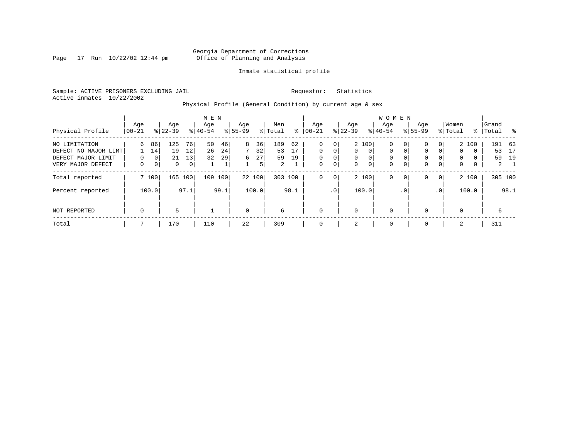Page  $17$  Run  $10/22/02$   $12:44$  pm

#### Inmate statistical profile

Sample: ACTIVE PRISONERS EXCLUDING JAIL **Requestor:** Statistics Active inmates 10/22/2002

Physical Profile (General Condition) by current age & sex

|                      |             |                |           |      | M E N     |      |             |        |                |      |             |             |           |                | W O M E N   |                |              |             |             |          |       |             |
|----------------------|-------------|----------------|-----------|------|-----------|------|-------------|--------|----------------|------|-------------|-------------|-----------|----------------|-------------|----------------|--------------|-------------|-------------|----------|-------|-------------|
|                      | Age         |                | Age       |      | Age       |      | Age         |        | Men            |      | Age         |             | Age       |                | Aqe         |                | Age          |             | Women       |          | Grand |             |
| Physical Profile     | 00-21       |                | $8 22-39$ |      | $8 40-54$ |      | $8 55-99$   |        | % Total        | ႜ    | $ 00-21$    |             | $ 22-39 $ |                | $8 40-54$   |                | $8155 - 99$  |             | % Total     | ႜ        | Total | - %         |
| NO LIMITATION        | 6           | 86             | 125       | 76   | 50        | 46   | 8           | 36     | 189            | 62   | $\mathbf 0$ | 0           |           | 2 100          | 0           | 0 <sup>1</sup> | $\mathbf{0}$ | 0           |             | 2 100    |       | 191 63      |
| DEFECT NO MAJOR LIMT |             | 14             | 19        | 12   | 26        | 24   | 7           | 32     | 53             | 17   | $\Omega$    | 0           | $\Omega$  | $\Omega$       | 0           | $\mathbf{0}$   | $\mathbf 0$  | $\Omega$    | $\mathbf 0$ | $\Omega$ | 53    | 17          |
| DEFECT MAJOR LIMIT   | $\Omega$    | 0 <sup>1</sup> | 21        | 13   | 32        | 29   | 6           | 27     | 59             | 19   | $\mathbf 0$ | $\mathbf 0$ | $\Omega$  | $\Omega$       | 0           |                | $\mathbf{0}$ |             | $\Omega$    | $\Omega$ | 59    | 19          |
| VERY MAJOR DEFECT    | 0           | 0 <sup>1</sup> | 0         | 0    |           | Τ.   |             | 5      | $\overline{2}$ |      | $\mathbf 0$ | 0           | 0         | $\overline{0}$ | $\mathbf 0$ | 0              | $\mathbf 0$  | $\mathbf 0$ | 0           | 0        |       | $2 \quad 1$ |
| Total reported       |             | 7 100          | 165       | 100  | 109       | 100  |             | 22 100 | 303 100        |      | $\mathbf 0$ | 0           |           | 2 100          | 0           | $\mathbf{0}$   | $\mathbf{0}$ | $\mathbf 0$ |             | 2 100    |       | 305 100     |
| Percent reported     |             | 100.0          |           | 97.1 |           | 99.1 |             | 100.0  |                | 98.1 |             | $\cdot$ 0   |           | 100.0          |             | $\cdot$ 0      |              | .0'         |             | 100.0    |       | 98.1        |
| NOT REPORTED         | $\mathbf 0$ |                | 5         |      |           |      | $\mathbf 0$ |        | 6              |      | $\mathbf 0$ |             | $\Omega$  |                | $\mathbf 0$ |                | $\mathbf{0}$ |             | $\Omega$    |          | 6     |             |
| Total                |             |                | 170       |      | 110       |      | 22          |        | 309            |      | $\mathbf 0$ |             | 2         |                | 0           |                | $\mathbf 0$  |             | 2           |          | 311   |             |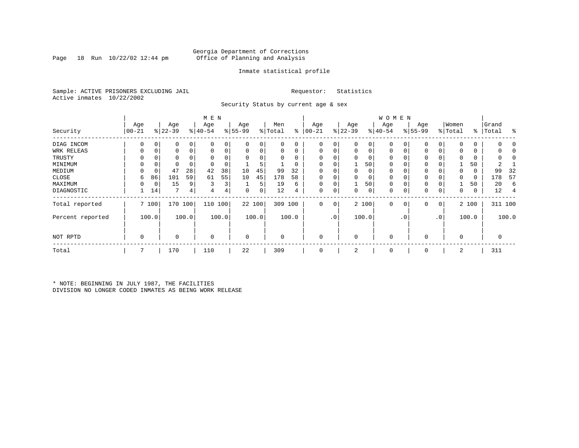Page 18 Run  $10/22/02$  12:44 pm

#### Inmate statistical profile

Sample: ACTIVE PRISONERS EXCLUDING JAIL **Requestor:** Statistics Active inmates 10/22/2002

Security Status by current age & sex

|                  |          |       |           |          | M E N       |                |             |        |          |          |             |                 |             |                | W O M E N    |                |             |           |             |       |           |         |
|------------------|----------|-------|-----------|----------|-------------|----------------|-------------|--------|----------|----------|-------------|-----------------|-------------|----------------|--------------|----------------|-------------|-----------|-------------|-------|-----------|---------|
|                  | Age      |       | Age       |          | Age         |                | Age         |        | Men      |          | Age         |                 | Age         |                | Age          |                | Age         |           | Women       |       | Grand     |         |
| Security         | $ 00-21$ |       | $ 22-39 $ |          | $ 40-54 $   |                | $ 55-99 $   |        | % Total  | ి        | $00 - 21$   |                 | $ 22-39 $   |                | $ 40-54 $    |                | $8155 - 99$ |           | % Total     |       | %   Total | း       |
| DIAG INCOM       |          |       |           | 0        | $\Omega$    |                | 0           | 0      | 0        | 0        | $\Omega$    | 0               | 0           | 0              |              | 0              | 0           | 0         | $\mathbf 0$ | 0     |           |         |
| WRK RELEAS       | 0        | 0     |           | 0        |             | 0              | 0           | 0      | 0        | 0        | $\mathbf 0$ | 0               | 0           | $\overline{0}$ | 0            | 0              | 0           | 0         | 0           | 0     |           |         |
| TRUSTY           |          |       |           |          |             |                | $\Omega$    |        |          | $\Omega$ |             |                 |             |                |              |                |             |           | $\Omega$    |       |           |         |
| MINIMUM          |          |       |           |          |             |                |             | 5      |          | 0        |             |                 |             | 50             | $\Omega$     |                | 0           |           |             | 50    |           |         |
| MEDIUM           | 0        | 0     | 47        | 28       | 42          | 38             | 10          | 45     | 99       | 32       | $\Omega$    |                 | 0           | 0              | $\Omega$     |                | 0           |           | 0           | 0     | 99        | 32      |
| CLOSE            | 6        | 86    | 101       | 59       | 61          | 55             | 10          | 45     | 178      | 58       |             |                 |             | 0              | 0            |                | 0           |           | $\mathbf 0$ | 0     | 178       | 57      |
| MAXIMUM          | $\Omega$ | 0     | 15        | 9        | 3           | 3 <sub>1</sub> |             | 5      | 19       | 6        | $\Omega$    |                 |             | 50             | $\Omega$     |                | $\Omega$    |           |             | 50    | 20        | 6       |
| DIAGNOSTIC       |          | 14    | 7         | $4\vert$ | 4           | 4              | 0           | 0      | 12       | 4        | $\Omega$    | 0               | 0           | 0              | 0            | 0              | 0           | 0         | 0           | 0     | 12        |         |
| Total reported   |          | 7100  | 170       | 100      | 110         | 100            |             | 22 100 | 309 100  |          | 0           | 0               |             | 2 100          | $\mathbf 0$  | 0 <sup>1</sup> | 0           | 0         |             | 2 100 |           | 311 100 |
| Percent reported |          | 100.0 |           | 100.0    |             | 100.0          |             | 100.0  |          | 100.0    |             | .0 <sup>1</sup> |             | 100.0          |              | .0'            |             | $\cdot$ 0 |             | 100.0 |           | 100.0   |
| NOT RPTD         | 0        |       | 0         |          | $\mathbf 0$ |                | $\mathbf 0$ |        | $\Omega$ |          | $\Omega$    |                 | $\mathbf 0$ |                | $\mathbf{0}$ |                | $\Omega$    |           | $\mathbf 0$ |       |           |         |
| Total            | 7        |       | 170       |          | 110         |                | 22          |        | 309      |          | 0           |                 | 2           |                | $\mathbf 0$  |                | 0           |           | 2           |       | 311       |         |

\* NOTE: BEGINNING IN JULY 1987, THE FACILITIES DIVISION NO LONGER CODED INMATES AS BEING WORK RELEASE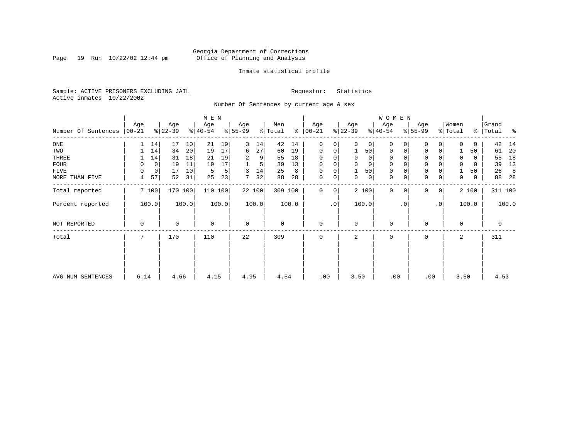Page 19 Run  $10/22/02$  12:44 pm

#### Inmate statistical profile

Sample: ACTIVE PRISONERS EXCLUDING JAIL **Requestor:** Statistics Active inmates 10/22/2002

Number Of Sentences by current age & sex

|                     |          |             |           |       |             |       |             |        |         |       |               |           |           |          | <b>WOMEN</b> |           |             |                 |                     |       |           |       |
|---------------------|----------|-------------|-----------|-------|-------------|-------|-------------|--------|---------|-------|---------------|-----------|-----------|----------|--------------|-----------|-------------|-----------------|---------------------|-------|-----------|-------|
|                     | Age      |             | Age       |       | Age         |       | Age         |        | Men     |       | Age           |           | Age       |          | Age          |           | Age         |                 | Women               |       | Grand     |       |
| Number Of Sentences | $ 00-21$ |             | $ 22-39 $ |       | $ 40-54 $   |       | $8 55-99$   |        | % Total |       | $8   00 - 21$ |           | $ 22-39 $ |          | $ 40-54 $    |           | $8 55-99$   |                 | $\frac{1}{2}$ Total |       | %   Total | ႜ     |
| ONE                 |          | 14          | 17        | 10    | 21          | 19    | 3           | 14     | 42      | 14    | $\Omega$      | 0         | $\Omega$  | 0        | $\Omega$     |           | O           | 0               |                     | 0     | 42        | 14    |
| TWO                 |          | 14          | 34        | 20    | 19          | 17    | 6           | 27     | 60      | 19    | 0             | 0         |           | 50       | 0            | $\Omega$  | $\mathbf 0$ | 0               |                     | 50    | 61        | 20    |
| THREE               |          | 14          | 31        | 18    | 21          | 19    | 2           | 9      | 55      | 18    | $\Omega$      |           | $\Omega$  | 0        | $\Omega$     |           | 0           |                 |                     | 0     | 55        | 18    |
| <b>FOUR</b>         | 0        | $\mathbf 0$ | 19        | 11    | 19          | 17    |             | 5      | 39      | 13    | $\Omega$      | 0         | $\Omega$  | $\Omega$ | $\Omega$     |           | $\Omega$    |                 | $\Omega$            | 0     | 39        | 13    |
| FIVE                | 0        | $\mathbf 0$ | 17        | 10    | 5           | 5     | 3           | 14     | 25      | 8     | 0             | 0         |           | 50       | 0            |           | $\mathbf 0$ |                 |                     | 50    | 26        | 8     |
| MORE THAN FIVE      | 4        | 57          | 52        | 31    | 25          | 23    | 7           | 32     | 88      | 28    | $\mathbf 0$   | 0         | 0         | 0        | $\mathbf{0}$ | 0         | $\mathbf 0$ | 0               | 0                   | 0     | 88        | 28    |
| Total reported      |          | 7 100       | 170 100   |       | 110 100     |       |             | 22 100 | 309 100 |       | $\Omega$      | 0         |           | 2 100    | $\Omega$     | $\Omega$  | $\Omega$    | $\overline{0}$  |                     | 2 100 | 311 100   |       |
| Percent reported    |          | 100.0       |           | 100.0 |             | 100.0 |             | 100.0  |         | 100.0 |               | $\cdot$ 0 |           | 100.0    |              | $\cdot$ 0 |             | .0 <sup>1</sup> |                     | 100.0 |           | 100.0 |
| NOT REPORTED        | 0        |             | 0         |       | $\mathbf 0$ |       | $\mathbf 0$ |        | 0       |       | $\mathbf 0$   |           | $\Omega$  |          | 0            |           | $\Omega$    |                 | 0                   |       | 0         |       |
| Total               |          |             | 170       |       | 110         |       | 22          |        | 309     |       | $\Omega$      |           | 2         |          | 0            |           | $\Omega$    |                 | 2                   |       | 311       |       |
|                     |          |             |           |       |             |       |             |        |         |       |               |           |           |          |              |           |             |                 |                     |       |           |       |
| AVG NUM SENTENCES   | 6.14     |             | 4.66      |       | 4.15        |       | 4.95        |        | 4.54    |       | .00           |           | 3.50      |          | .00          |           | .00         |                 | 3.50                |       | 4.53      |       |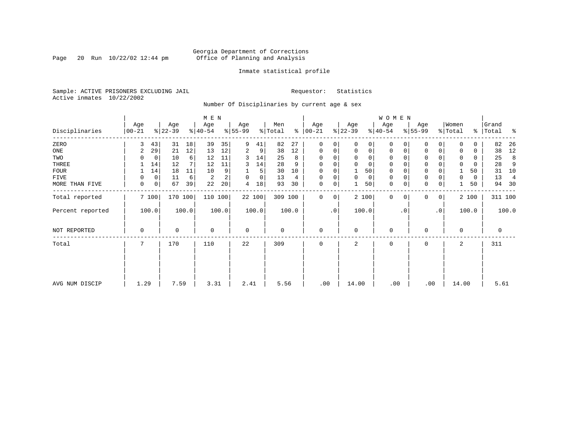Page 20 Run  $10/22/02$  12:44 pm

#### Inmate statistical profile

Sample: ACTIVE PRISONERS EXCLUDING JAIL **Requestor:** Statistics Active inmates 10/22/2002

Number Of Disciplinaries by current age & sex

|                  |                   |       |                  |         | M E N            |       |                          |             |                |       |                  |             |                  |             | W O M E N        |          |                  |             |                  |       |                    |                |
|------------------|-------------------|-------|------------------|---------|------------------|-------|--------------------------|-------------|----------------|-------|------------------|-------------|------------------|-------------|------------------|----------|------------------|-------------|------------------|-------|--------------------|----------------|
| Disciplinaries   | Age<br>$ 00 - 21$ |       | Age<br>$ 22-39 $ |         | Age<br>$ 40-54 $ |       | Age<br>$\frac{8}{55-99}$ |             | Men<br>% Total | ႜ     | Age<br>$00 - 21$ |             | Age<br>$ 22-39 $ |             | Age<br>$ 40-54 $ |          | Age<br>$8 55-99$ |             | Women<br>% Total |       | Grand<br>%   Total | ႜ              |
| ZERO             | 3                 | 43    | 31               | 18      | 39               | 35    | 9                        | 41          | 82             | 27    | $\mathbf{0}$     | $\Omega$    | $\Omega$         | 0           | $\mathbf 0$      | $\Omega$ | $\Omega$         | $\Omega$    | $\Omega$         | 0     | 82                 | 26             |
| ONE              | 2                 | 29    | 21               | 12      | 13               | 12    | 2                        | 9           | 38             | 12    | $\mathbf 0$      | 0           | $\mathbf 0$      | $\mathbf 0$ | 0                | 0        | 0                | $\mathbf 0$ | $\Omega$         | 0     | 38                 | 12             |
| TWO              |                   | 0     | 10               | 6       | 12               | 11    | 3                        | 14          | 25             | 8     | 0                |             | $\mathbf 0$      | 0           | 0                | $\Omega$ | $\Omega$         |             | $\mathbf 0$      | 0     | 25                 | 8              |
| THREE            |                   | 14    | 12               | 7       | 12               | 11    | 3                        | 14          | 28             | 9     | $\mathbf 0$      |             | $\mathbf 0$      | 0           | 0                |          | $\mathbf 0$      |             | $\mathbf 0$      | 0     | 28                 | 9              |
| <b>FOUR</b>      |                   | 14    | 18               | 11      | 10               | 9     |                          | 5           | 30             | 10    | $\mathbf 0$      |             |                  | 50          | $\mathbf 0$      |          | $\mathbf 0$      |             |                  | 50    | 31                 | 10             |
| FIVE             | 0                 | 0     | 11               | 6       | 2                | 2     | 0                        | $\mathbf 0$ | 13             | 4     | 0                | 0           | $\mathbf 0$      | 0           | 0                | $\Omega$ | 0                |             | 0                | 0     | 13                 | $\overline{4}$ |
| MORE THAN FIVE   | 0                 | 0     | 67               | 39      | 22               | 20    | 4                        | 18          | 93             | 30    | $\mathbf 0$      | 0           |                  | 50          | $\mathbf 0$      | 0        | $\mathbf 0$      | $\mathbf 0$ |                  | 50    | 94                 | 30             |
| Total reported   |                   | 7 100 |                  | 170 100 | 110 100          |       |                          | 22 100      | 309 100        |       | $\mathbf 0$      | $\mathbf 0$ |                  | 2 100       | $\mathbf 0$      | $\Omega$ | $\Omega$         | 0           |                  | 2 100 |                    | 311 100        |
| Percent reported |                   | 100.0 |                  | 100.0   |                  | 100.0 |                          | 100.0       |                | 100.0 |                  | $\cdot$ 0   |                  | 100.0       |                  | . 0      |                  | $\cdot$ 0   |                  | 100.0 |                    | 100.0          |
| NOT REPORTED     | 0                 |       | 0                |         | $\mathbf 0$      |       | $\mathbf 0$              |             | 0              |       | $\mathbf{0}$     |             | $\mathbf 0$      |             | 0                |          | 0                |             | $\Omega$         |       | $\mathbf 0$        |                |
| Total            | 7                 |       | 170              |         | 110              |       | 22                       |             | 309            |       | $\mathbf 0$      |             | 2                |             | 0                |          | 0                |             | 2                |       | 311                |                |
|                  |                   |       |                  |         |                  |       |                          |             |                |       |                  |             |                  |             |                  |          |                  |             |                  |       |                    |                |
|                  |                   |       |                  |         |                  |       |                          |             |                |       |                  |             |                  |             |                  |          |                  |             |                  |       |                    |                |
| AVG NUM DISCIP   | 1.29              |       | 7.59             |         | 3.31             |       | 2.41                     |             | 5.56           |       | .00              |             | 14.00            |             | .00              |          | .00              |             | 14.00            |       | 5.61               |                |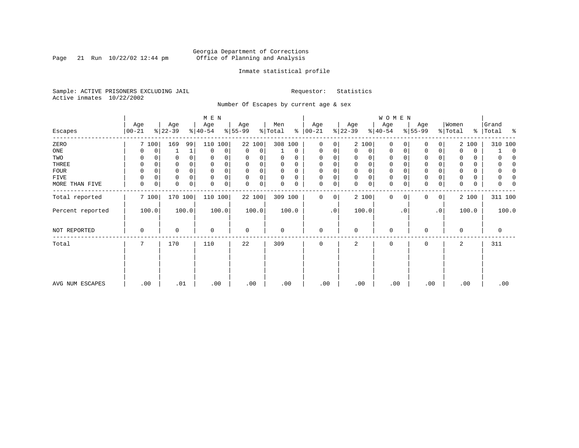Page 21 Run  $10/22/02$  12:44 pm

#### Inmate statistical profile

Sample: ACTIVE PRISONERS EXCLUDING JAIL **Requestor:** Statistics Active inmates 10/22/2002

Number Of Escapes by current age & sex

|                  |                  |       |                  |              | M E N            |       |                  |             |                |          |                 |           |                  |             | <b>WOMEN</b>     |           |                 |           |                  |       |                     |
|------------------|------------------|-------|------------------|--------------|------------------|-------|------------------|-------------|----------------|----------|-----------------|-----------|------------------|-------------|------------------|-----------|-----------------|-----------|------------------|-------|---------------------|
| Escapes          | Age<br>$00 - 21$ |       | Age<br>$ 22-39 $ |              | Age<br>$ 40-54 $ |       | Age<br>$ 55-99 $ |             | Men<br>% Total | ႜႂ       | Age<br>$ 00-21$ |           | Age<br>$ 22-39 $ |             | Age<br>$ 40-54 $ |           | Age<br>$ 55-99$ |           | Women<br>% Total | ⊱     | Grand<br>Total<br>ႜ |
| ZERO             |                  | 7 100 | 169              | 99           | 110              | 100   |                  | 22 100      | 308 100        |          | 0               | 0         |                  | 2 100       | 0                | $\Omega$  | 0               | 0         |                  | 2 100 | 310 100             |
| ONE              |                  | 0     |                  | $\mathbf{1}$ | 0                | 0     | 0                | 0           |                | $\Omega$ | 0               | 0         | $\Omega$         | 0           | 0                | 0         | 0               | 0         |                  | 0     | $\Omega$            |
| TWO              |                  |       |                  |              | 0                | 0     | 0                |             | 0              | 0        | $\Omega$        | 0         |                  | $\Omega$    | 0                |           | $\Omega$        |           | 0                | 0     |                     |
| THREE            | 0                |       |                  |              | $\mathbf 0$      |       | 0                | 0           | 0              |          | $\Omega$        | 0         |                  |             | 0                |           | $\mathbf 0$     |           |                  | 0     |                     |
| <b>FOUR</b>      | $\Omega$         |       |                  |              | $\Omega$         | 0     | O                |             | 0              | 0        | $\Omega$        | 0         |                  |             |                  |           | $\mathbf 0$     |           |                  | 0     |                     |
| FIVE             | $\Omega$         | 0     | 0                | $\Omega$     | $\mathbf 0$      | 0     | $\Omega$         | 0           | $\Omega$       | $\Omega$ | $\mathbf 0$     | 0         | $\Omega$         | $\Omega$    | 0                |           | $\mathbf 0$     |           |                  | 0     |                     |
| MORE THAN FIVE   | $\mathbf 0$      | 0     | 0                | 0            | $\mathbf 0$      | 0     | 0                | $\mathbf 0$ | $\Omega$       | 0        | $\mathbf 0$     | 0         | $\Omega$         | $\mathbf 0$ | 0                |           | $\mathbf 0$     | 0         | 0                | 0     |                     |
| Total reported   |                  | 7100  |                  | 170 100      | 110 100          |       |                  | 22 100      | 309 100        |          | 0               | 0         |                  | 2 100       | $\mathbf 0$      | 0         | $\mathbf 0$     | 0         |                  | 2 100 | 311 100             |
| Percent reported |                  | 100.0 |                  | 100.0        |                  | 100.0 |                  | 100.0       |                | 100.0    |                 | $\cdot$ 0 |                  | 100.0       |                  | $\cdot$ 0 |                 | $\cdot$ 0 |                  | 100.0 | 100.0               |
| NOT REPORTED     | 0                |       | 0                |              | 0                |       | 0                |             | 0              |          | $\mathbf 0$     |           | $\Omega$         |             | $\mathbf 0$      |           | 0               |           | $\mathbf 0$      |       | 0                   |
| Total            | 7                |       | 170              |              | 110              |       | 22               |             | 309            |          | $\mathbf 0$     |           | 2                |             | 0                |           | 0               |           | 2                |       | 311                 |
|                  |                  |       |                  |              |                  |       |                  |             |                |          |                 |           |                  |             |                  |           |                 |           |                  |       |                     |
|                  |                  |       |                  |              |                  |       |                  |             |                |          |                 |           |                  |             |                  |           |                 |           |                  |       |                     |
| AVG NUM ESCAPES  |                  | .00   | .01              |              |                  | .00   | .00              |             | .00            |          | .00             |           | .00              |             | .00              |           | .00             |           | .00              |       | .00                 |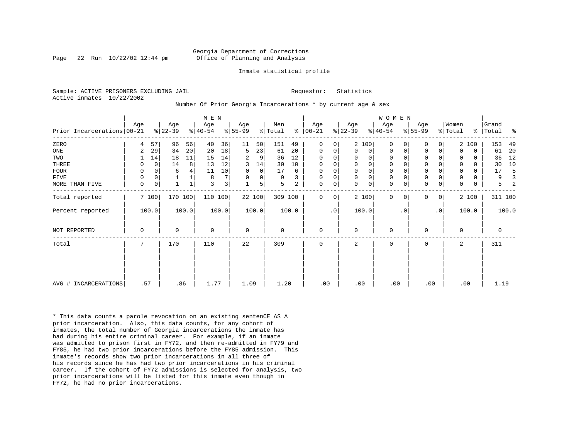Page 22 Run  $10/22/02$  12:44 pm

#### Inmate statistical profile

|  | Sample: ACTIVE PRISONERS EXCLUDING JAIL |  |  |
|--|-----------------------------------------|--|--|
|  | Active inmates 10/22/2002               |  |  |

#### Requestor: Statistics

Number Of Prior Georgia Incarcerations \* by current age & sex

|                            |             |          |                  |                 | M E N            |                |                  |             |                |       |                 |           |                  |              | <b>WOMEN</b>     |           |                  |           |                  |             |                |       |
|----------------------------|-------------|----------|------------------|-----------------|------------------|----------------|------------------|-------------|----------------|-------|-----------------|-----------|------------------|--------------|------------------|-----------|------------------|-----------|------------------|-------------|----------------|-------|
| Prior Incarcerations 00-21 | Age         |          | Age<br>$ 22-39 $ |                 | Age<br>$ 40-54 $ |                | Age<br>$ 55-99 $ |             | Men<br>% Total | %     | Age<br>$ 00-21$ |           | Age<br>$ 22-39 $ |              | Age<br>$8 40-54$ |           | Age<br>$ 55-99 $ |           | Women<br>% Total | န္          | Grand<br>Total | ႜ     |
| ZERO                       | 4           | 57       | 96               | 56              | 40               | 36             | 11               | 50          | 151            | 49    | $\Omega$        | 0         |                  | 2 100        | $\Omega$         |           | 0                | 0         |                  | 2 100       | 153            | 49    |
| $_{\rm ONE}$               | 2           | 29       | 34               | 20 <sup>1</sup> | 20               | 18             | 5                | 23          | 61             | 20    | $\mathbf 0$     | 0         | $\Omega$         | 0            | 0                | 0         | $\mathbf 0$      | 0         | $\Omega$         | 0           | 61             | 20    |
| TWO                        |             | 14       | 18               | 11              | 15               | 14             | 2                | 9           | 36             | 12    | $\Omega$        | 0         | $\Omega$         | 0            | 0                |           | $\mathbf 0$      | 0         | 0                | $\Omega$    | 36             | 12    |
| THREE                      | 0           | $\Omega$ | 14               | 8               | 13               | 12             | 3                | 14          | 30             | 10    | $\Omega$        | 0         | $\Omega$         | $\mathsf{O}$ | $\mathbf 0$      |           | $\mathbf 0$      | O         |                  | $\Omega$    | 30             | 10    |
| <b>FOUR</b>                | 0           | 0        | 6                |                 | 11               | 10             | $\mathbf 0$      | $\mathbf 0$ | 17             | 6     | 0               | 0         |                  | $\mathsf{O}$ | 0                |           | $\mathbf 0$      |           |                  | 0           | 17             |       |
| <b>FIVE</b>                | 0           | 0        |                  |                 | 8                | 7              | 0                | 0           | 9              | 3     | $\mathbf 0$     | 0         | $\mathbf 0$      | $\mathbf 0$  | $\mathbf 0$      |           | $\mathsf 0$      | 0         | 0                | 0           | 9              |       |
| MORE THAN FIVE             | $\mathbf 0$ | 0        |                  |                 | 3                | 3 <sup>1</sup> |                  | 5           | 5              | 2     | $\mathbf 0$     | 0         | $\Omega$         | 0            | $\mathbf 0$      | 0         | $\mathbf 0$      | 0         | $\Omega$         | $\mathbf 0$ | 5              |       |
| Total reported             |             | 7 100    | 170 100          |                 | 110 100          |                |                  | 22 100      | 309 100        |       | $\Omega$        | 0         |                  | 2 100        | $\Omega$         | $\Omega$  | $\Omega$         | 0         |                  | 2 100       | 311 100        |       |
| Percent reported           |             | 100.0    |                  | 100.0           |                  | 100.0          |                  | 100.0       |                | 100.0 |                 | $\cdot$ 0 |                  | 100.0        |                  | $\cdot$ 0 |                  | $\cdot$ 0 |                  | 100.0       |                | 100.0 |
| NOT REPORTED               | 0           |          | $\Omega$         |                 | $\Omega$         |                | $\mathbf 0$      |             | $\Omega$       |       | $\mathbf 0$     |           | $\Omega$         |              | $\mathbf 0$      |           | $\mathbf 0$      |           | $\Omega$         |             | 0              |       |
| Total                      | 7           |          | 170              |                 | 110              |                | 22               |             | 309            |       | 0               |           | 2                |              | $\mathbf 0$      |           | $\mathbf 0$      |           | 2                |             | 311            |       |
|                            |             |          |                  |                 |                  |                |                  |             |                |       |                 |           |                  |              |                  |           |                  |           |                  |             |                |       |
| AVG # INCARCERATIONS       | .57         |          | .86              |                 | 1.77             |                | 1.09             |             | 1.20           |       | .00             |           | .00              |              | .00              |           | .00              |           | .00              |             | 1.19           |       |

\* This data counts a parole revocation on an existing sentenCE AS A prior incarceration. Also, this data counts, for any cohort of inmates, the total number of Georgia incarcerations the inmate has had during his entire criminal career. For example, if an inmate was admitted to prison first in FY72, and then re-admitted in FY79 and FY85, he had two prior incarcerations before the FY85 admission. This inmate's records show two prior incarcerations in all three of his records since he has had two prior incarcerations in his criminal career. If the cohort of FY72 admissions is selected for analysis, two prior incarcerations will be listed for this inmate even though in FY72, he had no prior incarcerations.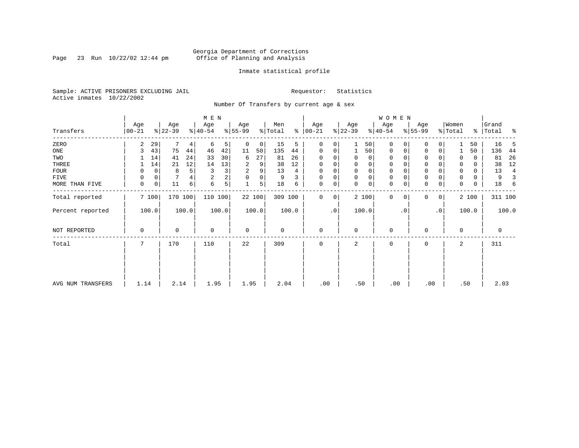Page 23 Run  $10/22/02$  12:44 pm

#### Inmate statistical profile

Sample: ACTIVE PRISONERS EXCLUDING JAIL **Requestor:** Statistics Active inmates 10/22/2002

Number Of Transfers by current age & sex

|                   |                  |              |                  |       | M E N            |       |                 |        |                |       |                  |             |                  |             | <b>WOMEN</b>     |           |                  |                |                  |       |                |       |
|-------------------|------------------|--------------|------------------|-------|------------------|-------|-----------------|--------|----------------|-------|------------------|-------------|------------------|-------------|------------------|-----------|------------------|----------------|------------------|-------|----------------|-------|
| Transfers         | Age<br>$00 - 21$ |              | Age<br>$ 22-39 $ |       | Age<br>$ 40-54 $ |       | Age<br>$ 55-99$ |        | Men<br>% Total | ៖     | Age<br>$00 - 21$ |             | Age<br>$ 22-39 $ |             | Age<br>$ 40-54 $ |           | Age<br>$ 55-99 $ |                | Women<br>% Total | ိ     | Grand<br>Total | ಿ     |
| ZERO              | 2                | 29           | 7                | 4     | 6                | 5     | 0               | 0      | 15             | 5     | 0                | 0           |                  | 50          | 0                |           | 0                |                |                  | 50    | 16             | 5     |
| ONE               | 3                | 43           | 75               | 44    | 46               | 42    | 11              | 50     | 135            | 44    | 0                | 0           |                  | 50          | 0                | 0         | $\mathbf 0$      | 0              |                  | 50    | 136            | 44    |
| TWO               |                  | 14           | 41               | 24    | 33               | 30    | 6               | 27     | 81             | 26    | 0                |             | 0                | 0           | 0                |           | 0                |                | 0                | 0     | 81             | 26    |
| THREE             |                  | 14           | 21               | 12    | 14               | 13    | 2               | 9      | 38             | 12    | 0                |             | 0                | 0           | 0                |           | 0                |                | 0                | 0     | 38             | 12    |
| FOUR              | 0                | $\mathbf 0$  | 8                | 5     | 3                | 3     | 2               | 9      | 13             | 4     | 0                | $\Omega$    | $\Omega$         | $\mathbf 0$ | $\Omega$         |           | $\Omega$         |                | $\Omega$         | 0     | 13             | 4     |
| FIVE              |                  | 0            |                  |       | $\overline{2}$   | 2     | $\Omega$        | 0      | 9              | 3     | $\Omega$         | 0           | $\Omega$         | $\mathbf 0$ | 0                |           | 0                |                | 0                | 0     | 9              |       |
| MORE THAN FIVE    | $\mathbf 0$      | $\mathsf{O}$ | 11               | 6     | 6                | 5     |                 | 5      | 18             | 6     | 0                | 0           | $\Omega$         | $\mathbf 0$ | $\mathbf 0$      |           | $\Omega$         | 0              | $\Omega$         | 0     | 18             | 6     |
| Total reported    |                  | 7100         | 170 100          |       | 110 100          |       |                 | 22 100 | 309 100        |       | 0                | $\mathbf 0$ |                  | 2 100       | $\mathbf{0}$     | $\Omega$  | $\Omega$         | 0 <sup>1</sup> |                  | 2 100 | 311 100        |       |
| Percent reported  |                  | 100.0        |                  | 100.0 |                  | 100.0 |                 | 100.0  |                | 100.0 |                  | .0          |                  | 100.0       |                  | $\cdot$ 0 |                  | $\cdot$ 0      |                  | 100.0 |                | 100.0 |
| NOT REPORTED      | 0                |              | 0                |       | 0                |       | 0               |        | 0              |       | 0                |             | 0                |             | 0                |           | $\Omega$         |                | $\mathbf 0$      |       | 0              |       |
| Total             | 7                |              | 170              |       | 110              |       | 22              |        | 309            |       | 0                |             | 2                |             | 0                |           | 0                |                | 2                |       | 311            |       |
|                   |                  |              |                  |       |                  |       |                 |        |                |       |                  |             |                  |             |                  |           |                  |                |                  |       |                |       |
|                   |                  |              |                  |       |                  |       |                 |        |                |       |                  |             |                  |             |                  |           |                  |                |                  |       |                |       |
| AVG NUM TRANSFERS | 1.14             |              | 2.14             |       | 1.95             |       | 1.95            |        | 2.04           |       | .00              |             | .50              |             | .00              |           | .00              |                |                  | .50   | 2.03           |       |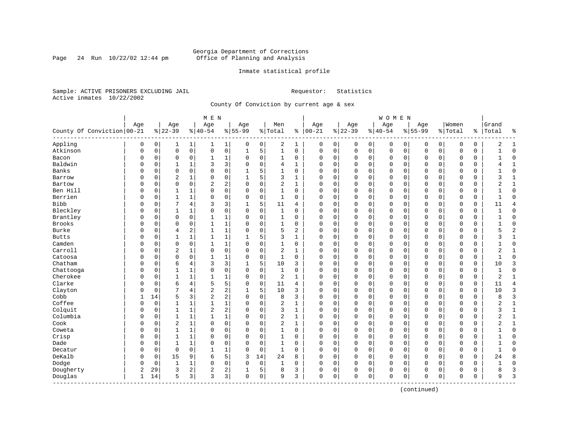Page 24 Run  $10/22/02$  12:44 pm

#### Inmate statistical profile

Sample: ACTIVE PRISONERS EXCLUDING JAIL **Requestor:** Statistics Active inmates 10/22/2002

County Of Conviction by current age & sex

|                              |             |          |                |                     | M E N          |                |             |             |                |              |             |          |          |             | WOMEN     |              |             |             |             |          |                |                |
|------------------------------|-------------|----------|----------------|---------------------|----------------|----------------|-------------|-------------|----------------|--------------|-------------|----------|----------|-------------|-----------|--------------|-------------|-------------|-------------|----------|----------------|----------------|
|                              | Age         |          | Age            |                     | Age            |                | Age         |             | Men            |              | Age         |          | Age      |             | Age       |              | Age         |             | Women       |          | Grand          |                |
| County Of Conviction   00-21 |             |          | $8 22-39$      |                     | $8 40-54$      |                | $8155 - 99$ |             | % Total        | ి            | $ 00-21$    |          | $ 22-39$ |             | $8 40-54$ |              | $8155 - 99$ |             | % Total     | ి        | Total          | ႜ              |
| Appling                      | 0           | 0        | 1              | $\mathbf{1}$        | 1              | 1              | 0           | 0           | 2              | 1            | 0           | 0        | 0        | 0           | 0         | 0            | 0           | $\mathbf 0$ | 0           | 0        | 2              | $\mathbf{1}$   |
| Atkinson                     | $\mathbf 0$ | 0        | $\mathbf 0$    | $\mathsf{O}\xspace$ | $\mathsf 0$    | 0              | $1\,$       | 5           | $\mathbf{1}$   | $\mathbf 0$  | O           | 0        | 0        | $\mathbf 0$ | 0         | 0            | $\Omega$    | $\mathbf 0$ | O           | 0        | $\mathbf{1}$   | $\mathbf 0$    |
| Bacon                        | 0           | 0        | $\mathbf 0$    | 0                   | 1              | 1              | 0           | 0           | $\mathbf{1}$   | 0            | $\Omega$    | 0        | $\Omega$ | 0           | 0         | $\mathbf 0$  | $\Omega$    | 0           | $\Omega$    | 0        | 1              | $\mathbf 0$    |
| Baldwin                      | 0           | 0        | 1              | 1                   | 3              | 3              | $\Omega$    | $\mathbf 0$ | 4              | $\mathbf{1}$ | $\Omega$    | 0        | $\Omega$ | $\Omega$    | $\Omega$  | $\mathbf 0$  | $\Omega$    | $\Omega$    | $\Omega$    | $\Omega$ |                | $\mathbf{1}$   |
| Banks                        | O           | 0        | $\Omega$       | $\Omega$            | $\Omega$       | 0              |             | 5           | $\mathbf{1}$   | $\Omega$     | $\Omega$    | 0        | $\Omega$ | $\Omega$    | $\Omega$  | $\sqrt{ }$   | $\Omega$    | $\Omega$    | $\cap$      | 0        |                | $\Omega$       |
| Barrow                       | 0           | 0        | $\overline{c}$ | 1                   | 0              | 0              | 1           | 5           | 3              | $\mathbf{1}$ | 0           | 0        | $\Omega$ | 0           | $\Omega$  | $\Omega$     | $\Omega$    | 0           | $\Omega$    | 0        | 3              | $\mathbf{1}$   |
| Bartow                       | 0           | 0        | $\mathbf 0$    | $\mathbf 0$         | $\overline{2}$ | 2              | $\Omega$    | $\mathbf 0$ | $\overline{2}$ | 1            | C           | 0        | $\Omega$ | $\mathsf 0$ | 0         | 0            | $\Omega$    | $\mathbf 0$ | 0           | 0        | 2              | $\mathbf{1}$   |
| Ben Hill                     | $\Omega$    | 0        | $\mathbf{1}$   | $\mathbf{1}$        | $\Omega$       | 0              | $\Omega$    | $\mathbf 0$ | $\mathbf{1}$   | $\mathbf 0$  | $\Omega$    | 0        | $\Omega$ | $\mathbf 0$ | $\Omega$  | $\mathbf 0$  | $\Omega$    | $\Omega$    | $\Omega$    | 0        | $\mathbf{1}$   | $\mathbf 0$    |
| Berrien                      | O           | 0        | $\mathbf{1}$   | $\mathbf{1}$        | $\Omega$       | 0              | $\Omega$    | $\mathbf 0$ | $\mathbf{1}$   | $\Omega$     | $\Omega$    | 0        | $\Omega$ | $\mathbf 0$ | $\Omega$  | $\mathbf 0$  | $\Omega$    | $\Omega$    | $\cap$      | 0        | $\mathbf{1}$   | $\Omega$       |
| <b>Bibb</b>                  | O           | 0        |                | 4                   | 3              | 3              |             | 5           | 11             | 4            | $\Omega$    | 0        | $\Omega$ | 0           | 0         | $\mathbf 0$  | $\Omega$    | 0           | $\Omega$    | 0        | 11             | $\overline{4}$ |
| Bleckley                     | O           | 0        | $\mathbf{1}$   | 1                   | 0              | 0              | $\Omega$    | $\mathbf 0$ | $\mathbf{1}$   | 0            | $\Omega$    | 0        | $\Omega$ | $\Omega$    | $\Omega$  | $\mathsf{C}$ | $\Omega$    | $\Omega$    | $\Omega$    | $\Omega$ |                | $\mathbf 0$    |
| Brantley                     | 0           | 0        | $\mathbf 0$    | 0                   | $\mathbf{1}$   | 1              | 0           | 0           | 1              | 0            | $\Omega$    | 0        | $\Omega$ | 0           | 0         | $\mathbf 0$  | $\Omega$    | 0           | $\Omega$    | 0        | 1              | $\mathbf 0$    |
| Brooks                       | 0           | 0        | $\mathbf 0$    | 0                   | 1              | 1              | 0           | $\mathbf 0$ | 1              | 0            | C           | 0        | $\Omega$ | 0           | 0         | 0            | 0           | 0           | O           | 0        |                | $\mathbf 0$    |
| Burke                        | 0           | 0        | $\overline{4}$ | $\overline{a}$      | $\mathbf{1}$   | 1              | $\Omega$    | $\mathbf 0$ | 5              | 2            | $\Omega$    | 0        | $\Omega$ | $\Omega$    | $\Omega$  | $\mathbf 0$  | $\Omega$    | $\Omega$    | $\Omega$    | 0        | 5              | $\overline{c}$ |
| <b>Butts</b>                 | O           | 0        | 1              | 1                   | $\mathbf{1}$   | 1              | -1          | 5           | 3              | $\mathbf{1}$ | $\cap$      | 0        | $\Omega$ | 0           | $\Omega$  | $\Omega$     | $\Omega$    | 0           | $\Omega$    | 0        | 3              | $\mathbf{1}$   |
| Camden                       | 0           | 0        | 0              | 0                   | 1              | 1              | 0           | 0           | 1              | 0            | 0           | 0        | $\Omega$ | 0           | 0         | 0            | 0           | 0           | 0           | 0        |                | $\mathbf 0$    |
| Carroll                      | 0           | 0        | $\overline{c}$ | 1                   | 0              | 0              | $\Omega$    | 0           | 2              | 1            | $\Omega$    | 0        | $\Omega$ | $\Omega$    | 0         | $\mathsf{C}$ | $\Omega$    | 0           | $\Omega$    | $\Omega$ | 2              | 1              |
| Catoosa                      | 0           | $\Omega$ | $\mathbf 0$    | $\Omega$            | $\mathbf{1}$   | 1              | $\Omega$    | $\mathbf 0$ | $\mathbf{1}$   | $\Omega$     | $\Omega$    | 0        | $\Omega$ | $\Omega$    | $\Omega$  | $\Omega$     | $\Omega$    | $\Omega$    | $\Omega$    | 0        | $\mathbf{1}$   | $\Omega$       |
| Chatham                      | O           | 0        | 6              | 4                   | 3              | 3              | 1           | 5           | 10             | 3            | C           | 0        | $\Omega$ | $\mathbf 0$ | 0         | $\mathbf 0$  | $\Omega$    | $\Omega$    | $\Omega$    | 0        | 10             | 3              |
| Chattooga                    | O           | 0        | $\mathbf{1}$   | $\mathbf{1}$        | $\Omega$       | 0              | $\Omega$    | $\mathbf 0$ | $\mathbf{1}$   | 0            | C           | 0        | $\Omega$ | 0           | 0         | $\mathbf 0$  | $\Omega$    | 0           | $\Omega$    | 0        | 1              | $\mathbf 0$    |
| Cherokee                     | O           | 0        | 1              | 1                   | $\mathbf{1}$   | 1              | $\Omega$    | $\mathbf 0$ | $\overline{2}$ | 1            | $\Omega$    | 0        | $\Omega$ | 0           | $\Omega$  | $\mathbf 0$  | $\Omega$    | 0           | $\Omega$    | 0        | $\overline{2}$ | $\mathbf{1}$   |
| Clarke                       | O           | 0        | 6              | 4                   | 5              | 5              | $\Omega$    | 0           | 11             | 4            | $\Omega$    | 0        | $\Omega$ | 0           | $\Omega$  | $\mathbf 0$  | $\Omega$    | $\Omega$    | $\Omega$    | 0        | 11             | 4              |
| Clayton                      | 0           | $\Omega$ | 7              | 4                   | 2              | 2              |             | 5           | 10             | 3            | $\Omega$    | $\Omega$ | $\Omega$ | $\mathbf 0$ | $\Omega$  | $\mathsf{C}$ | $\Omega$    | $\Omega$    | $\mathbf 0$ | $\Omega$ | 10             | 3              |
| Cobb                         | 1           | 14       | 5              | 3                   | $\overline{2}$ | 2              | $\Omega$    | $\mathbf 0$ | 8              | 3            | $\Omega$    | 0        | $\Omega$ | $\mathbf 0$ | $\Omega$  | $\mathbf 0$  | $\Omega$    | $\Omega$    | $\mathbf 0$ | 0        | 8              | 3              |
| Coffee                       | 0           | 0        | 1              | 1                   | $\mathbf{1}$   | 1              | $\Omega$    | $\mathbf 0$ | $\sqrt{2}$     | 1            | 0           | 0        | $\Omega$ | 0           | 0         | $\mathbf 0$  | 0           | 0           | 0           | 0        | 2              | $\mathbf{1}$   |
| Colquit                      | 0           | 0        | 1              | $\mathbf{1}$        | $\overline{2}$ | $\overline{a}$ | $\Omega$    | $\mathbf 0$ | 3              | $\mathbf{1}$ | C           | 0        | $\Omega$ | 0           | 0         | 0            | $\Omega$    | 0           | O           | 0        | 3              | $\mathbf{1}$   |
| Columbia                     | 0           | 0        | 1              | 1                   | $\mathbf{1}$   | 1              | $\Omega$    | 0           | $\overline{2}$ | 1            | $\Omega$    | 0        | $\Omega$ | 0           | 0         | $\Omega$     | $\Omega$    | 0           | $\Omega$    | 0        | 2              | 1              |
| Cook                         | O           | 0        | $\overline{c}$ | $\mathbf{1}$        | $\mathbf 0$    | 0              | $\Omega$    | $\mathbf 0$ | 2              | 1            | $\Omega$    | 0        | $\Omega$ | 0           | 0         | $\Omega$     | $\Omega$    | 0           | $\Omega$    | 0        | 2              | $\mathbf{1}$   |
| Coweta                       | O           | 0        | $\mathbf{1}$   | $\mathbf{1}$        | $\Omega$       | 0              | $\Omega$    | $\mathbf 0$ | $\mathbf{1}$   | 0            | $\Omega$    | 0        | $\Omega$ | $\Omega$    | $\Omega$  | $\Omega$     | $\Omega$    | 0           | $\Omega$    | $\Omega$ |                | $\mathbf 0$    |
| Crisp                        | 0           | 0        | $\mathbf{1}$   | 1                   | 0              | 0              | $\Omega$    | 0           | 1              | $\Omega$     | O           | 0        | $\Omega$ | 0           | 0         | 0            | $\Omega$    | $\Omega$    | $\Omega$    | 0        | 1              | $\mathbf 0$    |
| Dade                         | 0           | 0        | 1              | 1                   | 0              | 0              | $\Omega$    | 0           | 1              | 0            | $\mathbf 0$ | 0        | $\Omega$ | 0           | 0         | $\mathbf 0$  | 0           | 0           | 0           | 0        | 1              | $\mathbf 0$    |
| Decatur                      | 0           | 0        | $\mathbf 0$    | $\mathbf 0$         | $\mathbf{1}$   | 1              | $\Omega$    | $\mathbf 0$ | $\mathbf{1}$   | $\Omega$     | $\Omega$    | 0        | $\Omega$ | $\mathbf 0$ | $\Omega$  | $\mathbf 0$  | $\Omega$    | $\mathbf 0$ | $\Omega$    | 0        | $\mathbf{1}$   | $\Omega$       |
| DeKalb                       | O           | 0        | 15             | 9                   | 6              | 5              | 3           | 14          | 24             | 8            | $\Omega$    | 0        | $\Omega$ | 0           | $\Omega$  | $\mathbf 0$  | $\Omega$    | $\Omega$    | $\Omega$    | 0        | 24             | 8              |
| Dodge                        | 0           | 0        | $\mathbf{1}$   | 1                   | $\Omega$       | 0              | $\Omega$    | $\mathbf 0$ | 1              | 0            | $\Omega$    | 0        | $\Omega$ | 0           | 0         | 0            | $\Omega$    | 0           | 0           | 0        | 1              | $\mathbf 0$    |
| Dougherty                    | 2           | 29       | 3              | 2                   | 2              | 2              |             | 5           | 8              | 3            | 0           | 0        | $\Omega$ | 0           | 0         | 0            | $\Omega$    | 0           | $\Omega$    | 0        | 8              | 3              |
| Douglas<br>-------------     | 1           | 14       | 5              | 3                   | 3              | 3              | 0           | 0           | 9              | 3            | 0           | 0        | $\Omega$ | 0           | 0         | 0            | $\Omega$    | 0           | $\mathbf 0$ | 0        | 9              | 3              |

(continued)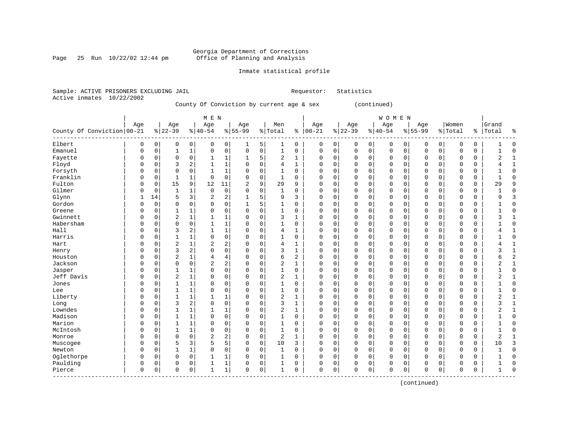Page 25 Run  $10/22/02$  12:44 pm

### Inmate statistical profile

|  |                           | Sample: ACTIVE PRISONERS EXCLUDING JAIL |                                           |  |  | Requestor: Statistics |  |
|--|---------------------------|-----------------------------------------|-------------------------------------------|--|--|-----------------------|--|
|  | Active inmates 10/22/2002 |                                         |                                           |  |  |                       |  |
|  |                           |                                         | County Of Conviction by current age & sex |  |  | (continued)           |  |

|                            |          |          |                |                | M E N          |                |                |             |                |    |             |              |             |             | WOMEN        |             |             |          |              |             |                |                |
|----------------------------|----------|----------|----------------|----------------|----------------|----------------|----------------|-------------|----------------|----|-------------|--------------|-------------|-------------|--------------|-------------|-------------|----------|--------------|-------------|----------------|----------------|
|                            | Age      |          | Age            |                | Age            |                | Age            |             | Men            |    | Age         |              | Age         |             | Age          |             | Age         |          | Women        |             | Grand          |                |
| County Of Conviction 00-21 |          |          | $8 22-39$      |                | $8 40-54$      |                | $8 55-99$      |             | % Total        | ွေ | $ 00 - 21$  |              | $ 22-39$    |             | $8140 - 54$  |             | $8155 - 99$ |          | % Total      | နွ          | Total          | ⊱              |
| Elbert                     | 0        | 0        | 0              | 0              | 0              | 0              | 1              | 5           | 1              | 0  | 0           | 0            | 0           | 0           | 0            | 0           | 0           | 0        | 0            | 0           |                | $\cap$         |
| Emanuel                    | 0        | 0        | 1              | $\mathbf 1$    | 0              | $\mathbf 0$    | $\mathbf 0$    | $\mathbf 0$ | $\mathbf{1}$   | 0  | $\mathbf 0$ | $\mathbf 0$  | $\mathbf 0$ | $\mathbf 0$ | $\mathbf 0$  | $\mathbf 0$ | 0           | 0        | $\mathbf{0}$ | $\mathbf 0$ | $\mathbf{1}$   | $\Omega$       |
| Fayette                    | 0        | 0        | 0              | $\mathbf 0$    | 1              | 1              | 1              | 5           | $\overline{2}$ | 1  | 0           | $\mathbf 0$  | 0           | $\mathbf 0$ | $\mathbf 0$  | 0           | 0           | 0        | $\mathbf 0$  | 0           | $\overline{2}$ | 1              |
| Floyd                      | 0        | 0        | 3              | $\overline{2}$ | 1              | 1              | $\mathbf 0$    | $\mathbf 0$ | 4              | 1  | $\Omega$    | $\mathbf 0$  | 0           | $\mathbf 0$ | $\mathbf{0}$ | 0           | 0           | 0        | $\Omega$     | 0           | 4              |                |
| Forsyth                    | 0        | $\Omega$ | $\Omega$       | $\Omega$       | $\mathbf{1}$   | $\mathbf{1}$   | $\Omega$       | $\Omega$    | $\mathbf{1}$   | 0  | $\Omega$    | $\mathbf 0$  | 0           | 0           | $\mathbf{0}$ | $\Omega$    | 0           | 0        | $\Omega$     | $\Omega$    | 1              | $\Omega$       |
| Franklin                   | 0        | 0        | 1              | 1              | 0              | $\Omega$       | $\Omega$       | $\Omega$    | $\mathbf{1}$   | 0  | $\Omega$    | $\mathbf 0$  | 0           | 0           | $\mathbf{0}$ | 0           | $\Omega$    | 0        | $\mathbf 0$  | $\Omega$    | $\mathbf{1}$   | $\Omega$       |
| Fulton                     | 0        | 0        | 15             | 9              | 12             | 11             | $\overline{2}$ | 9           | 29             | 9  | $\Omega$    | 0            | 0           | $\Omega$    | $\mathbf 0$  | 0           | $\Omega$    | 0        | 0            | 0           | 29             | 9              |
| Gilmer                     | O        | 0        | $\mathbf{1}$   | 1              | 0              | 0              | $\Omega$       | 0           | $\mathbf{1}$   | 0  | $\Omega$    | 0            | 0           | 0           | 0            | $\Omega$    | $\Omega$    | 0        | $\mathbf 0$  | 0           |                | $\Omega$       |
| Glynn                      | 1        | 14       | 5              | 3              | 2              | 2              | 1              | 5           | 9              | 3  | $\Omega$    | 0            | 0           | 0           | $\mathbf 0$  | $\Omega$    | $\Omega$    | 0        | $\Omega$     | 0           | 9              |                |
| Gordon                     | $\Omega$ | 0        | 0              | $\Omega$       | $\Omega$       | $\Omega$       | 1              | 5           | $\mathbf{1}$   | 0  | $\Omega$    | $\mathbf 0$  | O           | 0           | $\mathbf 0$  | $\Omega$    | $\Omega$    | $\Omega$ | $\Omega$     | $\Omega$    | 1              | $\cap$         |
| Greene                     | O        | $\Omega$ | 1              | $\mathbf{1}$   | 0              | $\Omega$       | $\Omega$       | $\Omega$    | $\mathbf{1}$   | 0  | $\Omega$    | $\mathbf 0$  | O           | $\Omega$    | $\mathbf 0$  | $\Omega$    | $\Omega$    | $\Omega$ | $\Omega$     | $\Omega$    | 1              | C              |
| Gwinnett                   | U        | 0        | $\overline{a}$ | $\mathbf{1}$   |                | $\mathbf{1}$   | $\Omega$       | 0           | 3              | 1  | $\Omega$    | $\mathbf 0$  | 0           | $\Omega$    | $\mathbf 0$  | $\Omega$    | 0           | $\Omega$ | $\Omega$     | 0           | 3              |                |
| Habersham                  |          | 0        | $\mathbf 0$    | 0              | 1              | $\mathbf{1}$   | $\Omega$       | $\mathbf 0$ | $\mathbf{1}$   | 0  | $\Omega$    | $\mathbf 0$  | 0           | 0           | $\mathbf 0$  | 0           | 0           | 0        | $\Omega$     | $\mathbf 0$ | $\mathbf{1}$   | $\Omega$       |
| Hall                       | $\Omega$ | 0        | 3              | $\overline{2}$ | $\mathbf{1}$   | $\mathbf{1}$   | $\Omega$       | $\mathbf 0$ | 4              | 1  | $\Omega$    | $\mathbf 0$  | 0           | 0           | $\mathbf 0$  | $\Omega$    | $\Omega$    | 0        | $\Omega$     | $\mathbf 0$ | 4              | $\overline{1}$ |
| Harris                     | U        | 0        | 1              | $\mathbf 1$    | 0              | $\mathbf 0$    | $\Omega$       | $\mathbf 0$ | $\mathbf{1}$   | 0  | $\Omega$    | $\mathbf 0$  | 0           | 0           | $\mathbf{0}$ | 0           | $\Omega$    | 0        | $\mathbf 0$  | $\mathbf 0$ | 1              | $\Omega$       |
| Hart                       | 0        | 0        | $\overline{2}$ | $\mathbf{1}$   | 2              | $\overline{a}$ | $\Omega$       | $\mathbf 0$ | 4              | 1  | $\Omega$    | $\mathbf 0$  | 0           | 0           | $\mathbf{0}$ | 0           | 0           | 0        | $\mathbf 0$  | 0           | 4              | $\mathbf{1}$   |
| Henry                      | U        | 0        | 3              | $\overline{2}$ | 0              | 0              | $\Omega$       | 0           | 3              | 1  | $\Omega$    | $\mathbf 0$  | 0           | 0           | $\mathbf 0$  | $\Omega$    | $\Omega$    | 0        | 0            | 0           | 3              |                |
| Houston                    | 0        | 0        | $\overline{2}$ | $\mathbf{1}$   | 4              | 4              | $\Omega$       | 0           | 6              | 2  | $\Omega$    | $\mathbf 0$  | 0           | 0           | $\mathbf 0$  | $\Omega$    | $\Omega$    | 0        | 0            | 0           | 6              |                |
| Jackson                    | O        | 0        | $\Omega$       | $\mathbf 0$    | $\overline{2}$ | 2              | $\Omega$       | $\Omega$    | 2              | 1  | $\Omega$    | $\mathbf 0$  | 0           | 0           | $\mathbf 0$  | $\Omega$    | $\Omega$    | 0        | $\mathbf 0$  | $\Omega$    | 2              | 1              |
| Jasper                     | 0        | 0        | 1              | 1              | 0              | $\mathbf 0$    | $\mathbf 0$    | $\mathbf 0$ | -1             | 0  | $\Omega$    | $\mathbf 0$  | 0           | 0           | $\mathbf 0$  | 0           | 0           | 0        | $\mathbf 0$  | 0           | 1              | <sup>0</sup>   |
| Jeff Davis                 | 0        | $\Omega$ | $\overline{2}$ | $\mathbf{1}$   | 0              | $\Omega$       | $\Omega$       | $\Omega$    | $\overline{2}$ | 1  | $\Omega$    | $\mathbf 0$  | 0           | $\Omega$    | $\mathbf 0$  | $\Omega$    | 0           | $\Omega$ | $\Omega$     | $\Omega$    | $\overline{2}$ |                |
| Jones                      | 0        | 0        | 1              | 1              | 0              | 0              | $\Omega$       | 0           |                | 0  | $\Omega$    | 0            | 0           | 0           | $\mathbf 0$  | $\Omega$    | 0           | 0        | $\Omega$     | 0           |                | $\Omega$       |
| Lee                        |          | 0        |                | $\mathbf 1$    | $\Omega$       | 0              | $\Omega$       | 0           | $\mathbf{1}$   | 0  | $\Omega$    | $\mathsf 0$  | 0           | 0           | $\mathbf 0$  | $\Omega$    | 0           | 0        | $\Omega$     | 0           | 1              | $\Omega$       |
| Liberty                    |          | O        | 1              | 1              | 1              | 1              | $\Omega$       | $\Omega$    | $\overline{2}$ | 1  | $\Omega$    | 0            | 0           | 0           | $\mathbf 0$  | $\Omega$    | $\Omega$    | 0        | $\Omega$     | $\Omega$    | $\overline{2}$ | $\mathbf{1}$   |
| Long                       | $\Omega$ | $\Omega$ | 3              | 2              | 0              | 0              | $\Omega$       | 0           | ζ              | 1  | $\Omega$    | 0            | 0           | $\Omega$    | $\mathbf 0$  | $\Omega$    | $\Omega$    | 0        | $\mathbf 0$  | 0           | 3              | $\mathbf{1}$   |
| Lowndes                    | $\Omega$ | 0        | 1              | 1              |                | 1              | $\Omega$       | 0           | 2              | 1  | $\Omega$    | 0            | 0           | 0           | $\mathbf 0$  | $\Omega$    | $\Omega$    | 0        | $\Omega$     | 0           | 2              |                |
| Madison                    | $\Omega$ | 0        | $\mathbf{1}$   | 1              | $\Omega$       | 0              | $\Omega$       | 0           | $\mathbf{1}$   | 0  | $\Omega$    | 0            | $\Omega$    | 0           | $\mathbf 0$  | $\Omega$    | $\Omega$    | 0        | $\Omega$     | 0           | 1              | $\Omega$       |
| Marion                     | $\Omega$ | $\Omega$ | $\mathbf{1}$   | 1              | 0              | $\Omega$       | $\Omega$       | $\Omega$    | $\mathbf{1}$   | 0  | $\Omega$    | $\mathbf 0$  | 0           | 0           | $\mathbf 0$  | $\Omega$    | $\Omega$    | 0        | $\Omega$     | $\Omega$    | 1              | $\cap$         |
| McIntosh                   | O        | $\Omega$ | 1              | 1              | 0              | $\Omega$       | $\Omega$       | $\mathbf 0$ | $\mathbf{1}$   | 0  | $\Omega$    | $\mathbf 0$  | 0           | $\Omega$    | $\mathbf 0$  | $\Omega$    | $\Omega$    | $\Omega$ | $\Omega$     | $\Omega$    | $\mathbf{1}$   | U              |
| Monroe                     | 0        | 0        | $\mathbf 0$    | $\mathbf 0$    | 2              | $\overline{a}$ | $\Omega$       | $\mathbf 0$ | $\overline{2}$ | 1  | $\Omega$    | $\mathbf 0$  | 0           | $\mathbf 0$ | $\mathbf 0$  | 0           | 0           | 0        | $\mathbf 0$  | $\mathbf 0$ | $\overline{2}$ |                |
| Muscogee                   |          | 0        | 5              | 3              | 5              | 5              | $\mathbf 0$    | $\mathbf 0$ | 10             | 3  | $\Omega$    | $\mathsf{O}$ | 0           | $\mathbf 0$ | $\mathbf 0$  | 0           | 0           | 0        | 0            | $\mathbf 0$ | 10             | 3              |
| Newton                     | 0        | 0        |                | $\mathbf 1$    | 0              | $\mathbf 0$    | $\Omega$       | $\mathbf 0$ | $\mathbf{1}$   | 0  | $\Omega$    | $\mathbf 0$  | 0           | $\mathbf 0$ | $\mathbf 0$  | $\Omega$    | $\Omega$    | 0        | $\Omega$     | $\mathbf 0$ | $\mathbf{1}$   | $\Omega$       |
| Oglethorpe                 | 0        | $\Omega$ | $\Omega$       | 0              | 1              | 1              | $\Omega$       | $\Omega$    | $\mathbf{1}$   | 0  | $\Omega$    | 0            | 0           | $\Omega$    | $\mathbf 0$  | 0           | 0           | 0        | 0            | $\Omega$    | 1              | $\Omega$       |
| Paulding                   | 0        | 0        | 0              | 0              | 1              | 1              | $\Omega$       | 0           | 1              | 0  | $\Omega$    | 0            | 0           | 0           | $\mathbf 0$  | 0           | 0           | 0        | $\Omega$     | 0           | 1              | $\Omega$       |
| Pierce                     | $\Omega$ | 0        | $\Omega$       | 0              | 1              | 1              | $\Omega$       | 0           | $\mathbf{1}$   | 0  | $\Omega$    | 0            | 0           | 0           | $\Omega$     | 0           | $\Omega$    | 0        | 0            | 0           | 1              | $\cap$         |

(continued)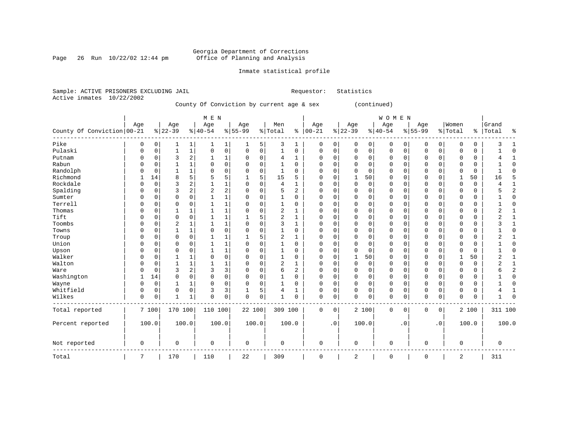Page 26 Run  $10/22/02$  12:44 pm

### Inmate statistical profile

|  | Sample: ACTIVE PRISONERS EXCLUDING JAIL |  |                                           |  | Requestor: | Statistics  |  |
|--|-----------------------------------------|--|-------------------------------------------|--|------------|-------------|--|
|  | Active inmates 10/22/2002               |  |                                           |  |            |             |  |
|  |                                         |  | County Of Conviction by current age & sex |  |            | (continued) |  |

|                            |             |             |                |              | M E N       |                         |             |             |                |                |             |           |             |             | WOMEN       |             |             |                        |              |       |                |                |
|----------------------------|-------------|-------------|----------------|--------------|-------------|-------------------------|-------------|-------------|----------------|----------------|-------------|-----------|-------------|-------------|-------------|-------------|-------------|------------------------|--------------|-------|----------------|----------------|
|                            | Age         |             | Age            |              | Age         |                         | Age         |             | Men            |                | Age         |           | Age         |             | Age         |             | Age         |                        | Women        |       | Grand          |                |
| County Of Conviction 00-21 |             |             | $ 22-39 $      |              | $ 40-54$    |                         | $8 55-99$   |             | % Total        |                | $% 100-21$  |           | $ 22-39$    |             | $ 40-54$    |             | $8 55-99$   |                        | % Total      |       | %   Total      | ႜ              |
| Pike                       | 0           | 0           |                | 1            |             | 1                       | 1           | 5           | 3              | 1              | 0           | 0         | 0           | 0           | 0           | 0           | 0           | 0                      | 0            | 0     |                |                |
| Pulaski                    | $\Omega$    | $\mathbf 0$ | 1              | $\mathbf 1$  | $\mathbf 0$ | $\mathsf 0$             | $\mathbf 0$ | $\mathbf 0$ | $\mathbf 1$    | $\mathbf 0$    | 0           | 0         | 0           | $\mathbf 0$ | 0           | $\mathbf 0$ | $\Omega$    | 0                      | 0            | 0     |                | $\Omega$       |
| Putnam                     | $\Omega$    | $\Omega$    | 3              | 2            |             | 1                       | 0           | $\mathbf 0$ | 4              | 1              | $\Omega$    | $\Omega$  | $\Omega$    | $\Omega$    | 0           | $\Omega$    | $\Omega$    | $\Omega$               | $\Omega$     | 0     |                | 1              |
| Rabun                      | $\Omega$    | $\Omega$    |                | 1            | $\Omega$    | $\mathbf 0$             | $\Omega$    | $\mathbf 0$ | 1              | $\Omega$       | $\Omega$    | $\Omega$  | $\Omega$    | $\Omega$    | 0           | $\Omega$    | $\Omega$    | $\Omega$               | $\Omega$     | 0     |                | $\Omega$       |
| Randolph                   | $\Omega$    | $\Omega$    | $\mathbf{1}$   | 1            | $\Omega$    | 0                       | $\Omega$    | 0           | 1              | $\Omega$       | $\Omega$    | $\Omega$  | $\Omega$    | 0           | 0           | $\Omega$    | $\Omega$    | $\Omega$               | $\Omega$     | 0     |                | $\Omega$       |
| Richmond                   |             | 14          | 8              | 5            | 5           | 5                       | 1           | 5           | 15             | 5              | U           | 0         |             | 50          | 0           | $\Omega$    | $\Omega$    | $\Omega$               | $\mathbf{1}$ | 50    | 16             | 5              |
| Rockdale                   | ∩           | $\mathbf 0$ | 3              | 2            | 1           | 1                       | $\Omega$    | $\mathbf 0$ | 4              | $\mathbf{1}$   | 0           | 0         | $\Omega$    | $\mathbf 0$ | 0           | $\Omega$    | $\Omega$    | $\Omega$               | $\Omega$     | 0     |                | 1              |
| Spalding                   | $\Omega$    | 0           | 3              | 2            | 2           | $\overline{\mathbf{c}}$ | 0           | 0           | 5              | $\overline{2}$ | $\Omega$    | 0         | $\Omega$    | 0           | 0           | $\Omega$    | $\Omega$    | 0                      | $\Omega$     | 0     |                | $\overline{2}$ |
| Sumter                     | $\Omega$    | $\Omega$    | $\Omega$       | 0            |             | 1                       | $\Omega$    | 0           | 1              | $\Omega$       | $\Omega$    | 0         | $\Omega$    | 0           | 0           | $\Omega$    | $\Omega$    | $\Omega$               | $\Omega$     | 0     |                | $\mathbf 0$    |
| Terrell                    | $\Omega$    | $\Omega$    | $\Omega$       | 0            |             | 1                       | $\Omega$    | 0           | 1              | 0              | $\Omega$    | 0         | $\Omega$    | 0           | 0           | $\Omega$    | $\Omega$    | $\Omega$               | $\Omega$     | 0     |                | $\Omega$       |
| Thomas                     | $\Omega$    | $\Omega$    | $\mathbf{1}$   | $\mathbf{1}$ |             | 1                       | $\Omega$    | $\mathbf 0$ | $\overline{2}$ | $\mathbf{1}$   | C           | 0         | $\Omega$    | $\Omega$    | 0           | 0           | $\Omega$    | 0                      | $\Omega$     | 0     | $\overline{2}$ | $\mathbf{1}$   |
| Tift                       | $\Omega$    | $\Omega$    | $\Omega$       | 0            |             | 1                       |             | 5           | $\overline{2}$ | $\mathbf{1}$   | C           | $\Omega$  | $\Omega$    | $\Omega$    | 0           | 0           | $\Omega$    | 0                      | $\Omega$     | 0     |                | 1              |
| Toombs                     | $\Omega$    | 0           | $\overline{2}$ | 1            |             | 1                       | $\Omega$    | $\mathbf 0$ | 3              | $\mathbf{1}$   | C           | $\Omega$  | $\Omega$    | $\Omega$    | 0           | 0           | $\Omega$    | $\Omega$               | $\Omega$     | 0     | 3              | $\mathbf{1}$   |
| Towns                      | $\Omega$    | 0           | 1              | 1            | $\mathbf 0$ | 0                       | $\Omega$    | 0           | 1              | $\Omega$       | O           | 0         | $\Omega$    | $\Omega$    | 0           | 0           | $\Omega$    | 0                      | $\Omega$     | 0     |                | $\Omega$       |
| Troup                      | $\Omega$    | 0           | $\Omega$       | 0            |             | 1                       |             | 5           | $\overline{2}$ | 1              | $\Omega$    | 0         | $\Omega$    | $\Omega$    | 0           | $\Omega$    | $\Omega$    | 0                      | $\Omega$     | 0     | 2              | 1              |
| Union                      | $\Omega$    | 0           | 0              | 0            |             | 1                       | 0           | $\mathbf 0$ | 1              | 0              | 0           | 0         | $\Omega$    | $\Omega$    | 0           | 0           | 0           | 0                      | $\Omega$     | 0     |                | $\Omega$       |
| Upson                      | $\Omega$    | 0           | 0              | 0            |             | $\mathbf{1}$            | 0           | $\mathbf 0$ | 1              | 0              | 0           | 0         | $\Omega$    | 0           | 0           | 0           | 0           | 0                      | 0            | 0     |                | $\Omega$       |
| Walker                     | $\Omega$    | 0           |                | 1            | 0           | $\mathsf 0$             | $\Omega$    | 0           | 1              | $\Omega$       | 0           | 0         |             | 50          | 0           | $\Omega$    | $\Omega$    | $\Omega$               |              | 50    |                | 1              |
| Walton                     | $\Omega$    | 0           |                | 1            |             | 1                       | 0           | 0           | $\overline{2}$ | 1              | 0           | 0         | $\Omega$    | 0           | 0           | $\Omega$    | $\Omega$    | 0                      | $\Omega$     | 0     |                | 1              |
| Ware                       | $\Omega$    | $\Omega$    | 3              | 2            | 3           | 3                       | $\Omega$    | 0           | 6              | 2              | $\Omega$    | 0         | $\Omega$    | 0           | 0           | 0           | 0           | 0                      | 0            | 0     | 6              | $\overline{2}$ |
| Washington                 |             | 14          | $\Omega$       | 0            | $\mathbf 0$ | 0                       | $\Omega$    | 0           | 1              | $\Omega$       | $\Omega$    | 0         | $\Omega$    | 0           | 0           | 0           | 0           | 0                      | 0            | 0     |                | $\mathbf 0$    |
| Wayne                      | $\Omega$    | $\mathbf 0$ | 1              | 1            | $\mathbf 0$ | $\mathbf 0$             | $\Omega$    | $\mathbf 0$ | 1              | $\Omega$       | $\Omega$    | 0         | $\Omega$    | $\mathbf 0$ | 0           | $\mathbf 0$ | 0           | $\Omega$               | $\Omega$     | 0     |                | $\mathbf{0}$   |
| Whitfield                  | $\Omega$    | 0           | $\mathbf 0$    | 0            | 3           | 3                       |             | 5           | 4              | 1              | $\Omega$    | 0         | $\Omega$    | $\mathbf 0$ | 0           | $\mathbf 0$ | 0           | 0                      | $\Omega$     | 0     |                | $\mathbf{1}$   |
| Wilkes                     | $\mathbf 0$ | 0           | $\mathbf{1}$   | $\mathbf 1$  | $\Omega$    | 0                       | $\Omega$    | 0           | $\mathbf{1}$   | 0              | 0           | 0         | $\Omega$    | 0           | 0           | 0           | $\mathbf 0$ | 0                      | $\mathbf 0$  | 0     |                | $\Omega$       |
| Total reported             |             | 7 100       | 170 100        |              | 110 100     |                         | 22 100      |             | 309 100        |                | 0           | 0         |             | 2 100       | 0           | 0           | 0           | 0                      |              | 2 100 | 311 100        |                |
| Percent reported           |             | 100.0       | 100.0          |              |             | 100.0                   | 100.0       |             |                | 100.0          |             | $\cdot$ 0 |             | 100.0       |             | . 0         |             | $\boldsymbol{\cdot}$ 0 |              | 100.0 |                | 100.0          |
| Not reported               | 0           |             | 0              |              | 0           |                         | $\mathbf 0$ |             | 0              |                | 0           |           | $\mathbf 0$ |             | 0           |             | $\mathbf 0$ |                        | $\mathbf 0$  |       | $\mathbf 0$    |                |
| Total                      | 7           |             | 170            |              | 110         |                         | 22          |             | 309            |                | $\mathbf 0$ |           | 2           |             | $\mathbf 0$ |             | 0           |                        | 2            |       | 311            |                |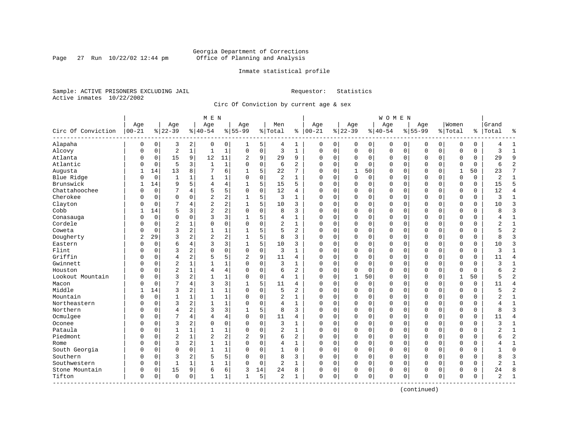Page 27 Run  $10/22/02$  12:44 pm

#### Inmate statistical profile

Sample: ACTIVE PRISONERS EXCLUDING JAIL **Requestor:** Statistics Active inmates 10/22/2002

Circ Of Conviction by current age & sex

|                      |                  |                |                  |                | M E N            |                |                  |             |                |                |                 |             |                  |             | W O M E N        |             |                    |             |                  |          |                |                |
|----------------------|------------------|----------------|------------------|----------------|------------------|----------------|------------------|-------------|----------------|----------------|-----------------|-------------|------------------|-------------|------------------|-------------|--------------------|-------------|------------------|----------|----------------|----------------|
| Circ Of Conviction   | Age<br>$00 - 21$ |                | Age<br>$8 22-39$ |                | Age<br>$8 40-54$ |                | Age<br>$8 55-99$ |             | Men<br>% Total | ႜ              | Age<br>$ 00-21$ |             | Age<br>$8 22-39$ |             | Age<br>$8 40-54$ |             | Age<br>$8155 - 99$ |             | Women<br>% Total | %        | Grand<br>Total | ٩,             |
| Alapaha              | 0                | 0              | 3                | 2              | 0                | 0              | 1                | 5           | 4              | 1              | 0               | 0           | 0                | 0           | 0                | 0           | 0                  | 0           | 0                | 0        |                | $\mathbf{1}$   |
| Alcovy               | $\Omega$         | $\mathbf 0$    | $\overline{2}$   | $\mathbf{1}$   | $\mathbf{1}$     | $\mathbf{1}$   | $\Omega$         | $\mathbf 0$ | 3              | $\mathbf{1}$   | $\mathbf 0$     | $\mathbf 0$ | $\mathbf 0$      | $\mathbf 0$ | $\mathbf 0$      | $\mathbf 0$ | $\mathbf{0}$       | $\mathbf 0$ | $\mathbf 0$      | 0        | $\mathbf{3}$   | $\mathbf{1}$   |
| Atlanta              | 0                | 0              | 15               | 9              | 12               | 11             | 2                | 9           | 29             | 9              | 0               | 0           | 0                | 0           | 0                | $\mathbf 0$ | $\mathbf 0$        | 0           | $\mathbf 0$      | 0        | 29             | 9              |
| Atlantic             | 0                | 0              | 5                | 3              | $\mathbf{1}$     | $\mathbf{1}$   | $\Omega$         | $\mathbf 0$ | 6              | $\overline{a}$ | $\Omega$        | $\Omega$    | $\Omega$         | $\mathbf 0$ | $\mathbf 0$      | $\mathbf 0$ | $\Omega$           | $\Omega$    | $\mathbf 0$      | $\Omega$ | 6              | $\overline{2}$ |
| Augusta              | 1                | 14             | 13               | 8              | 7                | 6              | 1                | 5           | 22             | 7              | $\Omega$        | $\Omega$    | $\mathbf{1}$     | 50          | $\Omega$         | $\Omega$    | $\Omega$           | $\Omega$    | $\mathbf{1}$     | 50       | 23             | 7              |
| Blue Ridge           | 0                | $\overline{0}$ | 1                |                | 1                | 1              | 0                | $\mathbf 0$ | 2              | $\mathbf{1}$   | $\Omega$        | $\Omega$    | $\Omega$         | $\mathbf 0$ | $\Omega$         | $\mathbf 0$ | $\mathbf{0}$       | $\Omega$    | $\mathbf 0$      | $\Omega$ | $\overline{2}$ | $\mathbf{1}$   |
| Brunswick            | 1                | 14             | 9                | 5              | 4                | 4              |                  | 5           | 15             | 5              | $\Omega$        | 0           | 0                | 0           | 0                | $\mathbf 0$ | $\Omega$           | $\mathbf 0$ | $\mathbf 0$      | 0        | 15             | 5              |
| Chattahoochee        | O                | $\mathbf 0$    | 7                | 4              | 5                | 5              | $\Omega$         | $\Omega$    | 12             | 4              | $\Omega$        | $\Omega$    | $\mathbf 0$      | $\mathbf 0$ | $\Omega$         | $\mathbf 0$ | $\mathbf{0}$       | $\Omega$    | $\Omega$         | 0        | 12             | $\overline{4}$ |
| Cherokee             | N                | 0              | $\mathbf 0$      | $\Omega$       | $\overline{2}$   | 2              |                  | 5           | 3              | $\mathbf{1}$   | $\mathbf 0$     | 0           | 0                | $\mathbf 0$ | 0                | $\mathbf 0$ | $\mathbf{0}$       | $\mathbf 0$ | $\mathbf 0$      | 0        | ζ              | $\mathbf{1}$   |
| Clayton              | N                | 0              | 7                | 4              | $\overline{2}$   | $\overline{a}$ |                  | 5           | 10             | 3              | $\Omega$        | 0           | 0                | $\mathbf 0$ | 0                | 0           | $\Omega$           | 0           | $\Omega$         | 0        | 10             | 3              |
| Cobb                 |                  | 14             | 5                | 3              | $\overline{2}$   | $\overline{a}$ | $\Omega$         | $\Omega$    | 8              | 3              | $\Omega$        | $\Omega$    | $\Omega$         | $\mathbf 0$ | 0                | $\mathbf 0$ | $\mathbf 0$        | $\Omega$    | $\mathbf 0$      | $\Omega$ | 8              | $\overline{3}$ |
| Conasauga            | 0                | $\Omega$       | $\mathbf 0$      | $\Omega$       | 3                | 3              | 1                | 5           | 4              | $\mathbf{1}$   | $\Omega$        | $\Omega$    | $\Omega$         | $\Omega$    | $\Omega$         | $\Omega$    | $\Omega$           | $\Omega$    | $\mathbf 0$      | $\Omega$ | 4              | $\mathbf{1}$   |
| Cordele              | N                | $\mathbf 0$    | $\overline{c}$   |                | $\Omega$         | 0              | $\Omega$         | $\mathbf 0$ | $\overline{c}$ | $\mathbf{1}$   | $\Omega$        | $\mathbf 0$ | $\mathbf 0$      | $\mathbf 0$ | $\Omega$         | $\mathbf 0$ | $\Omega$           | $\Omega$    | $\mathbf 0$      | $\Omega$ | 2              | $\mathbf{1}$   |
| Coweta               | N                | $\mathbf 0$    | 3                | 2              | $\mathbf{1}$     | $\mathbf 1$    | 1                | 5           | 5              | $\overline{2}$ | $\Omega$        | $\Omega$    | $\mathbf 0$      | $\mathbf 0$ | $\Omega$         | $\mathbf 0$ | $\mathbf{0}$       | $\Omega$    | $\mathbf 0$      | $\Omega$ | 5              | $\overline{2}$ |
| Dougherty            | 2                | 29             | 3                | 2              | $\overline{2}$   | 2              |                  | 5           | 8              | 3              | $\Omega$        | 0           | 0                | $\mathbf 0$ | 0                | $\mathbf 0$ | $\mathbf 0$        | 0           | 0                | 0        | 8              | $\overline{3}$ |
| Eastern              | 0                | 0              | 6                | 4              | 3                | 3              |                  | 5           | 10             | 3              | $\Omega$        | $\Omega$    | 0                | $\Omega$    | 0                | $\mathbf 0$ | $\Omega$           | $\Omega$    | $\Omega$         | 0        | 10             | 3              |
| Flint                | N                | $\Omega$       | 3                | 2              | $\Omega$         | 0              | $\Omega$         | $\Omega$    | 3              | $\mathbf{1}$   | $\Omega$        | $\Omega$    | $\Omega$         | $\Omega$    | 0                | $\Omega$    | $\Omega$           | $\Omega$    | $\Omega$         | $\Omega$ | ζ              | $\mathbf 1$    |
| Griffin              | 0                | $\Omega$       | $\overline{4}$   | 2              | 5                | 5              | $\overline{2}$   | 9           | 11             | 4              | $\Omega$        | $\Omega$    | $\Omega$         | $\mathbf 0$ | $\Omega$         | $\mathbf 0$ | $\Omega$           | $\Omega$    | $\mathbf 0$      | 0        | 11             | $\overline{4}$ |
| Gwinnett             | O                | $\mathbf 0$    | $\overline{2}$   |                | $\mathbf{1}$     | 1              |                  | $\mathbf 0$ | 3              | $\mathbf{1}$   | $\Omega$        | $\mathbf 0$ | $\mathbf 0$      | 0           | $\Omega$         | $\mathbf 0$ | $\mathbf 0$        | $\mathbf 0$ | $\Omega$         | 0        | 3              | $\mathbf{1}$   |
| Houston              | O                | $\mathbf 0$    | $\overline{2}$   | 1              | $\overline{4}$   | 4              | $\Omega$         | $\mathbf 0$ | 6              | $\overline{2}$ | $\Omega$        | 0           | 0                | $\mathbf 0$ | $\Omega$         | $\mathbf 0$ | $\mathbf 0$        | 0           | $\mathbf 0$      | 0        | 6              | $\overline{2}$ |
| Lookout Mountain     | O                | $\Omega$       | 3                | 2              | $\mathbf{1}$     | $\mathbf{1}$   | $\Omega$         | $\mathbf 0$ | 4              | $\mathbf{1}$   | $\Omega$        | $\mathbf 0$ | $\mathbf{1}$     | 50          | $\mathbf 0$      | $\mathbf 0$ | $\mathbf{0}$       | $\Omega$    | $\mathbf{1}$     | 50       |                | $\overline{2}$ |
| Macon                | N                | $\mathbf 0$    | 7                | 4              | 3                | 3              |                  | 5           | 11             | 4              | $\Omega$        | 0           | 0                | $\mathbf 0$ | 0                | 0           | 0                  | $\Omega$    | 0                | 0        | 11             | $\overline{4}$ |
| Middle               |                  | 14             | 3                | 2              | $\mathbf{1}$     | $\mathbf 1$    | $\Omega$         | $\Omega$    | 5              | 2              | $\mathbf 0$     | $\Omega$    | 0                | 0           | 0                | $\mathbf 0$ | $\mathbf 0$        | $\Omega$    | $\mathbf 0$      | 0        |                | $\overline{2}$ |
| Mountain             | 0                | 0              | 1                | 1              | $\mathbf{1}$     | 1              | $\Omega$         | $\mathbf 0$ | $\overline{a}$ | $\mathbf{1}$   | $\Omega$        | 0           | 0                | $\mathbf 0$ | 0                | $\mathbf 0$ | $\mathbf 0$        | $\Omega$    | $\mathbf 0$      | 0        | 2              | 1              |
| Northeastern         | 0                | $\mathbf 0$    | 3                | 2              | $\mathbf{1}$     | $\mathbf 1$    | $\Omega$         | $\mathbf 0$ | 4              | $\mathbf{1}$   | $\Omega$        | $\Omega$    | $\Omega$         | $\mathbf 0$ | $\Omega$         | $\mathbf 0$ | $\mathbf{0}$       | $\Omega$    | $\mathbf 0$      | 0        |                | $\mathbf{1}$   |
| Northern             | N                | $\mathbf 0$    | $\overline{4}$   | $\overline{2}$ | 3                | 3              |                  | 5           | 8              | 3              | $\Omega$        | $\Omega$    | $\mathbf 0$      | $\mathbf 0$ | $\Omega$         | $\mathbf 0$ | $\mathbf{0}$       | $\Omega$    | $\Omega$         | $\Omega$ | $\mathsf{R}$   | 3              |
| Ocmulgee             | N                | $\Omega$       | 7                | $\overline{4}$ | $\overline{4}$   | 4              | $\Omega$         | $\mathbf 0$ | 11             | 4              | $\mathbf 0$     | 0           | 0                | $\mathbf 0$ | $\Omega$         | 0           | $\mathbf 0$        | 0           | $\mathbf 0$      | 0        | 11             | $\overline{4}$ |
| Oconee               | 0                | $\Omega$       | 3                | 2              | $\Omega$         | 0              | $\Omega$         | 0           | 3              | 1              | $\Omega$        | $\Omega$    | $\Omega$         | $\Omega$    | $\Omega$         | $\mathbf 0$ | $\Omega$           | $\Omega$    | $\Omega$         | 0        | 3              | $\mathbf{1}$   |
| Pataula              | N                | $\Omega$       | 1                |                | $\mathbf{1}$     | $\mathbf{1}$   | $\Omega$         | $\Omega$    | $\overline{2}$ | $\mathbf{1}$   | $\Omega$        | $\Omega$    | $\Omega$         | $\Omega$    | 0                | $\mathbf 0$ | $\mathbf{0}$       | $\Omega$    | $\mathbf 0$      | $\Omega$ |                | $\mathbf{1}$   |
| Piedmont             | O                | $\Omega$       | $\overline{2}$   | 1              | $\overline{2}$   | 2              | $\overline{c}$   | 9           | 6              | $\overline{2}$ | $\Omega$        | $\Omega$    | $\Omega$         | $\Omega$    | 0                | $\Omega$    | $\Omega$           | $\Omega$    | $\Omega$         | $\Omega$ | б              | $\overline{2}$ |
| Rome                 | 0                | 0              | 3                | $\overline{2}$ | $\mathbf{1}$     | $\mathbf 1$    | $\Omega$         | $\mathbf 0$ | 4              | 1              | $\Omega$        | $\Omega$    | 0                | $\mathbf 0$ | 0                | $\mathbf 0$ | $\mathbf{0}$       | $\Omega$    | $\mathbf 0$      | 0        |                | $\mathbf{1}$   |
| South Georgia        | $\Omega$         | $\mathbf 0$    | $\Omega$         | 0              | $\mathbf{1}$     | $\mathbf{1}$   |                  | $\mathbf 0$ | 1              | 0              | $\Omega$        | 0           | 0                | $\mathbf 0$ | $\Omega$         | $\mathbf 0$ | $\mathbf 0$        | 0           | $\mathbf 0$      | 0        |                | $\Omega$       |
| Southern             | N                | $\mathbf 0$    | 3                | 2              | 5                | 5              | $\Omega$         | $\Omega$    | 8              | 3              | $\Omega$        | $\Omega$    | $\mathbf 0$      | $\mathbf 0$ | 0                | $\mathbf 0$ | $\mathbf{0}$       | $\Omega$    | $\Omega$         | $\Omega$ | $\mathsf{R}$   | 3              |
| Southwestern         | $\Omega$         | 0              | $\mathbf{1}$     |                |                  | $\mathbf 1$    | $\Omega$         | 0           | $\overline{2}$ | 1              | $\Omega$        | 0           | 0                | $\mathbf 0$ | 0                | 0           | $\mathbf 0$        | 0           | $\mathbf 0$      | 0        | $\overline{2}$ | $\mathbf{1}$   |
| Stone Mountain       | 0                | 0              | 15               | 9              | 6                | 6              | 3                | 14          | 24             | 8              | 0               | 0           | 0                | 0           | 0                | 0           | 0                  | 0           | 0                | 0        | 24             | 8              |
| Tifton<br>---------- | 0                | 0              | $\Omega$         | 0              | $\mathbf{1}$     | 1              | 1                | 5           | $\overline{a}$ | 1              | $\mathbf 0$     | 0           | $\Omega$         | $\mathbf 0$ | $\Omega$         | $\mathbf 0$ | $\mathbf 0$        | 0           | $\Omega$         | 0        | 2              | $\mathbf{1}$   |

(continued)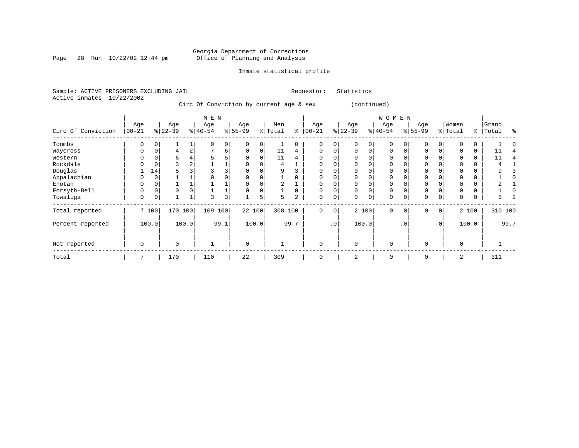Page 28 Run  $10/22/02$  12:44 pm

#### Inmate statistical profile

Sample: ACTIVE PRISONERS EXCLUDING JAIL **Requestor:** Statistics Active inmates 10/22/2002

Circ Of Conviction by current age & sex (continued)

|                    |            |          |                 |                | M E N     |                |           |       |         |          |           |             |           |             | W O M E N   |           |             |          |          |       |         |      |
|--------------------|------------|----------|-----------------|----------------|-----------|----------------|-----------|-------|---------|----------|-----------|-------------|-----------|-------------|-------------|-----------|-------------|----------|----------|-------|---------|------|
|                    | Age        |          | Age<br>$ 22-39$ |                | Age       |                | Age       |       | Men     | ႜ        | Age       | %           | Age       |             | Age         |           | Age         |          | Women    |       | Grand   | ႜ    |
| Circ Of Conviction | $ 00 - 21$ |          |                 |                | $ 40-54 $ |                | $8 55-99$ |       | % Total |          | $00 - 21$ |             | $22 - 39$ |             | $ 40-54 $   |           | $8 55-99$   |          | % Total  | ႜၟ    | Total   |      |
| Toombs             | 0          |          |                 |                |           | 0              |           |       |         | 0        | $\Omega$  | 0           |           | 0           | $\mathbf 0$ |           |             | $\Omega$ |          | 0     |         |      |
| Waycross           | 0          | 0        | 4               | $\overline{a}$ | ¬         | 6              | $\Omega$  | 0     | 11      | 4        | $\Omega$  | $\Omega$    | $\Omega$  | $\Omega$    | $\Omega$    |           | $\Omega$    | 0        |          | 0     | 11      |      |
| Western            |            |          | 6               |                | 5         | 5              |           |       | 11      | 4        | $\Omega$  | O           |           |             | $\Omega$    |           |             |          |          |       | 11      |      |
| Rockdale           |            |          |                 | 2              |           |                |           |       | 4       |          | $\Omega$  | 0           |           |             | 0           |           |             |          |          | 0     |         |      |
| Douglas            |            | 14       | 5               |                |           | 3              |           |       | 9       |          | $\Omega$  | O           |           |             | $\Omega$    |           |             |          |          |       |         |      |
| Appalachian        |            |          |                 |                |           |                |           |       |         |          | $\Omega$  | $\Omega$    |           |             | $\Omega$    |           |             |          |          |       |         |      |
| Enotah             | 0          |          |                 |                |           |                |           |       | 2       |          | $\Omega$  | 0           |           |             | 0           |           |             |          |          | 0     |         |      |
| Forsyth-Bell       | 0          | $\Omega$ | $\Omega$        |                |           |                |           |       |         | $\Omega$ | $\Omega$  | 0           | $\Omega$  | $\Omega$    | $\Omega$    |           | $\mathbf 0$ |          |          | 0     |         |      |
| Towaliga           | 0          | 0        |                 |                | 3         | 3 <sup>1</sup> |           | 5     | 5.      | 2        | 0         | 0           | $\Omega$  | $\mathbf 0$ | 0           | 0         | $\mathbf 0$ | 0        | 0        | 0     | 5.      |      |
| Total reported     |            | 7 100    | 170             | 100            | 109       | 100            | 22 100    |       | 308 100 |          | $\Omega$  | $\mathbf 0$ |           | 2 100       | $\Omega$    | $\Omega$  | $\Omega$    | $\circ$  |          | 2 100 | 310 100 |      |
| Percent reported   |            | 100.0    |                 | 100.0          |           | 99.1           |           | 100.0 |         | 99.7     |           | .0          |           | 100.0       |             | $\cdot$ 0 |             | .0'      |          | 100.0 |         | 99.7 |
| Not reported       | 0          |          | $\Omega$        |                |           |                | 0         |       |         |          | $\Omega$  |             | $\Omega$  |             | $\mathbf 0$ |           | $\Omega$    |          | $\Omega$ |       |         |      |
| Total              | 7          |          | 170             |                | 110       |                | 22        |       | 309     |          | $\Omega$  |             | 2         |             | $\mathbf 0$ |           | $\Omega$    |          | 2        |       | 311     |      |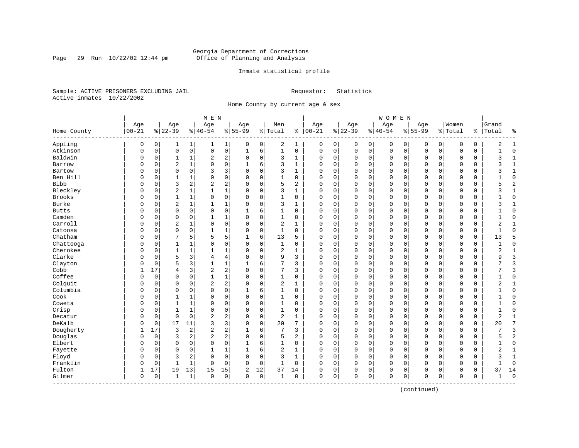Page 29 Run  $10/22/02$  12:44 pm

#### Inmate statistical profile

Sample: ACTIVE PRISONERS EXCLUDING JAIL **Requestor:** Statistics Active inmates 10/22/2002

Home County by current age & sex

|              |           |          |                |                | M E N          |                         |              |             |                |                |              |          |              |             | WOMEN    |             |              |             |             |             |                |                |
|--------------|-----------|----------|----------------|----------------|----------------|-------------------------|--------------|-------------|----------------|----------------|--------------|----------|--------------|-------------|----------|-------------|--------------|-------------|-------------|-------------|----------------|----------------|
|              | Age       |          | Age            |                | Age            |                         | Age          |             | Men            |                | Age          |          | Age          |             | Age      |             | Age          |             | Women       |             | Grand          |                |
| Home County  | $00 - 21$ |          | $ 22-39$       |                | $ 40-54$       |                         | $8 55-99$    |             | % Total        | နွ             | $ 00-21$     |          | $ 22-39$     |             | $ 40-54$ |             | $8 55-99$    |             | %   Total   |             | %   Total      | နွ             |
| Appling      | 0         | 0        | 1              | 1              | 1              | 1                       | 0            | 0           | 2              | 1              | 0            | 0        | 0            | 0           | 0        | 0           | 0            | 0           | 0           | 0           | 2              | 1              |
| Atkinson     | 0         | 0        | $\mathbf 0$    | $\mathsf{O}$   | 0              | 0                       | 1            | 6           | 1              | 0              | 0            | 0        | $\mathbf 0$  | $\mathsf 0$ | 0        | $\mathsf 0$ | $\mathbf 0$  | $\mathbf 0$ | $\mathbf 0$ | 0           |                | $\mathbf 0$    |
| Baldwin      | $\Omega$  | 0        | 1              | $\mathbf{1}$   | 2              | 2                       | $\mathbf 0$  | $\mathbf 0$ | 3              | $\mathbf{1}$   | $\mathbf 0$  | 0        | $\mathbf{0}$ | 0           | 0        | $\mathbf 0$ | 0            | $\mathbf 0$ | $\mathbf 0$ | 0           | 3              | $\mathbf{1}$   |
| Barrow       | 0         | 0        | $\overline{2}$ | $\mathbf{1}$   | $\Omega$       | 0                       | $\mathbf{1}$ | 6           | 3              | $\mathbf{1}$   | $\Omega$     | $\Omega$ | $\mathbf{0}$ | $\mathbf 0$ | $\Omega$ | $\mathbf 0$ | $\mathbf{0}$ | $\Omega$    | $\Omega$    | $\mathbf 0$ | ζ              | $\mathbf{1}$   |
| Bartow       | O         | $\Omega$ | $\mathbf 0$    | $\Omega$       | 3              | 3                       | $\Omega$     | $\Omega$    | 3              | $\mathbf{1}$   | $\Omega$     | 0        | $\mathbf 0$  | 0           | $\Omega$ | $\mathbf 0$ | $\Omega$     | $\Omega$    | $\Omega$    | $\Omega$    |                | $\mathbf{1}$   |
| Ben Hill     | O         | $\Omega$ | $\mathbf{1}$   | 1              | 0              | 0                       | $\Omega$     | $\Omega$    | $\mathbf{1}$   | $\Omega$       | $\Omega$     | 0        | $\Omega$     | $\Omega$    | $\Omega$ | $\mathbf 0$ | $\Omega$     | $\Omega$    | $\mathbf 0$ | $\Omega$    |                | $\Omega$       |
| <b>Bibb</b>  | O         | $\Omega$ | 3              | 2              | 2              | 2                       | $\Omega$     | $\Omega$    | 5              | 2              | $\Omega$     | 0        | $\mathbf 0$  | 0           | 0        | $\mathbf 0$ | $\Omega$     | $\Omega$    | $\mathbf 0$ | 0           |                | $\overline{2}$ |
| Bleckley     | U         | 0        | $\overline{2}$ | $\mathbf 1$    | 1              | 1                       | O            | $\mathbf 0$ | 3              | 1              | 0            | 0        | $\mathbf 0$  | $\mathbf 0$ | 0        | 0           | 0            | $\mathbf 0$ | 0           | 0           | 3              | 1              |
| Brooks       | O         | 0        | 1              | $\mathbf{1}$   | 0              | 0                       | $\Omega$     | 0           | $\mathbf{1}$   | 0              | $\Omega$     | 0        | 0            | $\mathbf 0$ | 0        | 0           | $\Omega$     | 0           | $\mathbf 0$ | 0           |                | $\Omega$       |
| Burke        | O         | 0        | $\overline{2}$ | 1              | $\mathbf{1}$   | 1                       | $\Omega$     | 0           | 3              | 1              | $\Omega$     | 0        | $\mathbf 0$  | 0           | 0        | $\mathbf 0$ | $\mathbf 0$  | $\mathbf 0$ | 0           | 0           | ζ              | 1              |
| <b>Butts</b> | O         | 0        | $\mathbf 0$    | $\mathbf 0$    | 0              | 0                       |              | 6           | 1              | 0              | 0            | 0        | $\mathbf 0$  | 0           | 0        | $\mathbf 0$ | 0            | 0           | $\mathbf 0$ | 0           |                | $\Omega$       |
| Camden       | O         | $\Omega$ | $\mathbf 0$    | $\Omega$       | $\mathbf{1}$   | 1                       | $\Omega$     | $\Omega$    | $\mathbf{1}$   | $\Omega$       | $\Omega$     | 0        | $\Omega$     | $\mathbf 0$ | $\Omega$ | $\mathbf 0$ | $\Omega$     | $\Omega$    | $\mathbf 0$ | $\Omega$    |                | $\Omega$       |
| Carroll      | 0         | $\Omega$ | $\overline{2}$ | $\mathbf{1}$   | 0              | 0                       | $\Omega$     | $\Omega$    | 2              | $\mathbf{1}$   | $\Omega$     | 0        | $\mathbf 0$  | 0           | $\Omega$ | $\mathbf 0$ | $\Omega$     | $\Omega$    | $\mathbf 0$ | 0           | $\overline{2}$ | $\mathbf{1}$   |
| Catoosa      | 0         | 0        | $\mathbf 0$    | $\mathbf 0$    | $\mathbf{1}$   | 1                       | 0            | 0           | $\mathbf{1}$   | $\Omega$       | $\Omega$     | 0        | $\Omega$     | 0           | $\Omega$ | $\mathbf 0$ | 0            | 0           | $\mathbf 0$ | 0           |                | $\Omega$       |
| Chatham      | O         | 0        | 7              | 5              | 5              | 5                       | 1            | 6           | 13             | 5              | $\Omega$     | 0        | $\mathbf 0$  | $\mathbf 0$ | $\Omega$ | $\mathbf 0$ | $\mathbf 0$  | 0           | $\mathbf 0$ | 0           | 13             | 5              |
| Chattooga    | 0         | 0        | $\mathbf{1}$   | 1              | 0              | 0                       | $\Omega$     | 0           | $\mathbf{1}$   | 0              | $\Omega$     | 0        | $\mathbf 0$  | 0           | 0        | 0           | 0            | 0           | 0           | 0           | -1             | $\mathbf{0}$   |
| Cherokee     | O         | 0        | 1              | 1              | $\mathbf{1}$   | 1                       | O            | 0           | 2              | 1              | $\Omega$     | 0        | $\mathbf 0$  | 0           | 0        | 0           | 0            | 0           | 0           | 0           | $\overline{2}$ | 1              |
| Clarke       | O         | 0        | 5              | 3              | 4              | 4                       | $\Omega$     | $\Omega$    | 9              | 3              | $\Omega$     | 0        | $\mathbf 0$  | 0           | 0        | $\mathbf 0$ | $\Omega$     | $\Omega$    | $\mathbf 0$ | 0           | 9              | $\overline{3}$ |
| Clayton      | 0         | 0        | 5              | 3              | $\mathbf{1}$   | $\mathbf 1$             | 1            | 6           | 7              | 3              | 0            | 0        | $\mathbf 0$  | 0           | 0        | $\mathbf 0$ | 0            | $\Omega$    | $\mathbf 0$ | 0           | 7              | 3              |
| Cobb         | 1         | 17       | 4              | 3              | 2              | 2                       | $\Omega$     | $\mathbf 0$ | 7              | 3              | 0            | 0        | $\mathbf 0$  | 0           | 0        | $\mathbf 0$ | 0            | 0           | 0           | 0           |                | 3              |
| Coffee       | O         | 0        | $\Omega$       | $\Omega$       | $\mathbf{1}$   | $\mathbf 1$             | $\Omega$     | $\Omega$    | $\mathbf{1}$   | $\Omega$       | $\Omega$     | 0        | $\mathbf 0$  | $\mathbf 0$ | $\Omega$ | $\mathbf 0$ | $\mathbf 0$  | $\Omega$    | $\mathbf 0$ | 0           | $\mathbf{1}$   | $\Omega$       |
| Colquit      | O         | 0        | $\mathbf 0$    | $\mathbf 0$    | $\overline{c}$ | $\overline{a}$          | $\Omega$     | $\mathbf 0$ | 2              | 1              | $\Omega$     | 0        | $\mathbf 0$  | $\mathbf 0$ | $\Omega$ | $\mathbf 0$ | $\mathbf{0}$ | $\Omega$    | $\mathbf 0$ | 0           | $\overline{2}$ | $\mathbf{1}$   |
| Columbia     | U         | 0        | $\mathbf 0$    | $\mathbf 0$    | $\Omega$       | 0                       |              | 6           | 1              | $\Omega$       | $\Omega$     | 0        | $\mathbf 0$  | 0           | 0        | 0           | $\Omega$     | 0           | $\mathbf 0$ | $\Omega$    |                | $\Omega$       |
| Cook         | U         | 0        | 1              | 1              | 0              | 0                       | $\Omega$     | $\Omega$    | 1              | $\Omega$       | $\Omega$     | 0        | $\mathbf 0$  | $\mathbf 0$ | $\Omega$ | $\mathbf 0$ | $\Omega$     | $\Omega$    | $\mathbf 0$ | 0           |                | $\Omega$       |
| Coweta       | U         | 0        | 1              | 1              | 0              | 0                       | 0            | 0           | 1              | 0              | 0            | 0        | $\mathbf 0$  | 0           | 0        | $\mathbf 0$ | $\Omega$     | $\Omega$    | 0           | 0           |                | $\Omega$       |
| Crisp        | 0         | 0        | 1              | $\mathbf{1}$   | $\mathbf 0$    | 0                       | 0            | 0           | 1              | 0              | 0            | 0        | 0            | 0           | 0        | 0           | 0            | 0           | $\mathbf 0$ | 0           | $\mathbf{1}$   | $\Omega$       |
| Decatur      | O         | 0        | $\mathbf 0$    | $\mathbf 0$    | $\overline{c}$ | 2                       | $\Omega$     | 0           | $\overline{2}$ | 1              | $\Omega$     | 0        | $\mathbf 0$  | 0           | $\Omega$ | $\mathbf 0$ | $\mathbf{0}$ | 0           | $\mathbf 0$ | 0           | 2              | 1              |
| DeKalb       | 0         | 0        | 17             | 11             | 3              | 3                       | $\Omega$     | $\mathbf 0$ | 20             | 7              | $\Omega$     | 0        | $\mathbf 0$  | $\mathbf 0$ | $\Omega$ | $\mathbf 0$ | $\mathbf{0}$ | $\Omega$    | $\Omega$    | 0           | 20             | 7              |
| Dougherty    |           | 17       | $\overline{3}$ | $\overline{2}$ | $\overline{2}$ | 2                       |              | 6           | 7              | 3              | $\Omega$     | 0        | $\mathbf 0$  | 0           | $\Omega$ | $\mathbf 0$ | $\Omega$     | $\Omega$    | $\mathbf 0$ | 0           |                | 3              |
| Douglas      | U         | 0        | 3              | 2              | $\overline{c}$ | $\overline{\mathbf{c}}$ | $\Omega$     | $\Omega$    | 5              | $\overline{a}$ | $\Omega$     | O        | $\Omega$     | $\Omega$    | $\Omega$ | $\mathbf 0$ | $\Omega$     | $\Omega$    | $\mathbf 0$ | 0           | 5              | $\overline{2}$ |
| Elbert       | U         | 0        | $\mathbf 0$    | $\Omega$       | 0              | 0                       | 1            | 6           | $\mathbf{1}$   | 0              | $\Omega$     | 0        | $\mathbf 0$  | $\mathbf 0$ | 0        | $\mathbf 0$ | $\Omega$     | $\Omega$    | $\mathbf 0$ | 0           | 1              | $\mathbf 0$    |
| Fayette      | U         | 0        | $\mathbf 0$    | $\mathbf 0$    | $\mathbf{1}$   | $\mathbf 1$             | 1            | 6           | 2              | $\mathbf{1}$   | $\Omega$     | 0        | $\mathbf 0$  | 0           | 0        | 0           | $\Omega$     | 0           | $\mathbf 0$ | 0           | $\overline{2}$ | $\mathbf{1}$   |
| Floyd        | O         | 0        | 3              | 2              | 0              | 0                       | $\Omega$     | 0           | 3              | $\mathbf{1}$   | 0            | 0        | 0            | 0           | 0        | 0           | 0            | 0           | 0           | 0           | 3              | $\mathbf{1}$   |
| Franklin     | 0         | 0        | $\mathbf{1}$   | 1              | 0              | 0                       | $\Omega$     | 0           | 1              | 0              | $\mathbf 0$  | 0        | $\mathbf 0$  | 0           | 0        | $\mathbf 0$ | $\mathbf 0$  | 0           | $\mathbf 0$ | 0           |                | $\Omega$       |
| Fulton       | 1         | 17       | 19             | 13             | 15             | 15                      | 2            | 12          | 37             | 14             | 0            | 0        | 0            | 0           | 0        | 0           | 0            | 0           | 0           | 0           | 37             | 14             |
| Gilmer       | 0         | 0        | $\mathbf{1}$   | $\mathbf{1}$   | $\Omega$       | 0                       | $\Omega$     | $\mathbf 0$ | 1              | 0              | $\mathbf{0}$ | 0        | $\Omega$     | $\mathbf 0$ | $\Omega$ | $\mathbf 0$ | $\Omega$     | $\mathbf 0$ | $\Omega$    | 0           |                | $\Omega$       |

(continued)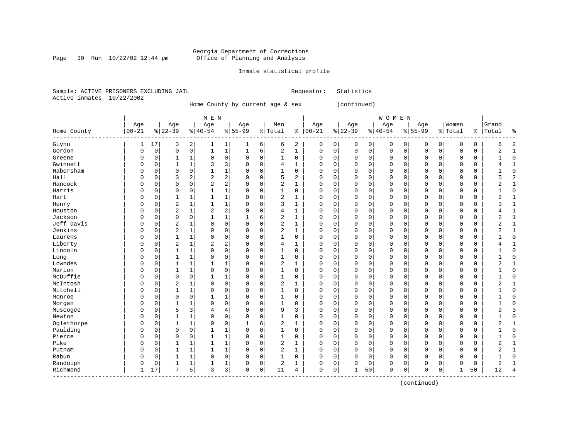#### Georgia Department of Corrections Page 30 Run  $10/22/02$  12:44 pm Office of Planning and Analysis

#### Inmate statistical profile

Sample: ACTIVE PRISONERS EXCLUDING JAIL **Requestor:** Statistics Active inmates 10/22/2002

Home County by current age & sex (continued)

| M E N | W O M E N | Age | Age | Age | Age | Men | Age | Age | Age | Age |Women |Grand Home County |00-21 %|22-39 %|40-54 %|55-99 %|Total % |00-21 %|22-39 %|40-54 %|55-99 %|Total % |Total % ------------------------------------------------------------------------------------------------------------------------------------Glynn | 1 17| 3 2| 1 1| 1 6| 6 2 | 0 0| 0 0| 0 0| 0 0| 0 0 | 6 2 Gordon | 0 0| 0 0| 1 1| 1 6| 2 1 | 0 0| 0 0| 0 0| 0 0| 0 0 | 2 1 Greene | 0 0| 1 1| 0 0| 0 0| 1 0 | 0 0| 0 0| 0 0| 0 0| 0 0 | 1 0 Gwinnett | 0 0| 1 1| 3 3| 0 0| 4 1 | 0 0| 0 0| 0 0| 0 0| 0 0 | 4 1 Habersham | 0 0| 0 0| 1 1| 0 0| 1 0 | 0 0| 0 0| 0 0| 0 0| 0 0 | 1 0 Hall | 0 0| 3 2| 2 2| 0 0| 5 2 | 0 0| 0 0| 0 0| 0 0| 0 0 | 5 2 Hancock | 0 0| 0 0| 2 2| 0 0| 2 1 | 0 0| 0 0| 0 0| 0 0| 0 0 | 2 1 Harris | 0 0| 0 0| 1 1| 0 0| 1 0 | 0 0| 0 0| 0 0| 0 0| 0 0 | 1 0 Hart | 0 0| 1 1| 1 1| 0 0| 2 1 | 0 0| 0 0| 0 0| 0 0| 0 0 | 2 1 Henry | 0 0| 2 1| 1 1| 0 0| 3 1 | 0 0| 0 0| 0 0| 0 0| 0 0 | 3 1 Houston | 0 0| 2 1| 2 2| 0 0| 4 1 | 0 0| 0 0| 0 0| 0 0| 0 0 | 4 1 Jackson | 0 0| 0 0| 1 1| 1 6| 2 1 | 0 0| 0 0| 0 0| 0 0| 0 0 | 2 1 Jeff Davis | 0 0| 2 1| 0 0| 0 0| 2 1 | 0 0| 0 0| 0 0| 0 0| 0 0 | 2 1 Jenkins | 0 0| 2 1| 0 0| 0 0| 2 1 | 0 0| 0 0| 0 0| 0 0| 0 0 | 2 1 Laurens | 0 0| 1 1| 0 0| 0 0| 1 0 | 0 0| 0 0| 0 0| 0 0| 0 0 | 1 0 Liberty | 0 0| 2 1| 2 2| 0 0| 4 1 | 0 0| 0 0| 0 0| 0 0| 0 0 | 4 1 Lincoln | 0 0| 1 1| 0 0| 0 0| 1 0 | 0 0| 0 0| 0 0| 0 0| 0 0 | 1 0 Long | 0 0| 1 1| 0 0| 0 0| 1 0 | 0 0| 0 0| 0 0| 0 0| 0 0 | 1 0 Lowndes | 0 0| 1 1| 1 1| 0 0| 2 1 | 0 0| 0 0| 0 0| 0 0| 0 0 | 2 1 Marion | 0 0| 1 1| 0 0| 0 0| 1 0 | 0 0| 0 0| 0 0| 0 0| 0 0 | 1 0 McDuffie | 0 0| 0 0| 1 1| 0 0| 1 0 | 0 0| 0 0| 0 0| 0 0| 0 0 | 1 0 McIntosh | 0 0| 2 1| 0 0| 0 0| 2 1 | 0 0| 0 0| 0 0| 0 0| 0 0 | 2 1 Mitchell | 0 0| 1 1| 0 0| 0 0| 1 0 | 0 0| 0 0| 0 0| 0 0| 0 0 | 1 0 Monroe | 0 0| 0 0| 1 1| 0 0| 1 0 | 0 0| 0 0| 0 0| 0 0| 0 0 | 1 0 Morgan | 0 0| 1 1| 0 0| 0 0| 1 0 | 0 0| 0 0| 0 0| 0 0| 0 0 | 1 0 Muscogee | 0 0| 5 3| 4 4| 0 0| 9 3 | 0 0| 0 0| 0 0| 0 0| 0 0 | 9 3 Newton | 0 0| 1 1| 0 0| 0 0| 1 0 | 0 0| 0 0| 0 0| 0 0| 0 0 | 1 0 Oglethorpe | 0 0| 1 1| 0 0| 1 6| 2 1 | 0 0| 0 0| 0 0| 0 0| 0 0 | 2 1 Paulding | 0 0| 0 0| 1 1| 0 0| 1 0 | 0 0| 0 0| 0 0| 0 0| 0 0 | 1 0 Pierce | 0 0| 0 0| 1 1| 0 0| 1 0 | 0 0| 0 0| 0 0| 0 0| 0 0 | 1 0 Pike | 0 0| 1 1| 1 1| 0 0| 2 1 | 0 0| 0 0| 0 0| 0 0| 0 0 | 2 1 Putnam | 0 0| 1 1| 1 1| 0 0| 2 1 | 0 0| 0 0| 0 0| 0 0| 0 0 | 2 1 Rabun | 0 0| 1 1| 0 0| 0 0| 1 0 | 0 0| 0 0| 0 0| 0 0| 0 0 | 1 0 Randolph | 0 0| 1 1| 1 1| 0 0| 2 1 | 0 0| 0 0| 0 0| 0 0| 0 0 | 2 1 Richmond | 1 17| 7 5| 3 3| 0 0| 11 4 | 0 0| 1 50| 0 0| 0 0| 1 50 | 12 4 ------------------------------------------------------------------------------------------------------------------------------------

(continued)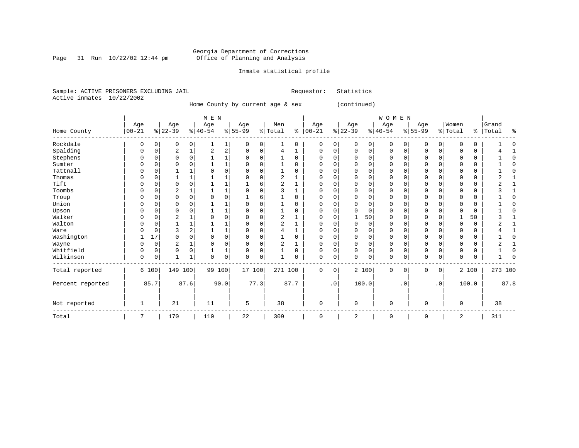Page 31 Run  $10/22/02$  12:44 pm

### Inmate statistical profile

|  | Sample: ACTIVE PRISONERS EXCLUDING JAIL |  | Requestor: Statistics |  |
|--|-----------------------------------------|--|-----------------------|--|
|  | Active inmates 10/22/2002               |  |                       |  |

Home County by current age & sex (continued)

|                  |                   |          |                  |                | M E N            |                |                  |             |                |          |                   |             |                 |             | <b>WOMEN</b>    |           |                  |                |                  |       |                |            |
|------------------|-------------------|----------|------------------|----------------|------------------|----------------|------------------|-------------|----------------|----------|-------------------|-------------|-----------------|-------------|-----------------|-----------|------------------|----------------|------------------|-------|----------------|------------|
| Home County      | Age<br>$ 00 - 21$ |          | Age<br>$8 22-39$ |                | Age<br>$8 40-54$ |                | Age<br>$8 55-99$ |             | Men<br>% Total | နွ       | Age<br>$ 00 - 21$ |             | Age<br>$ 22-39$ |             | Age<br>$ 40-54$ |           | Age<br>$8 55-99$ |                | Women<br>% Total | နွ    | Grand<br>Total | ႜ          |
| Rockdale         | 0                 | 0        | $\mathbf 0$      | 0              |                  | $\mathbf{1}$   | $\mathbf 0$      | 0           |                | 0        | $\mathbf 0$       | 0           | 0               | 0           | $\mathbf 0$     | 0         | $\mathbf 0$      | 0              | $\Omega$         | 0     |                |            |
| Spalding         | 0                 | 0        | 2                | 1              | 2                | $\overline{a}$ | 0                | 0           | 4              | 1        | $\Omega$          | 0           | $\Omega$        | 0           | $\mathbf 0$     | $\Omega$  | $\mathbf 0$      | 0              | $\Omega$         | 0     |                |            |
| Stephens         |                   | 0        | $\Omega$         | $\Omega$       |                  | $\mathbf 1$    | $\Omega$         | 0           |                | $\Omega$ | $\Omega$          | $\Omega$    | $\Omega$        | $\Omega$    | $\Omega$        | $\Omega$  | O                | $\Omega$       | 0                | 0     |                | ſ          |
| Sumter           |                   | O        | O                | $\Omega$       |                  | 1              |                  | $\Omega$    |                | $\Omega$ | $\Omega$          | $\Omega$    | <sup>0</sup>    | $\Omega$    | 0               | U         | O                | $\Omega$       | U                | 0     |                | C          |
| Tattnall         |                   |          |                  |                |                  | 0              |                  | $\Omega$    |                | O        | $\Omega$          | 0           |                 | $\Omega$    | O               |           | O                | O              |                  | 0     |                | $\Omega$   |
| Thomas           |                   |          |                  |                |                  |                |                  | $\Omega$    | 2              |          |                   | 0           |                 | $\Omega$    | 0               |           |                  |                |                  | 0     |                |            |
| Tift             | N                 | N        | $\Omega$         | $\Omega$       |                  | 1              |                  | 6           | $\overline{2}$ |          | $\Omega$          | $\Omega$    | <sup>0</sup>    | $\Omega$    | 0               | U         | $\Omega$         | $\Omega$       | $\Omega$         | 0     | ∩              |            |
| Toombs           |                   | 0        | $\overline{2}$   |                |                  | 1              |                  | $\Omega$    | 3              |          | C                 | $\Omega$    |                 | $\Omega$    | 0               | U         |                  | $\Omega$       | 0                | 0     |                |            |
| Troup            |                   | $\Omega$ | $\Omega$         | $\mathbf 0$    | $\Omega$         | 0              |                  | 6           |                | $\Omega$ | $\Omega$          | $\Omega$    | $\cap$          | $\Omega$    | 0               | $\Omega$  | $\Omega$         | $\Omega$       | $\Omega$         | 0     |                | ſ          |
| Union            |                   |          | n                |                |                  |                |                  |             |                | U        | n                 | O           |                 | ∩           | U               |           | U                |                |                  | 0     |                | ſ          |
| Upson            |                   |          | 0                |                |                  | 1              |                  | $\Omega$    |                | U        | C                 | O           |                 | $\Omega$    | 0               |           | O                |                |                  | 0     |                |            |
| Walker           |                   |          | $\overline{2}$   |                |                  | 0              |                  | $\Omega$    | 2              |          | $\Omega$          | 0           |                 | 50          | $\Omega$        |           | $\Omega$         |                |                  | 50    |                |            |
| Walton           |                   | 0        |                  |                |                  | 1              |                  | $\mathbf 0$ | 2              |          | O                 | $\Omega$    | $\Omega$        | $\Omega$    | 0               | 0         | O                | $\Omega$       | $\Omega$         | 0     |                |            |
| Ware             |                   | O        | 3                | $\overline{a}$ |                  | 1              | O                | $\Omega$    | 4              |          | $\Omega$          | $\Omega$    | ∩               | $\Omega$    | 0               | U         | U                | $\Omega$       | U                | 0     |                |            |
| Washington       |                   | 17       | $\Omega$         | $\Omega$       | $\Omega$         | 0              | $\Omega$         | $\Omega$    |                | O        | $\Omega$          | $\Omega$    |                 | $\Omega$    | 0               |           | O                |                | 0                | 0     |                | $\sqrt{ }$ |
| Wayne            |                   | 0        | 2                |                | O                | 0              | O                | 0           | 2              | 1        | O                 | 0           | $\Omega$        | $\Omega$    | 0               | O         | 0                | $\Omega$       | U                | 0     |                |            |
| Whitfield        | 0                 | $\Omega$ | $\Omega$         | 0              |                  | 1              | $\Omega$         | 0           |                | 0        | U                 | 0           | $\Omega$        | $\Omega$    | 0               | U         | $\Omega$         | $\Omega$       | $\Omega$         | 0     |                | $\Omega$   |
| Wilkinson        | 0                 | 0        |                  |                | 0                | 0              | $\Omega$         | $\mathbf 0$ |                | O        | 0                 | 0           | $\Omega$        | $\mathbf 0$ | 0               | 0         | $\Omega$         | 0              | U                | 0     |                |            |
| Total reported   |                   | 6 100    | 149 100          |                | 99 100           |                | 17 100           |             | 271 100        |          | $\Omega$          | $\mathbf 0$ |                 | 2 100       | $\mathbf 0$     | $\Omega$  | $\mathbf 0$      | 0 <sup>1</sup> |                  | 2 100 | 273 100        |            |
| Percent reported |                   | 85.7     |                  | 87.6           |                  | 90.0           |                  | 77.3        |                | 87.7     |                   | $\cdot$ 0   |                 | 100.0       |                 | $\cdot$ 0 |                  | $\cdot$ 0      |                  | 100.0 |                | 87.8       |
| Not reported     | 1                 |          | 21               |                | 11               |                | 5                |             | 38             |          | $\mathbf 0$       |             | $\Omega$        |             | 0               |           | $\Omega$         |                | 0                |       | 38             |            |
| Total            | 7                 |          | 170              |                | 110              |                | 22               |             | 309            |          | 0                 |             | 2               |             | 0               |           | $\mathbf 0$      |                | 2                |       | 311            |            |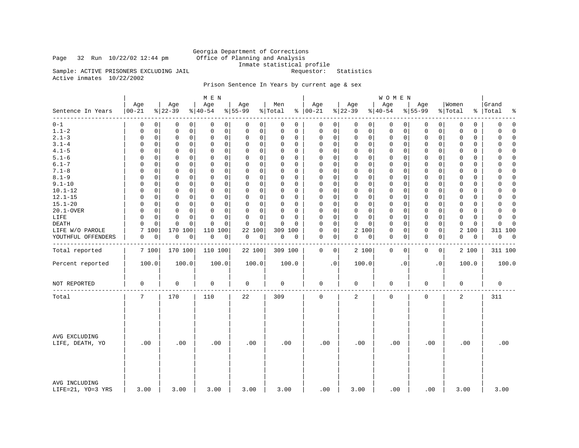Page 32 Run  $10/22/02$  12:44 pm

Georgia Department of Corrections<br>Office of Planning and Analysis Inmate statistical profile<br>Requestor: Statistics

Sample: ACTIVE PRISONERS EXCLUDING JAIL Active inmates 10/22/2002

### Prison Sentence In Years by current age & sex

|                                    |                      |                              | M E N                              |                         |                         |                             |                         | <b>WOMEN</b>               |                            |                            |                            |
|------------------------------------|----------------------|------------------------------|------------------------------------|-------------------------|-------------------------|-----------------------------|-------------------------|----------------------------|----------------------------|----------------------------|----------------------------|
| Sentence In Years                  | Age<br>$ 00 - 21$    | Age<br>$ 22-39$              | Age<br>$ 40-54 $                   | Age<br>$8 55-99$        | Men<br>% Total          | Age<br>$% 100-21$           | Age<br>$ 22-39$         | Age<br>$8 40-54$           | Age<br>$8 55-99$           | Women<br>% Total           | Grand<br>%   Total<br>နွ   |
| -----<br>$0 - 1$                   | 0                    | 0<br>0<br>0                  | 0<br>0                             | 0<br>0                  | 0<br>0                  | 0<br>0                      | 0<br>$\overline{0}$     | $\mathbf 0$<br>0           | 0<br>0                     | 0<br>0                     | $\mathbf 0$<br>0           |
| $1.1 - 2$                          | 0                    | $\mathbf 0$<br>0<br>0        | $\mathbf 0$<br>0                   | 0<br>0                  | 0<br>0                  | $\mathsf 0$<br>$\mathbf 0$  | 0<br>0                  | 0<br>0                     | 0<br>0                     | 0<br>0                     | 0<br>$\Omega$              |
| $2.1 - 3$                          | 0                    | $\mathbf 0$<br>0<br>0        | $\mathbf 0$<br>$\mathbf 0$         | 0<br>0                  | $\Omega$<br>0           | 0<br>$\mathbf 0$            | 0<br>0                  | $\mathbf 0$<br>0           | $\mathbf 0$<br>$\mathbf 0$ | $\mathbf 0$<br>0           | $\mathbf 0$<br>$\Omega$    |
| $3.1 - 4$                          | $\Omega$             | 0<br>$\Omega$<br>0           | $\Omega$<br>0                      | $\Omega$<br>0           | $\Omega$<br>0           | 0<br>$\Omega$               | $\Omega$<br>0           | 0<br>0                     | 0<br>0                     | $\Omega$<br>$\Omega$       | 0<br>$\Omega$              |
| $4.1 - 5$                          | 0                    | $\mathbf 0$<br>0<br>0        | $\mathbf 0$<br>0                   | 0<br>0                  | $\Omega$<br>0           | $\mathbf 0$<br>$\Omega$     | 0<br>0                  | 0<br>0                     | $\mathbf 0$<br>0           | 0<br>0                     | $\Omega$<br>0              |
| $5.1 - 6$                          | $\Omega$             | 0<br>$\Omega$<br>0           | $\mathbf 0$<br>0                   | 0<br>$\mathbf 0$        | $\Omega$<br>0           | $\mathbf 0$<br>$\Omega$     | 0<br>0                  | $\mathbf 0$<br>0           | $\Omega$<br>0              | 0<br>0                     | $\mathbf 0$<br>$\Omega$    |
| $6.1 - 7$                          | $\Omega$             | $\Omega$<br>0<br>$\Omega$    | $\Omega$<br>$\Omega$               | $\Omega$<br>$\Omega$    | $\Omega$<br>$\Omega$    | $\Omega$<br>$\Omega$        | $\Omega$<br>$\Omega$    | $\Omega$<br>$\Omega$       | $\Omega$<br>$\Omega$       | $\Omega$<br>$\Omega$       | $\Omega$<br>$\Omega$       |
| $7.1 - 8$                          | $\Omega$             | $\mathbf 0$<br>0<br>0        | $\mathbf 0$<br>$\mathbf 0$         | 0<br>$\mathbf 0$        | $\mathbf 0$<br>0        | $\mathbf 0$<br>$\mathbf{0}$ | $\Omega$<br>0           | $\mathbf 0$<br>0           | $\mathbf 0$<br>$\mathbf 0$ | $\Omega$<br>0              | $\mathbf 0$<br>$\Omega$    |
| $8.1 - 9$                          | $\Omega$             | $\Omega$<br>$\Omega$<br>0    | $\Omega$<br>$\mathbf 0$            | 0<br>0                  | $\Omega$<br>$\Omega$    | $\Omega$<br>$\mathbf 0$     | $\Omega$<br>0           | $\mathbf 0$<br>$\Omega$    | $\mathbf 0$<br>0           | $\Omega$<br>$\Omega$       | $\Omega$<br>0              |
| $9.1 - 10$                         | $\Omega$             | $\mathbf 0$<br>$\Omega$<br>0 | $\Omega$<br>$\mathbf 0$            | $\Omega$<br>$\mathbf 0$ | $\Omega$<br>0           | $\mathbf 0$<br>$\Omega$     | $\Omega$<br>$\mathbf 0$ | $\mathbf 0$<br>$\Omega$    | $\mathbf 0$<br>$\mathbf 0$ | $\Omega$<br>$\Omega$       | $\mathbf 0$<br>$\Omega$    |
| $10.1 - 12$                        | $\Omega$             | $\mathbf 0$<br>$\Omega$<br>0 | $\mathbf 0$<br>0                   | 0<br>0                  | 0<br>$\Omega$           | $\mathbf 0$<br>$\Omega$     | $\Omega$<br>0           | $\mathbf 0$<br>$\Omega$    | $\mathbf 0$<br>$\Omega$    | 0<br>$\Omega$              | $\Omega$<br>0              |
| $12.1 - 15$                        | 0<br>0               | $\mathbf 0$<br>0             | $\mathbf 0$<br>$\mathbf 0$         | 0<br>0                  | $\mathbf 0$<br>$\Omega$ | $\Omega$<br>$\mathbf 0$     | 0<br>$\mathbf 0$        | $\mathbf 0$<br>0           | $\mathbf 0$<br>0           | $\mathbf 0$<br>0           | $\mathbf 0$<br>$\mathbf 0$ |
| $15.1 - 20$                        | $\Omega$             | $\Omega$<br>0<br>$\Omega$    | $\Omega$<br>$\Omega$               | $\Omega$<br>0           | $\Omega$<br>$\Omega$    | $\Omega$<br>$\Omega$        | $\Omega$<br>$\Omega$    | $\mathbf 0$<br>$\Omega$    | $\mathbf 0$<br>$\Omega$    | $\Omega$<br>$\Omega$       | $\Omega$<br>$\Omega$       |
| 20.1-OVER                          | $\mathbf 0$<br>0     | $\mathbf 0$<br>0             | $\mathbf 0$<br>$\mathbf 0$         | 0<br>$\mathbf 0$        | $\mathbf 0$<br>0        | $\mathsf 0$<br>$\mathbf 0$  | $\Omega$<br>$\mathbf 0$ | $\mathbf 0$<br>0           | $\mathbf 0$<br>$\mathbf 0$ | $\mathbf 0$<br>$\mathbf 0$ | $\Omega$<br>$\mathbf 0$    |
| LIFE                               | $\Omega$<br>$\Omega$ | $\Omega$<br>0                | $\Omega$<br>$\Omega$               | 0<br>0                  | $\Omega$<br>$\Omega$    | $\mathbf 0$<br>$\Omega$     | 0<br>0                  | $\mathbf 0$<br>$\Omega$    | $\mathbf 0$<br>0           | $\Omega$<br>$\Omega$       | $\Omega$<br>$\Omega$       |
| DEATH                              | $\Omega$<br>$\Omega$ | $\mathbf 0$<br>$\mathbf 0$   | $\Omega$<br>$\Omega$               | $\mathbf 0$<br>$\Omega$ | $\Omega$<br>$\Omega$    | $\mathbf 0$<br>$\Omega$     | $\Omega$<br>$\mathbf 0$ | $\mathbf 0$<br>$\Omega$    | $\mathbf 0$<br>$\mathbf 0$ | $\Omega$<br>0              | $\mathbf 0$<br>$\cap$      |
| LIFE W/O PAROLE                    | 7<br>100             | 170 100                      | 100<br>110                         | 22<br>100               | 309 100                 | $\mathsf 0$<br>$\Omega$     | 2 100                   | $\mathbf 0$<br>0           | $\mathbf 0$<br>0           | 2<br>100                   | 311 100                    |
| YOUTHFUL OFFENDERS                 | 0<br>0               | $\mathsf 0$<br>$\mathbb O$   | $\mathsf{O}\xspace$<br>$\mathsf 0$ | $\mathsf 0$<br>0        | 0<br>0                  | $\mathbf 0$<br>0            | 0<br>0                  | $\mathbf 0$<br>0           | $\mathbf 0$<br>0           | $\mathbf 0$<br>0           | 0<br>$\mathbf 0$           |
|                                    |                      |                              |                                    |                         |                         |                             |                         |                            |                            |                            |                            |
| Total reported                     | 7 100                | 170 100                      | 110 100                            | 22 100                  | 309 100                 | $\mathbf 0$<br>$\circ$      | 2 100                   | $\mathbf 0$<br>$\mathbf 0$ | $\mathbf 0$<br>0           | 2 100                      | 311 100                    |
| Percent reported                   | 100.0                | 100.0                        | 100.0                              | 100.0                   | 100.0                   | $\cdot$ 0                   | 100.0                   | $\cdot$ 0                  | . 0                        | 100.0                      | 100.0                      |
| NOT REPORTED                       | $\mathsf 0$          | 0                            | 0                                  | 0                       | 0                       | $\mathbf 0$                 | 0                       | 0                          | 0                          | 0                          | $\mathbf 0$                |
| Total                              | 7                    | 170                          | 110                                | 22                      | 309                     | $\mathbf 0$                 | $\overline{a}$          | $\mathbf 0$                | $\mathbf 0$                | $\overline{2}$             | 311                        |
| AVG EXCLUDING<br>LIFE, DEATH, YO   | .00                  | .00                          | .00                                | .00                     | .00                     | .00                         | .00                     | .00                        | .00                        | .00                        | .00                        |
| AVG INCLUDING<br>LIFE=21, YO=3 YRS | 3.00                 | 3.00                         | 3.00                               | 3.00                    | 3.00                    | .00                         | 3.00                    | .00                        | .00                        | 3.00                       | 3.00                       |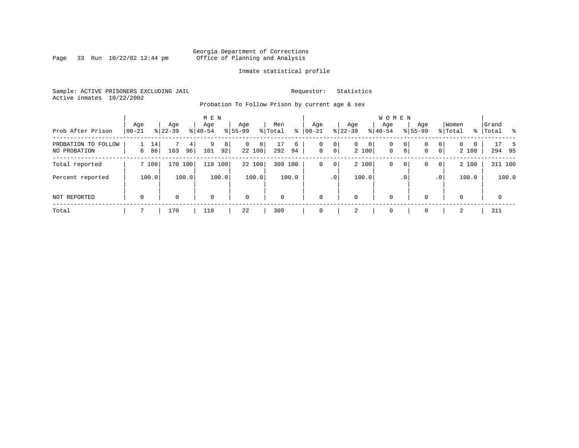Page 33 Run  $10/22/02$  12:44 pm

#### Inmate statistical profile

Sample: ACTIVE PRISONERS EXCLUDING JAIL **Requestor:** Statistics Active inmates 10/22/2002

Probation To Follow Prison by current age & sex

| Prob After Prison                   | Age<br>$00 - 21$ | Age<br>$8 22-39$ | M E N<br>Age<br>$8 40-54$ | Age<br>$ 55-99 $ |                             | Men<br>% Total | ⊱       | Age<br>$00 - 21$ | $ 22-39 $           | Age                        | <b>WOMEN</b><br>Aqe<br>$8 40-54$ |           | Age<br>$8155 - 99$ |                     | Women<br>% Total              | Grand<br>% Total % |
|-------------------------------------|------------------|------------------|---------------------------|------------------|-----------------------------|----------------|---------|------------------|---------------------|----------------------------|----------------------------------|-----------|--------------------|---------------------|-------------------------------|--------------------|
| PROBATION TO FOLLOW<br>NO PROBATION | 14<br>86<br>6    | 163              | 9<br>4<br>101<br>96       | 8<br>92          | $\mathbf{0}$<br>0<br>22 100 | 17<br>292      | 6<br>94 | 0<br>$\mathbf 0$ | 0<br>0 <sup>1</sup> | $\mathbf{0}$<br>0<br>2 100 | 0<br>$\mathbf{0}$                | 0<br> 0   | 0<br>0             | 0<br>$\overline{0}$ | $\Omega$<br>$\Omega$<br>2 100 | 17<br>-5<br>294 95 |
| Total reported                      | 7 100            | 170 100          |                           | 110 100          | 22 100                      | 309            | 100     | 0                | 0                   | 2 100                      | 0                                | 0         | 0                  | $\overline{0}$      | 2 100                         | 311 100            |
| Percent reported                    | 100.0            | 100.0            |                           | 100.0            | 100.0                       |                | 100.0   |                  | .0 <sup>1</sup>     | 100.0                      |                                  | $\cdot$ 0 |                    | .0 <sup>1</sup>     | 100.0                         | 100.0              |
| NOT REPORTED                        | $\mathbf 0$      | 0                | 0                         |                  | $\mathbf 0$                 | $\mathbf 0$    |         | $\mathbf 0$      |                     | 0                          | $\mathbf 0$                      |           | $\Omega$           |                     | $\Omega$                      | $\mathbf{0}$       |
| Total                               |                  | 170              | 110                       | 22               |                             | 309            |         | $\Omega$         |                     | 2                          | $\mathbf 0$                      |           | $\Omega$           |                     | 2                             | 311                |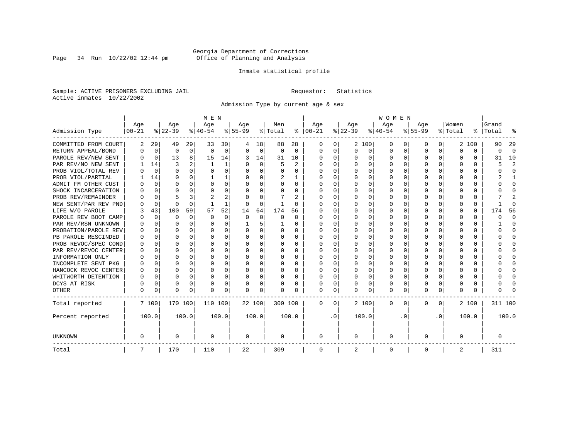Page 34 Run  $10/22/02$  12:44 pm

#### Inmate statistical profile

Sample: ACTIVE PRISONERS EXCLUDING JAIL **Requestor:** Statistics Active inmates 10/22/2002

Admission Type by current age & sex

|                      |           |             |          |              | M E N    |          |           |             |         |          |              |              |          |              | <b>WOMEN</b> |          |           |              |         |          |         |              |
|----------------------|-----------|-------------|----------|--------------|----------|----------|-----------|-------------|---------|----------|--------------|--------------|----------|--------------|--------------|----------|-----------|--------------|---------|----------|---------|--------------|
|                      | Age       |             | Age      |              | Age      |          | Aqe       |             | Men     |          | Age          |              | Age      |              | Age          |          | Aqe       |              | Women   |          | Grand   |              |
| Admission Type       | $00 - 21$ |             | $ 22-39$ |              | $ 40-54$ |          | $8 55-99$ |             | % Total | နွ       | $ 00 - 21$   |              | $ 22-39$ |              | $ 40-54$     |          | $8 55-99$ |              | % Total | ွေ       | Total   |              |
| COMMITTED FROM COURT | 2         | 29          | 49       | 29           | 33       | 30       |           | 18          | 88      | 28       | 0            | 0            |          | 2 100        | 0            | U        | 0         | 0            | 2       | 100      | 90      | 29           |
| RETURN APPEAL/BOND   | 0         | 0           | 0        | 0            | $\Omega$ | 0        | O         | $\mathbf 0$ | 0       | $\Omega$ | 0            | 0            | $\Omega$ | 0            | 0            | $\Omega$ | $\Omega$  | $\Omega$     | O       | 0        | U       | $\Omega$     |
| PAROLE REV/NEW SENT  |           | $\Omega$    | 13       | 8            | 15       | 14       | 3         | 14          | 31      | 10       | <sup>0</sup> | $\Omega$     | ∩        | O            | $\Omega$     | $\Omega$ | ∩         | $\Omega$     | U       | U        | 31      | 10           |
| PAR REV/NO NEW SENT  |           | 14          | 3        |              |          | 1        |           | $\Omega$    | 5       | 2        | <sup>0</sup> | $\Omega$     | ∩        | $\Omega$     | U            | $\cap$   | ∩         | <sup>n</sup> |         | O        | 5       |              |
| PROB VIOL/TOTAL REV  |           | $\Omega$    | O        | 0            | $\Omega$ | $\Omega$ | O         | $\Omega$    | O       | U        | O            | $\Omega$     | U        | $\Omega$     | U            | n        | ∩         | U            | U       | O        |         | <sup>0</sup> |
| PROB VIOL/PARTIAL    |           | 14          | U        | 0            |          |          |           | $\Omega$    | 2       |          | O            | 0            | U        | O            | U            | n        | $\Omega$  |              |         | U        |         |              |
| ADMIT FM OTHER CUST  |           | $\Omega$    | U        | 0            | $\Omega$ | $\Omega$ | O         | $\Omega$    | U       | 0        | <sup>0</sup> | 0            | U        | <sup>0</sup> | U            | n        | $\Omega$  | O            |         | U        |         | <sup>0</sup> |
| SHOCK INCARCERATION  |           | $\Omega$    | U        | U            | $\Omega$ | 0        | U         | 0           | U       | U        | <sup>0</sup> | 0            | U        | O            | U            | n        | ∩         | U            |         | 0        |         | ∩            |
| PROB REV/REMAINDER   |           | $\Omega$    |          | 3            | 2        | 2        |           | $\Omega$    |         | 2        | <sup>0</sup> | $\Omega$     | ∩        | O            | U            | $\Omega$ | ∩         | $\Omega$     |         | 0        |         | 2            |
| NEW SENT/PAR REV PND |           | $\Omega$    | $\Omega$ | $\Omega$     |          | 1        | O         | $\Omega$    |         | U        | <sup>0</sup> | $\Omega$     | U        | $\Omega$     | U            | $\Omega$ | $\Omega$  | 0            |         | $\Omega$ |         | ſ            |
| LIFE W/O PAROLE      |           | 43          | 100      | 59           | 57       | 52       | 14        | 64          | 174     | 56       |              | $\Omega$     |          | $\Omega$     | Ω            | 0        | $\Omega$  | U            |         | $\Omega$ | 174     | 56           |
| PAROLE REV BOOT CAMP |           | $\Omega$    | 0        | $\Omega$     | $\Omega$ | $\Omega$ | O         | $\Omega$    | 0       | 0        | 0            | $\Omega$     |          | $\Omega$     | Ω            | $\Omega$ |           |              |         | $\Omega$ |         | <sup>0</sup> |
| PAR REV/RSN UNKNOWN  |           | $\Omega$    | U        | 0            | $\Omega$ | $\Omega$ |           | 5           |         | U        | 0            | $\Omega$     |          | $\Omega$     | Ω            | $\Omega$ | O         |              |         | 0        |         | <sup>0</sup> |
| PROBATION/PAROLE REV |           | U           | U        | 0            | $\Omega$ | $\Omega$ | U         | $\Omega$    | 0       | U        | O            | $\Omega$     | ∩        | $\Omega$     | U            | $\Omega$ | ∩         | U            | n       | 0        |         | n            |
| PB PAROLE RESCINDED  |           | $\Omega$    | U        | 0            | $\Omega$ | $\Omega$ | U         | $\Omega$    | 0       | 0        | O            | $\Omega$     | U        | $\Omega$     | U            | n        | ∩         | 0            | n       | U        |         | n            |
| PROB REVOC/SPEC COND |           | $\Omega$    | U        | <sup>n</sup> | ∩        | U        | U         | U           | 0       | U        | <sup>0</sup> | <sup>n</sup> | U        | U            | U            | $\cap$   | ∩         | U            |         | 0        |         |              |
| PAR REV/REVOC CENTER |           | 0           | U        | U            | $\Omega$ | O        | U         | O           | U       | U        | O            | 0            |          | U            | U            | $\Omega$ | ∩         | <sup>n</sup> |         | 0        |         |              |
| INFORMATION ONLY     |           | $\mathbf 0$ | U        | U            | $\Omega$ | $\Omega$ |           | $\Omega$    | 0       | U        |              | O            |          | O            | Ω            | n        | $\Omega$  | U            |         | 0        |         | n            |
| INCOMPLETE SENT PKG  |           | 0           |          | 0            | $\Omega$ | $\Omega$ | U         | $\Omega$    | 0       | U        | <sup>0</sup> | O            |          | O            | 0            | O        | $\Omega$  |              |         | 0        |         | ∩            |
| HANCOCK REVOC CENTER | O         | 0           | U        | 0            | $\Omega$ | $\Omega$ | U         | $\Omega$    | 0       | U        | 0            | $\Omega$     | U        | $\Omega$     | 0            | O        | $\Omega$  | 0            | O       | 0        |         | ∩            |
| WHITWORTH DETENTION  | U         | $\Omega$    | U        | $\Omega$     | $\Omega$ | $\Omega$ | U         | $\Omega$    | 0       | 0        | <sup>0</sup> | $\Omega$     | $\Omega$ | $\Omega$     | 0            | $\Omega$ | ∩         | $\Omega$     | n       | 0        |         | ∩            |
| DCYS AT RISK         | U         | $\Omega$    | U        | 0            | $\Omega$ | 0        | U         | 0           | U       | U        | <sup>0</sup> | $\Omega$     | U        | 0            | U            | $\Omega$ | $\Omega$  | $\Omega$     |         | 0        |         | ſ            |
| <b>OTHER</b>         | O         | 0           | U        | 0            | $\Omega$ | 0        | O         | 0           | N       | U        | $\Omega$     | 0            | U        | 0            | 0            | $\Omega$ | $\Omega$  | 0            | O       | U        |         |              |
| Total reported       |           | 7 100       | 170 100  |              | 110 100  |          | 22 100    |             | 309 100 |          | 0            | 0            |          | 2 100        | 0            | $\Omega$ | $\Omega$  | $\Omega$     |         | 2 100    | 311 100 |              |
| Percent reported     |           | 100.0       |          | 100.0        |          | 100.0    |           | 100.0       |         | 100.0    |              | $\cdot$ 0    |          | 100.0        |              | . 0      |           | $\cdot$ 0    |         | 100.0    |         | 100.0        |
| UNKNOWN              | 0         |             | 0        |              | 0        |          | 0         |             | 0       |          | 0            |              | 0        |              | 0            |          | $\Omega$  |              | O       |          | 0       |              |
| Total                | 7         |             | 170      |              | 110      |          | 22        |             | 309     |          | 0            |              | 2        |              | 0            |          | $\Omega$  |              | 2       |          | 311     |              |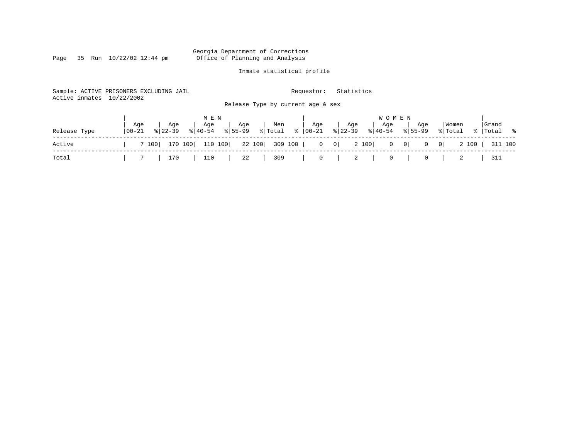Page 35 Run  $10/22/02$  12:44 pm

### Inmate statistical profile

| Active inmates | Sample: ACTIVE PRISONERS EXCLUDING JAIL<br>10/22/2002             | Release Type by current age & sex          | Statistics<br>Requestor:                                      |                                                          |                     |
|----------------|-------------------------------------------------------------------|--------------------------------------------|---------------------------------------------------------------|----------------------------------------------------------|---------------------|
| Release Type   | M E N<br>Aqe<br>Age<br>Age<br>$8 40-54$<br>$8122 - 39$<br>  00-21 | Men<br>Age<br>ႜႂ<br>$8155 - 99$<br>% Total | Age<br>Age<br>Age<br>$8 22-39$<br>$ 00-21 $<br>$8 40-54$      | <b>WOMEN</b><br>  Women<br>Age<br>$8155 - 99$<br>% Total | Grand<br>%  Total % |
| Active         | 110 100<br>170 100<br>7 100                                       | 22 100<br>309 100                          | 2 100<br>$\overline{0}$<br>$\begin{array}{c c} 0 \end{array}$ | $0 \qquad 0$<br>2 100<br>$\overline{0}$<br>$\mathbf{0}$  | 311 100             |
| Total          | 170<br>110                                                        | 309<br>22                                  | 0<br>2<br>0                                                   | 0                                                        | 311                 |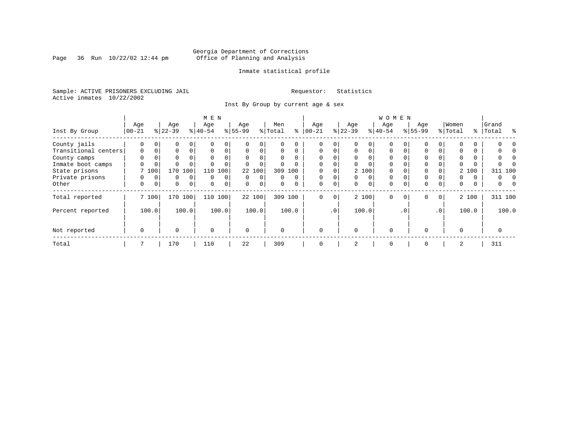Page 36 Run  $10/22/02$  12:44 pm

#### Inmate statistical profile

Sample: ACTIVE PRISONERS EXCLUDING JAIL **Requestor:** Statistics Active inmates 10/22/2002

Inst By Group by current age & sex

|                      | M E N       |          |             |                |           |          |           |             |          |          |             |           | <b>WOMEN</b> |          |             |           |             |                 |          |       |           |           |  |  |
|----------------------|-------------|----------|-------------|----------------|-----------|----------|-----------|-------------|----------|----------|-------------|-----------|--------------|----------|-------------|-----------|-------------|-----------------|----------|-------|-----------|-----------|--|--|
|                      | Age         |          | Age         |                | Age       |          | Age       |             | Men      |          | Age         |           | Age          |          | Age         |           | Age         |                 | Women    |       | Grand     |           |  |  |
| Inst By Group        | $00 - 21$   |          | $ 22-39 $   |                | $8 40-54$ |          | $8 55-99$ |             | % Total  | နွ       | $ 00 - 21 $ |           | $ 22-39$     |          | $ 40-54 $   |           | $8155 - 99$ |                 | % Total  |       | %   Total | $\approx$ |  |  |
| County jails         | 0           | 0        | 0           | 0              |           | 0        |           | $\Omega$    | U        |          |             | 0         |              | $\Omega$ | $\Omega$    |           |             |                 |          |       |           |           |  |  |
| Transitional centers | $\mathbf 0$ | 0        | 0           | $\Omega$       | 0         | 0        | $\Omega$  | 0           | $\Omega$ | $\Omega$ | $\mathbf 0$ | $\Omega$  | $\mathbf 0$  | 0        | 0           | $\Omega$  | 0           |                 | 0        |       |           |           |  |  |
| County camps         | $\Omega$    |          | 0           |                | $\Omega$  | 0        |           |             | $\Omega$ | $\Omega$ | $\Omega$    |           |              |          | $\Omega$    |           |             |                 | $\Omega$ |       |           |           |  |  |
| Inmate boot camps    | 0           | 0        | $\Omega$    |                |           |          |           | $\Omega$    | 0        |          | $\Omega$    |           | $\Omega$     |          | $\Omega$    |           | $\Omega$    |                 |          |       |           |           |  |  |
| State prisons        |             | 7 100    | 170         | 100            | 110       | 100      |           | 22 100      | 309      | 100      |             |           |              | 2 100    | $\Omega$    |           | 0           |                 |          | 2 100 | 311 100   |           |  |  |
| Private prisons      | 0           | $\Omega$ | 0           | $\Omega$       | $\Omega$  | 0        | $\Omega$  | $\Omega$    | 0        | $\Omega$ | $\Omega$    | $\Omega$  | $\Omega$     | $\Omega$ | $\Omega$    |           | $\Omega$    |                 | 0        | 0     | 0         | - 0       |  |  |
| Other                | 0           | 0        | $\mathbf 0$ | $\overline{0}$ | $\Omega$  | $\Omega$ | $\Omega$  | $\mathbf 0$ | $\Omega$ | $\Omega$ | $\mathbf 0$ | $\Omega$  | $\Omega$     | $\Omega$ | $\Omega$    | $\Omega$  | $\Omega$    | $\Omega$        | $\Omega$ | 0     | $\Omega$  |           |  |  |
| Total reported       |             | 7 100    | 170 100     |                | 110       | 100      |           | 22 100      | 309      | 100      | $\Omega$    | 0         |              | 2 100    | $\Omega$    | $\Omega$  | $\Omega$    | $\overline{0}$  |          | 2 100 | 311 100   |           |  |  |
| Percent reported     |             | 100.0    |             | 100.0          |           | 100.0    |           | 100.0       |          | 100.0    |             | $\cdot$ 0 |              | 100.0    |             | $\cdot$ 0 |             | .0 <sup>1</sup> |          | 100.0 |           | 100.0     |  |  |
| Not reported         | $\mathbf 0$ |          | $\Omega$    |                | $\Omega$  |          | $\Omega$  |             | $\Omega$ |          | $\Omega$    |           | $\Omega$     |          | $\Omega$    |           |             |                 | $\Omega$ |       | 0         |           |  |  |
| Total                |             |          | 170         |                | 110       |          | 22        |             | 309      |          | $\mathbf 0$ |           | 2            |          | $\mathbf 0$ |           | $\Omega$    |                 | 2        |       | 311       |           |  |  |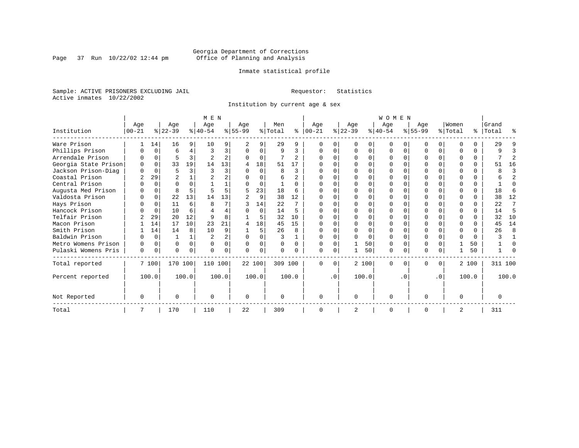Page 37 Run  $10/22/02$  12:44 pm

#### Inmate statistical profile

Sample: ACTIVE PRISONERS EXCLUDING JAIL **Requestor:** Statistics Active inmates 10/22/2002

Institution by current age & sex

|                      |             |          |                |              | M E N          |                | <b>WOMEN</b> |          |              |          |              |          |           |          |              |          |             |           |              |       |         |              |
|----------------------|-------------|----------|----------------|--------------|----------------|----------------|--------------|----------|--------------|----------|--------------|----------|-----------|----------|--------------|----------|-------------|-----------|--------------|-------|---------|--------------|
|                      | Age         |          | Age            |              | Age            |                | Age          |          | Men          |          | Age          |          | Age       |          | Age          |          | Age         |           | Women        |       | Grand   |              |
| Institution          | $ 00 - 21 $ |          | $ 22-39 $      |              | $8 40-54$      |                | $ 55-99$     |          | % Total      | ៖        | $ 00-21$     |          | $ 22-39 $ |          | $ 40-54 $    |          | $8155 - 99$ |           | % Total      | ႜၟ    | Total   | ႜ            |
| Ware Prison          |             | 14       | 16             | 9            | 10             | 9              | 2            | 9        | 29           | 9        |              |          | $\Omega$  | O        | $\Omega$     |          |             | 0         |              | U     | 29      |              |
| Phillips Prison      |             | $\Omega$ | 6              | 4            | 3              | 3              | $\Omega$     | 0        | 9            | 3        | $\Omega$     | 0        | $\Omega$  | $\Omega$ | $\Omega$     | $\Omega$ | $\cap$      | $\Omega$  |              | 0     | q       |              |
| Arrendale Prison     |             | $\Omega$ | 5              | 3            |                | $\overline{a}$ |              | $\Omega$ |              | 2        |              | $\Omega$ |           | $\Omega$ | $\Omega$     | $\Omega$ |             |           |              | 0     |         | 2            |
| Georgia State Prison |             | $\Omega$ | 33             | 19           | 14             | 13             | 4            | 18       | 51           | 17       |              |          |           | $\Omega$ |              |          |             |           |              | 0     | 51      | 16           |
| Jackson Prison-Diag  |             |          | 5              |              | 3              | 3              |              | $\Omega$ | 8            | 3        |              |          |           | $\cap$   |              | n        |             |           |              | 0     | 8       |              |
| Coastal Prison       |             | 29       | $\overline{a}$ |              |                | 2              |              | $\Omega$ | 6            |          |              |          | $\Omega$  | $\Omega$ | O            |          | $\cap$      |           | ∩            | 0     |         | 2            |
| Central Prison       |             | $\cap$   |                |              |                |                |              | $\Omega$ |              | $\Omega$ |              | $\cap$   |           | $\Omega$ | $\Omega$     | $\cap$   |             |           |              | 0     |         | $\cap$       |
| Augusta Med Prison   |             |          | 8              |              |                |                | 5            | 23       | 18           | 6        |              |          | $\cap$    | $\cap$   | O            |          | $\cap$      |           |              | 0     | 18      | 6            |
| Valdosta Prison      |             | $\Omega$ | 22             | 13           | 14             | 13             |              | 9        | 38           | 12       |              |          |           | $\Omega$ |              |          |             |           |              | 0     | 38      | 12           |
| Hays Prison          |             | $\Omega$ | 11             | 6            | $\mathsf{R}$   |                |              | 14       | 22           | 7        |              |          | $\Omega$  | $\Omega$ | $\Omega$     |          | $\cap$      |           | $\cap$       | 0     | 22      | 7            |
| Hancock Prison       |             | $\Omega$ | 10             | 6            |                | 4              |              | $\Omega$ | 14           | 5        |              | 0        | $\Omega$  | $\Omega$ | $\Omega$     | $\cap$   |             |           | $\Omega$     | 0     | 14      | 5            |
| Telfair Prison       |             | 29       | 20             | 12           | 9              | 8              |              | 5        | 32           | 10       |              |          | $\cap$    | $\Omega$ | U            | $\cap$   | ∩           |           | $\cap$       | 0     | 32      | 10           |
| Macon Prison         |             | 14       | 17             | 10           | 23             | 21             |              | 18       | 45           | 15       |              |          |           | $\Omega$ | O            |          |             |           | <sup>0</sup> | 0     | 45      | 14           |
| Smith Prison         |             | 14       | 14             | 8            | 10             | 9              |              | 5        | 26           | 8        | $\Omega$     | $\Omega$ | $\Omega$  | $\Omega$ | <sup>0</sup> | $\cap$   | $\Omega$    |           | $\Omega$     | 0     | 26      | 8            |
| Baldwin Prison       |             | $\Omega$ |                | $\mathbf{1}$ | $\overline{2}$ | $\overline{a}$ | $\Omega$     | $\Omega$ | ς            |          |              | $\Omega$ | $\Omega$  | $\Omega$ | $\Omega$     | $\cap$   | $\Omega$    |           | $\Omega$     | 0     |         | $\mathbf{1}$ |
| Metro Womens Prison  | U           | $\Omega$ | O              | $\Omega$     | $\Omega$       | 0              | $\Omega$     | $\Omega$ | 0            | $\Omega$ | <sup>0</sup> | $\Omega$ |           | 50       | $\Omega$     | $\Omega$ | $\Omega$    |           |              | 50    |         | $\Omega$     |
| Pulaski Womens Pris  | $\Omega$    | $\Omega$ | U              | $\Omega$     | $\Omega$       | $\Omega$       | U            | 0        | <sup>0</sup> |          |              | 0        |           | 50       | 0            | $\Omega$ | 0           | 0         |              | 50    |         |              |
| Total reported       |             | 7 100    | 170 100        |              | 110 100        |                | 22 100       |          | 309 100      |          | $\Omega$     | $\Omega$ |           | 2 100    | $\mathbf{0}$ | n        | 0           | 0         |              | 2 100 | 311 100 |              |
| Percent reported     |             | 100.0    |                | 100.0        |                | 100.0          |              | 100.0    |              | 100.0    |              | .0       |           | 100.0    |              | . 0      |             | $\cdot$ 0 |              | 100.0 |         | 100.0        |
| Not Reported         | O           |          | U              |              | $\Omega$       |                | $\Omega$     |          | <sup>0</sup> |          | $\Omega$     |          | $\Omega$  |          | $\Omega$     |          | U           |           | $\Omega$     |       |         |              |
| Total                |             |          | 170            |              | 110            |                | 22           |          | 309          |          |              |          |           |          | 0            |          |             |           | 2            |       | 311     |              |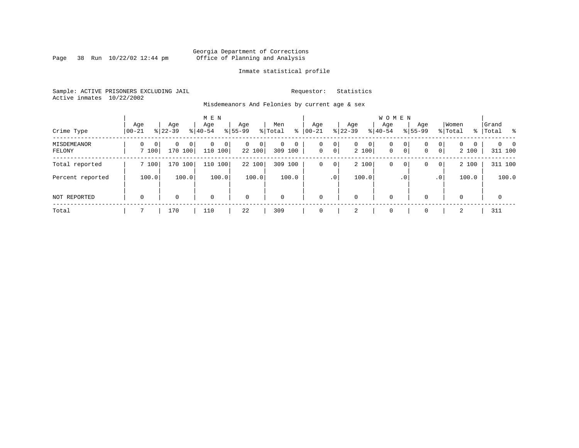Page 38 Run  $10/22/02$  12:44 pm

#### Inmate statistical profile

Sample: ACTIVE PRISONERS EXCLUDING JAIL **Requestor:** Statistics Active inmates 10/22/2002

Misdemeanors And Felonies by current age & sex

| Crime Type            | Age<br>$00 - 21$                  | Age<br>$8 22-39$               | M E N<br>Age<br>$8 40-54$ | Age<br>$8155 - 99$          | Men<br>ွေ<br>% Total                     | Age<br>$00 - 21$ | Age<br>$ 22 - 39 $                                | <b>WOMEN</b><br>Aqe<br>$8 40-54$ | Age<br>$8155 - 99$ | Women<br>% Total                                                | Grand<br>%   Total         |
|-----------------------|-----------------------------------|--------------------------------|---------------------------|-----------------------------|------------------------------------------|------------------|---------------------------------------------------|----------------------------------|--------------------|-----------------------------------------------------------------|----------------------------|
| MISDEMEANOR<br>FELONY | $\Omega$<br>$\mathbf{0}$<br>7 100 | 0<br>0 <sup>1</sup><br>170 100 | 0<br>$\Omega$<br>110 100  | $\mathbf{0}$<br>0<br>22 100 | $\mathbf 0$<br>$\mathbf 0$<br>309<br>100 | 0<br>$\mathbf 0$ | 0<br>0<br>$\mathbf{0}$<br>$\overline{0}$<br>2 100 | $\mathbf 0$<br>$\mathbf{0}$      | 0<br>0<br> 0 <br>0 | $\mathbf{0}$<br>$\Omega$<br>$\Omega$<br>$\overline{0}$<br>2 100 | $\Omega$<br>- 0<br>311 100 |
| Total reported        | 7 100                             | 170 100                        | 110 100                   | 22 100                      | 309<br>100                               | 0                | 2 100<br>0                                        | 0                                | 0<br>0             | 2 100<br>$\overline{0}$                                         | 311 100                    |
| Percent reported      | 100.0                             | 100.0                          | 100.0                     | 100.0                       | 100.0                                    |                  | 100.0<br>.0 <sup>1</sup>                          |                                  | $\cdot$ 0          | 100.0<br>.0 <sup>1</sup>                                        | 100.0                      |
| <b>NOT REPORTED</b>   | $\mathbf 0$                       | 0                              | $\mathbf 0$               | $\mathbf 0$                 | $\mathbf 0$                              | $\mathbf 0$      | 0                                                 | $\mathbf 0$                      | $\Omega$           | $\Omega$                                                        | $\mathbf 0$                |
| Total                 |                                   | 170                            | 110                       | 22                          | 309                                      | $\Omega$         | 2                                                 | $\mathbf 0$                      | $\Omega$           | 2                                                               | 311                        |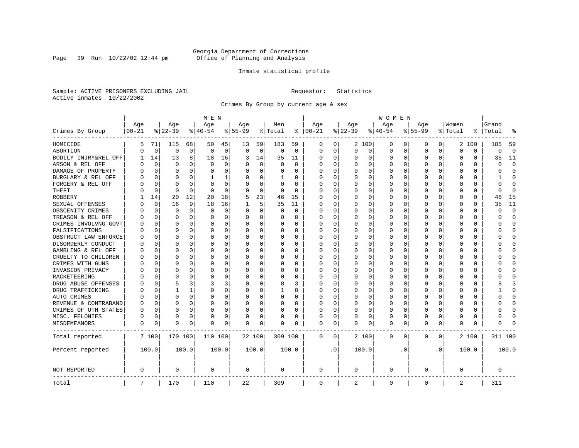Page 39 Run  $10/22/02$  12:44 pm

#### Inmate statistical profile

Sample: ACTIVE PRISONERS EXCLUDING JAIL **Requestor:** Statistics Active inmates 10/22/2002

Crimes By Group by current age & sex

|                      | M E N     |             |             |             |             |          |           |             |          | W O M E N |               |           |          |             |             |           |             |           |          |          |         |              |  |
|----------------------|-----------|-------------|-------------|-------------|-------------|----------|-----------|-------------|----------|-----------|---------------|-----------|----------|-------------|-------------|-----------|-------------|-----------|----------|----------|---------|--------------|--|
|                      | Age       |             | Age         |             | Age         |          | Age       |             | Men      |           | Age           |           | Age      |             | Age         |           | Age         |           | Women    |          | Grand   |              |  |
| Crimes By Group      | $00 - 21$ |             | $ 22-39$    |             | $ 40-54$    |          | $8 55-99$ |             | % Total  |           | $8   00 - 21$ |           | $ 22-39$ |             | $8 40-54$   |           | $8 55-99$   |           | % Total  | ႜ        | Total   |              |  |
| HOMICIDE             | 5         | 71          | 115         | 68          | 50          | 45       | 13        | 59          | 183      | 59        | 0             | 0         |          | 2 100       | 0           | 0         | 0           | 0         |          | 2 100    | 185     | 59           |  |
| ABORTION             | U         | 0           | $\mathbf 0$ | $\mathbf 0$ | $\mathbf 0$ | 0        | 0         | $\mathbf 0$ | 0        | 0         | 0             | 0         | $\Omega$ | 0           | 0           | $\Omega$  | $\mathbf 0$ | 0         | 0        | 0        | 0       | $\mathbf 0$  |  |
| BODILY INJRY&REL OFF |           | 14          | 13          | 8           | 18          | 16       | 3         | 14          | 35       | 11        | 0             | 0         | 0        | 0           | 0           | 0         | $\Omega$    | 0         | 0        | 0        | 35      | 11           |  |
| ARSON & REL OFF      | N         | $\Omega$    | $\Omega$    | $\Omega$    | $\Omega$    | $\Omega$ |           | $\Omega$    | $\Omega$ | $\Omega$  | 0             | 0         | O        | $\Omega$    | 0           | O         |             | $\Omega$  | $\Omega$ | $\Omega$ | C       | $\Omega$     |  |
| DAMAGE OF PROPERTY   | U         | $\Omega$    | $\Omega$    | $\Omega$    | $\Omega$    | $\Omega$ |           | $\Omega$    | 0        | 0         | 0             | 0         | $\Omega$ | $\Omega$    | 0           | O         | $\Omega$    | 0         | U        | 0        | U       | $\Omega$     |  |
| BURGLARY & REL OFF   |           | $\Omega$    | $\Omega$    | $\Omega$    |             | 1        |           | $\Omega$    | 1        | 0         | 0             | 0         | 0        | $\Omega$    | 0           | 0         | $\Omega$    | $\Omega$  | 0        | $\Omega$ |         | <sup>0</sup> |  |
| FORGERY & REL OFF    |           | $\Omega$    | $\Omega$    | $\Omega$    | O           | $\Omega$ |           | $\Omega$    | $\Omega$ | $\Omega$  | 0             | 0         |          | $\Omega$    | 0           | 0         | $\Omega$    | $\Omega$  | $\Omega$ | $\Omega$ | U       | $\Omega$     |  |
| THEFT                |           | 0           | $\Omega$    | $\Omega$    | ∩           | $\Omega$ |           | $\Omega$    | 0        | 0         | <sup>0</sup>  | 0         | O        | $\Omega$    | 0           | O         | ∩           | 0         | ∩        | 0        | U       | $\Omega$     |  |
| ROBBERY              |           | 14          | 20          | 12          | 20          | 18       | 5         | 23          | 46       | 15        | <sup>0</sup>  | 0         | $\Omega$ | $\Omega$    | 0           | O         | $\Omega$    | 0         | U        | 0        | 46      | 15           |  |
| SEXUAL OFFENSES      |           | $\Omega$    | 16          | 9           | 18          | 16       |           | 5           | 35       | 11        | 0             | 0         | $\Omega$ | $\Omega$    | 0           | O         | ∩           | 0         | U        | O        | 35      | 11           |  |
| OBSCENITY CRIMES     | Λ         | 0           | $\Omega$    | $\Omega$    | $\Omega$    | 0        | n         | $\Omega$    | 0        | 0         | 0             | 0         | $\Omega$ | 0           | 0           | O         | ∩           | $\Omega$  | U        | 0        | U       | $\Omega$     |  |
| TREASON & REL OFF    |           | 0           | $\Omega$    | $\Omega$    | $\Omega$    | 0        |           | 0           | 0        | 0         | 0             | 0         | 0        | 0           | 0           | 0         |             | 0         | 0        | 0        | U       | <sup>0</sup> |  |
| CRIMES INVOLVNG GOVT |           | $\Omega$    | $\Omega$    | $\Omega$    | O           | 0        |           | $\Omega$    | 0        | $\Omega$  | $\Omega$      | 0         |          | $\Omega$    | 0           | 0         | $\Omega$    | $\Omega$  | $\Omega$ | 0        | በ       | $\Omega$     |  |
| FALSIFICATIONS       | Ω         | $\Omega$    | $\Omega$    | $\Omega$    | $\Omega$    | 0        |           | 0           | 0        | 0         | $\Omega$      | 0         | O        | $\Omega$    | 0           | 0         | $\Omega$    | $\Omega$  | U        | 0        | U       | $\Omega$     |  |
| OBSTRUCT LAW ENFORCE | U         | 0           | $\Omega$    | $\Omega$    | O           | 0        |           | 0           | 0        | U         | 0             | 0         | O        | $\Omega$    | 0           | 0         |             | 0         | 0        | 0        |         | <sup>0</sup> |  |
| DISORDERLY CONDUCT   | O         | 0           | $\Omega$    | $\Omega$    | O           | $\Omega$ |           | $\Omega$    | 0        | O         | 0             | 0         | $\Omega$ | $\Omega$    | 0           | O         | $\Omega$    | $\Omega$  | O        | 0        |         | ∩            |  |
| GAMBLING & REL OFF   | U         | O           | $\Omega$    | $\Omega$    | O           | $\Omega$ |           | $\Omega$    | $\Omega$ | 0         | <sup>0</sup>  | 0         | O        | $\Omega$    | O           | O         | $\Omega$    | $\Omega$  | U        | 0        |         | ∩            |  |
| CRUELTY TO CHILDREN  | O         | 0           | $\Omega$    | $\Omega$    | O           | 0        |           | $\Omega$    | 0        | U         | 0             | 0         | O        | $\mathbf 0$ | 0           | O         | $\Omega$    | $\Omega$  | U        | $\Omega$ |         | Ω            |  |
| CRIMES WITH GUNS     | N         | $\Omega$    | $\Omega$    | $\Omega$    | C           | 0        |           | $\Omega$    | 0        | 0         | <sup>0</sup>  | 0         | $\Omega$ | $\Omega$    | 0           | O         | $\Omega$    | 0         | U        | $\Omega$ |         | $\Omega$     |  |
| INVASION PRIVACY     | U         | 0           | O           | $\Omega$    | O           | 0        |           | $\Omega$    | 0        | 0         | <sup>0</sup>  | 0         | O        | $\Omega$    | 0           | O         | ∩           | 0         | ∩        | 0        |         | ∩            |  |
| RACKETEERING         | Λ         | $\Omega$    | ∩           | $\Omega$    | n           | 0        |           | $\Omega$    | 0        | U         | O             | 0         | O        | $\Omega$    | 0           | O         |             | 0         | O        | 0        |         | ∩            |  |
| DRUG ABUSE OFFENSES  |           | $\Omega$    | 5           | 3           | 3           | 3        |           | $\Omega$    | 8        | 3         | 0             | 0         | $\Omega$ | $\Omega$    | 0           | O         | $\Omega$    | $\Omega$  | $\Omega$ | 0        |         | κ            |  |
| DRUG TRAFFICKING     | Ω         | $\Omega$    |             |             | $\Omega$    | 0        |           | $\Omega$    | 1        | 0         | 0             | 0         | 0        | 0           | 0           | O         | $\Omega$    | $\Omega$  | U        | 0        |         | $\Omega$     |  |
| AUTO CRIMES          |           | $\Omega$    | $\Omega$    | 0           | 0           | 0        |           | 0           | 0        | 0         | 0             | 0         | 0        | 0           | 0           | 0         | $\Omega$    | $\Omega$  | 0        | 0        | ი       | O            |  |
| REVENUE & CONTRABAND | 0         | $\Omega$    | $\Omega$    | $\Omega$    | O           | 0        |           | 0           | 0        | $\Omega$  | $\Omega$      | 0         | $\Omega$ | $\Omega$    | 0           | 0         | $\Omega$    | 0         | $\Omega$ | 0        | በ       | $\Omega$     |  |
| CRIMES OF OTH STATES | 0         | $\mathbf 0$ | $\Omega$    | $\Omega$    | 0           | 0        |           | $\Omega$    | 0        | 0         | $\Omega$      | 0         | 0        | $\Omega$    | 0           | 0         | $\Omega$    | $\Omega$  | U        | 0        | U       | 0            |  |
| MISC. FELONIES       | 0         | $\Omega$    | $\Omega$    | $\Omega$    | C           | 0        |           | $\mathbf 0$ | 0        | 0         | 0             | 0         |          | 0           | 0           | 0         | $\Omega$    | $\Omega$  | 0        | 0        |         | ſ            |  |
| MISDEMEANORS         | 0         | 0           | $\Omega$    | 0           | C           | 0        | O         | 0           | 0        | 0         | 0             | 0         | O        | 0           | 0           | 0         | $\Omega$    | 0         | U        | 0        | ი       |              |  |
| Total reported       |           | 7 100       | 170 100     |             | 110 100     |          |           | 22 100      | 309 100  |           | 0             | 0         |          | 2 100       | 0           | 0         | $\mathbf 0$ | 0         |          | 2 100    | 311 100 |              |  |
| Percent reported     |           | 100.0       |             | 100.0       |             | 100.0    |           | 100.0       |          | 100.0     |               | $\cdot$ 0 |          | 100.0       |             | $\cdot$ 0 |             | $\cdot$ 0 |          | 100.0    |         | 100.0        |  |
| NOT REPORTED         | 0         |             | 0           |             | 0           |          | 0         |             | 0        |           | $\mathbf 0$   |           | 0        |             | 0           |           | $\mathbf 0$ |           | $\Omega$ |          | 0       |              |  |
| Total                | 7         |             | 170         |             | 110         |          | 22        |             | 309      |           | $\mathbf 0$   |           | 2        |             | $\mathbf 0$ |           | $\Omega$    |           | 2        |          | 311     |              |  |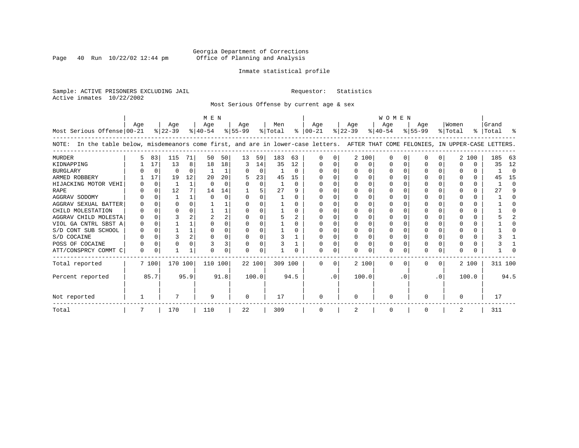Page 40 Run  $10/22/02$  12:44 pm

#### Inmate statistical profile

Sample: ACTIVE PRISONERS EXCLUDING JAIL **Requestor:** Statistics Active inmates 10/22/2002

Most Serious Offense by current age & sex

|                                                                                                                                       | M E N    |          |           |                |           |          |           |             |         |                |               | <b>WOMEN</b> |           |       |           |          |           |           |          |       |           |          |  |
|---------------------------------------------------------------------------------------------------------------------------------------|----------|----------|-----------|----------------|-----------|----------|-----------|-------------|---------|----------------|---------------|--------------|-----------|-------|-----------|----------|-----------|-----------|----------|-------|-----------|----------|--|
|                                                                                                                                       | Aqe      |          | Age       |                | Age       |          | Aqe       |             | Men     |                | Aqe           |              | Aqe       |       | Aqe       |          | Aqe       |           | Women    |       | Grand     |          |  |
| Most Serious Offense 00-21                                                                                                            |          |          | $ 22-39 $ |                | $ 40-54 $ |          | $8 55-99$ |             | % Total |                | $8   00 - 21$ |              | $ 22-39 $ |       | $ 40-54 $ |          | $8 55-99$ |           | % Total  |       | %   Total | ႜ        |  |
| In the table below, misdemeanors come first, and are in lower-case letters. AFTER THAT COME FELONIES, IN UPPER-CASE LETTERS.<br>NOTE: |          |          |           |                |           |          |           |             |         |                |               |              |           |       |           |          |           |           |          |       |           |          |  |
| <b>MURDER</b>                                                                                                                         |          | 83       | 115       | 71             | 50        | 50       | 13        | 59          | 183     | 63             |               |              |           | 2 100 | $\Omega$  | O        | U         | 0         |          | 2 100 | 185       | 63       |  |
| KIDNAPPING                                                                                                                            |          | 17       | 13        | 8              | 18        | 18       | 3         | 14          | 35      | 12             |               |              | $\Omega$  | 0     |           | $\Omega$ |           |           | O        | 0     | 35        | 12       |  |
| <b>BURGLARY</b>                                                                                                                       |          | $\Omega$ | $\Omega$  | $\Omega$       |           |          |           | $\mathbf 0$ |         | $\Omega$       |               |              | $\Omega$  | O     |           | $\Omega$ | O         |           |          | 0     |           | $\Omega$ |  |
| ARMED ROBBERY                                                                                                                         |          | 17       | 19        | 12             | 20        | 20       |           | 23          | 45      | 15             |               |              |           | O     |           | $\Omega$ |           |           |          | 0     | 45        | 15       |  |
| HIJACKING MOTOR VEHI                                                                                                                  |          | $\Omega$ |           | $\mathbf{1}$   | $\Omega$  | $\Omega$ | O         | $\Omega$    |         | $\Omega$       |               |              | $\Omega$  | O     |           |          |           |           |          | 0     |           | $\Omega$ |  |
| <b>RAPE</b>                                                                                                                           |          | 0        | 12        |                | 14        | 14       |           |             | 27      | 9              |               |              |           |       |           |          |           |           |          |       | 27        |          |  |
| AGGRAV SODOMY                                                                                                                         |          |          |           |                |           | 0        |           | $\Omega$    |         | 0              |               |              | $\Omega$  | O     |           |          | U         |           |          | 0     |           |          |  |
| AGGRAV SEXUAL BATTER                                                                                                                  |          | $\Omega$ |           |                |           |          |           |             |         | O              |               |              |           | O     |           |          |           |           |          | 0     |           |          |  |
| CHILD MOLESTATION                                                                                                                     |          | $\Omega$ |           |                |           |          |           |             |         | <sup>0</sup>   |               |              |           | U     |           |          |           |           |          | 0     |           |          |  |
| AGGRAV CHILD MOLESTA                                                                                                                  |          |          |           |                |           | 2        |           |             |         | $\mathfrak{D}$ |               |              |           |       |           |          |           |           |          | U     |           |          |  |
| VIOL GA CNTRL SBST A                                                                                                                  |          |          |           |                |           |          | O         | O           |         | O              |               |              | $\Omega$  | O     |           |          | U         |           |          | 0     |           |          |  |
| S/D CONT SUB SCHOOL                                                                                                                   |          | $\Omega$ |           |                | $\Omega$  | 0        | O         | $\Omega$    |         | O              |               |              | $\Omega$  | 0     |           | 0        |           |           |          | 0     |           |          |  |
| S/D COCAINE                                                                                                                           |          | $\Omega$ |           | $\overline{2}$ | ∩         | O        |           | $\Omega$    |         |                |               |              | $\Omega$  | U     |           | $\Omega$ | O         | U         | ∩        | 0     |           |          |  |
| POSS OF COCAINE                                                                                                                       |          | 0        |           |                |           | 3        | 0         | 0           |         |                |               |              |           | 0     | $\Omega$  | 0        |           |           |          | 0     |           |          |  |
| ATT/CONSPRCY COMMT C                                                                                                                  | $\Omega$ | 0        |           | -1             | ∩         | 0        | U         | $\Omega$    |         |                |               | C.           | $\Omega$  | U     | $\Omega$  | $\Omega$ | O         | $\Omega$  | $\Omega$ | 0     |           |          |  |
| Total reported                                                                                                                        |          | 7 100    | 170 100   |                | 110 100   |          | 22 100    |             | 309 100 |                | $\Omega$      | $\Omega$     |           | 2 100 | $\Omega$  | $\Omega$ | 0         | $\Omega$  |          | 2 100 | 311 100   |          |  |
| Percent reported                                                                                                                      |          | 85.7     |           | 95.9           |           | 91.8     |           | 100.0       |         | 94.5           |               | $\cdot$ 0    |           | 100.0 |           | . 0      |           | $\cdot$ 0 |          | 100.0 |           | 94.5     |  |
| Not reported                                                                                                                          |          |          |           |                | -9        |          | $\Omega$  |             | 17      |                | ∩             |              | $\Omega$  |       | ∩         |          | U         |           | $\Omega$ |       | 17        |          |  |
| Total                                                                                                                                 |          |          | 170       |                | 110       |          | 22        |             | 309     |                |               |              | 2         |       | 0         |          | 0         |           | 2        |       | 311       |          |  |